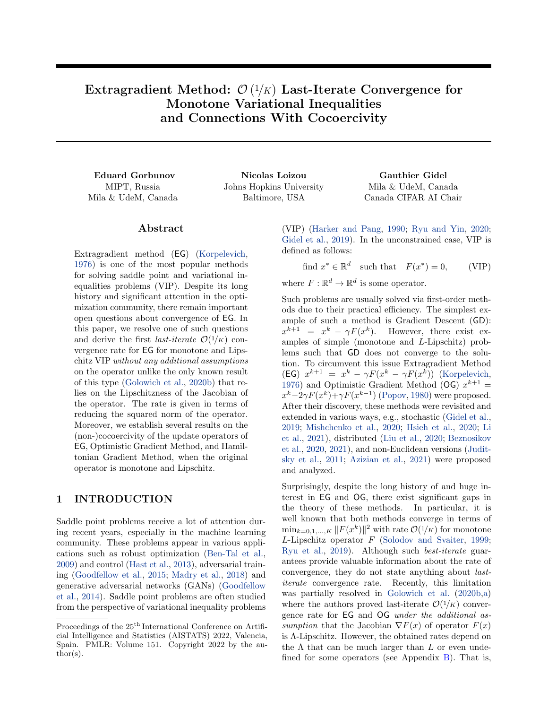Extragradient Method:  $\mathcal{O}\left(\frac{1}{K}\right)$  Last-Iterate Convergence for Monotone Variational Inequalities and Connections With Cocoercivity

MIPT, Russia Mila & UdeM, Canada

Eduard Gorbunov Nicolas Loizou Gauthier Gidel Johns Hopkins University Baltimore, USA

<span id="page-0-0"></span>Mila & UdeM, Canada Canada CIFAR AI Chair

#### Abstract

Extragradient method (EG) [\(Korpelevich,](#page-10-0) [1976\)](#page-10-0) is one of the most popular methods for solving saddle point and variational inequalities problems (VIP). Despite its long history and significant attention in the optimization community, there remain important open questions about convergence of EG. In this paper, we resolve one of such questions and derive the first *last-iterate*  $\mathcal{O}(1/K)$  convergence rate for EG for monotone and Lipschitz VIP without any additional assumptions on the operator unlike the only known result of this type [\(Golowich et al.,](#page-9-0) [2020b\)](#page-9-0) that relies on the Lipschitzness of the Jacobian of the operator. The rate is given in terms of reducing the squared norm of the operator. Moreover, we establish several results on the (non-)cocoercivity of the update operators of EG, Optimistic Gradient Method, and Hamiltonian Gradient Method, when the original operator is monotone and Lipschitz.

### <span id="page-0-2"></span>1 INTRODUCTION

Saddle point problems receive a lot of attention during recent years, especially in the machine learning community. These problems appear in various applications such as robust optimization [\(Ben-Tal et al.,](#page-9-1) [2009\)](#page-9-1) and control [\(Hast et al.,](#page-10-1) [2013\)](#page-10-1), adversarial training [\(Goodfellow et al.,](#page-10-2) [2015;](#page-10-2) [Madry et al.,](#page-10-3) [2018\)](#page-10-3) and generative adversarial networks (GANs) [\(Goodfellow](#page-10-4) [et al.,](#page-10-4) [2014\)](#page-10-4). Saddle point problems are often studied from the perspective of variational inequality problems (VIP) [\(Harker and Pang,](#page-10-5) [1990;](#page-10-5) [Ryu and Yin,](#page-11-0) [2020;](#page-11-0) [Gidel et al.,](#page-9-2) [2019\)](#page-9-2). In the unconstrained case, VIP is defined as follows:

<span id="page-0-1"></span>find  $x^* \in \mathbb{R}^d$  such that  $F(x^*) = 0$ , (VIP)

where  $F: \mathbb{R}^d \to \mathbb{R}^d$  is some operator.

Such problems are usually solved via first-order methods due to their practical efficiency. The simplest example of such a method is Gradient Descent (GD):  $x^{k+1} = x^k - \gamma F(x^k)$ . However, there exist examples of simple (monotone and L-Lipschitz) problems such that GD does not converge to the solution. To circumvent this issue Extragradient Method (EG)  $x^{k+1} = x^k - \gamma F(x^k - \gamma F(x^k))$  [\(Korpelevich,](#page-10-0) [1976\)](#page-10-0) and Optimistic Gradient Method (OG)  $x^{k+1} =$  $x^{k}-2\gamma F(x^{k})+\gamma F(x^{k-1})$  [\(Popov,](#page-11-1) [1980\)](#page-11-1) were proposed. After their discovery, these methods were revisited and extended in various ways, e.g., stochastic [\(Gidel et al.,](#page-9-2) [2019;](#page-9-2) [Mishchenko et al.,](#page-10-6) [2020;](#page-10-6) [Hsieh et al.,](#page-10-7) [2020;](#page-10-7) [Li](#page-10-8) [et al.,](#page-10-8) [2021\)](#page-10-8), distributed [\(Liu et al.,](#page-10-9) [2020;](#page-10-9) [Beznosikov](#page-9-3) [et al.,](#page-9-3) [2020,](#page-9-3) [2021\)](#page-9-4), and non-Euclidean versions [\(Judit](#page-10-10)[sky et al.,](#page-10-10) [2011;](#page-10-10) [Azizian et al.,](#page-9-5) [2021\)](#page-9-5) were proposed and analyzed.

Surprisingly, despite the long history of and huge interest in EG and OG, there exist significant gaps in the theory of these methods. In particular, it is well known that both methods converge in terms of  $\min_{k=0,1,\ldots,K} \|F(x^k)\|^2$  with rate  $\mathcal{O}(1/K)$  for monotone  $L$ -Lipschitz operator  $F$  [\(Solodov and Svaiter,](#page-11-2) [1999;](#page-11-2) [Ryu et al.,](#page-11-3) [2019\)](#page-11-3). Although such best-iterate guarantees provide valuable information about the rate of convergence, they do not state anything about lastiterate convergence rate. Recently, this limitation was partially resolved in [Golowich et al.](#page-9-0) [\(2020b](#page-9-0)[,a\)](#page-9-6) where the authors proved last-iterate  $\mathcal{O}(1/K)$  convergence rate for EG and OG under the additional assumption that the Jacobian  $\nabla F(x)$  of operator  $F(x)$ is Λ-Lipschitz. However, the obtained rates depend on the  $\Lambda$  that can be much larger than  $L$  or even undefined for some operators (see Appendix [B\)](#page-14-0). That is,

Proceedings of the  $25<sup>th</sup>$  International Conference on Artificial Intelligence and Statistics (AISTATS) 2022, Valencia, Spain. PMLR: Volume 151. Copyright 2022 by the au- $\text{thor}(s)$ .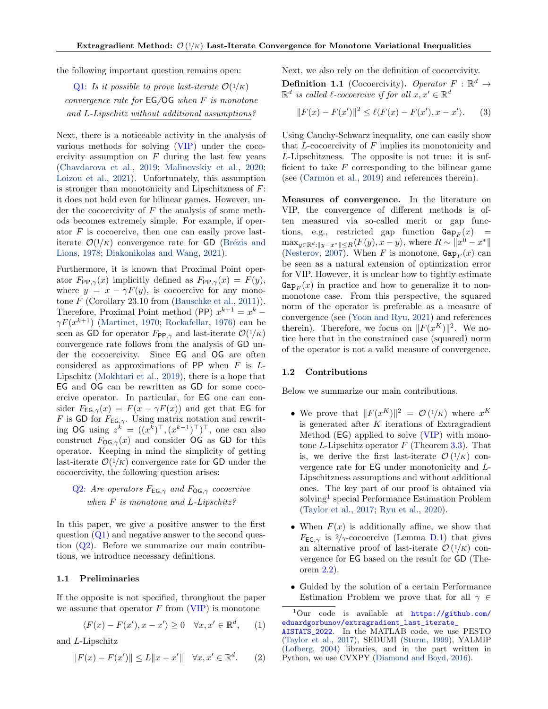the following important question remains open:

Q1: Is it possible to prove last-iterate  $\mathcal{O}(1/K)$ convergence rate for  $EG/OG$  when F is monotone and L-Lipschitz without additional assumptions?

Next, there is a noticeable activity in the analysis of various methods for solving [\(VIP\)](#page-0-0) under the cocoercivity assumption on  $F$  during the last few years [\(Chavdarova et al.,](#page-9-7) [2019;](#page-9-7) [Malinovskiy et al.,](#page-10-11) [2020;](#page-10-11) [Loizou et al.,](#page-10-12) [2021\)](#page-10-12). Unfortunately, this assumption is stronger than monotonicity and Lipschitzness of  $F$ : it does not hold even for bilinear games. However, under the cocoercivity of  $F$  the analysis of some methods becomes extremely simple. For example, if operator  $F$  is cocoercive, then one can easily prove lastiterate  $\mathcal{O}(1/K)$  convergence rate for GD (Brézis and [Lions,](#page-9-8) [1978;](#page-9-8) [Diakonikolas and Wang,](#page-9-9) [2021\)](#page-9-9).

Furthermore, it is known that Proximal Point operator  $F_{PP,\gamma}(x)$  implicitly defined as  $F_{PP,\gamma}(x) = F(y)$ , where  $y = x - \gamma F(y)$ , is cocoercive for any monotone  $F$  (Corollary 23.10 from [\(Bauschke et al.,](#page-9-10) [2011\)](#page-9-10)). Therefore, Proximal Point method (PP)  $x^{k+1} = x^k$  –  $\gamma F(x^{k+1})$  [\(Martinet,](#page-10-13) [1970;](#page-10-13) [Rockafellar,](#page-11-4) [1976\)](#page-11-4) can be seen as GD for operator  $F_{PP,\gamma}$  and last-iterate  $\mathcal{O}(1/K)$ convergence rate follows from the analysis of GD under the cocoercivity. Since EG and OG are often considered as approximations of PP when  $F$  is  $L$ -Lipschitz [\(Mokhtari et al.,](#page-10-14) [2019\)](#page-10-14), there is a hope that EG and OG can be rewritten as GD for some cocoercive operator. In particular, for EG one can consider  $F_{\text{EG},\gamma}(x) = F(x - \gamma F(x))$  and get that EG for F is GD for  $F_{EG,\gamma}$ . Using matrix notation and rewriting OG using  $z^k = ((x^k)^\top, (x^{k-1})^\top)^\top$ , one can also construct  $F_{OG,\gamma}(x)$  and consider OG as GD for this operator. Keeping in mind the simplicity of getting last-iterate  $\mathcal{O}(1/K)$  convergence rate for GD under the cocoercivity, the following question arises:

# Q2: Are operators  $F_{EG, \gamma}$  and  $F_{OG, \gamma}$  cocoercive when F is monotone and L-Lipschitz?

In this paper, we give a positive answer to the first question  $(Q_1)$  and negative answer to the second question (Q2). Before we summarize our main contributions, we introduce necessary definitions.

#### <span id="page-1-3"></span>1.1 Preliminaries

If the opposite is not specified, throughout the paper we assume that operator  $F$  from [\(VIP\)](#page-0-0) is monotone

$$
\langle F(x) - F(x'), x - x' \rangle \ge 0 \quad \forall x, x' \in \mathbb{R}^d, \qquad (1)
$$

and L-Lipschitz

<span id="page-1-2"></span>
$$
||F(x) - F(x')|| \le L||x - x'|| \quad \forall x, x' \in \mathbb{R}^d. \tag{2}
$$

Next, we also rely on the definition of cocoercivity.

**Definition 1.1** (Cocoercivity). Operator  $F : \mathbb{R}^d \to$  $\mathbb{R}^d$  is called  $\ell$ -cocoercive if for all  $x, x' \in \mathbb{R}^d$ 

<span id="page-1-1"></span>
$$
||F(x) - F(x')||^2 \le \ell \langle F(x) - F(x'), x - x' \rangle.
$$
 (3)

Using Cauchy-Schwarz inequality, one can easily show that  $L$ -cocoercivity of  $F$  implies its monotonicity and L-Lipschitzness. The opposite is not true: it is sufficient to take  $F$  corresponding to the bilinear game (see [\(Carmon et al.,](#page-9-11) [2019\)](#page-9-11) and references therein).

Measures of convergence. In the literature on VIP, the convergence of different methods is often measured via so-called merit or gap functions, e.g., restricted gap function  $\text{Gap}_F(x) =$  $\max_{y \in \mathbb{R}^d : ||y-x^*|| \le R} \langle F(y), x - y \rangle$ , where  $R \sim ||x^0 - x^*||$ [\(Nesterov,](#page-11-5) [2007\)](#page-11-5). When F is monotone,  $\text{Gap}_F(x)$  can be seen as a natural extension of optimization error for VIP. However, it is unclear how to tightly estimate  $\text{Gap}_F(x)$  in practice and how to generalize it to nonmonotone case. From this perspective, the squared norm of the operator is preferable as a measure of convergence (see [\(Yoon and Ryu,](#page-11-6) [2021\)](#page-11-6) and references therein). Therefore, we focus on  $||F(x^K)||^2$ . We notice here that in the constrained case (squared) norm of the operator is not a valid measure of convergence.

#### <span id="page-1-4"></span>1.2 Contributions

Below we summarize our main contributions.

- We prove that  $||F(x^K)||^2 = \mathcal{O}(1/K)$  where  $x^K$ is generated after  $K$  iterations of Extragradient Method (EG) applied to solve [\(VIP\)](#page-0-0) with monotone L-Lipschitz operator  $F$  (Theorem [3.3\)](#page-8-0). That is, we derive the first last-iterate  $\mathcal{O}(1/K)$  convergence rate for EG under monotonicity and L-Lipschitzness assumptions and without additional ones. The key part of our proof is obtained via solving<sup>[1](#page-1-0)</sup> special Performance Estimation Problem [\(Taylor et al.,](#page-11-7) [2017;](#page-11-7) [Ryu et al.,](#page-11-8) [2020\)](#page-11-8).
- When  $F(x)$  is additionally affine, we show that  $F_{\text{EG},\gamma}$  is  $2/\gamma$ -cocoercive (Lemma [D.1\)](#page-21-0) that gives an alternative proof of last-iterate  $\mathcal{O}(1/K)$  convergence for EG based on the result for GD (Theorem [2.2\)](#page-3-0).
- Guided by the solution of a certain Performance Estimation Problem we prove that for all  $\gamma \in$

<span id="page-1-0"></span><sup>1</sup>Our code is available at [https://github.com/](https://github.com/eduardgorbunov/extragradient_last_iterate_AISTATS_2022) [eduardgorbunov/extragradient\\_last\\_iterate\\_](https://github.com/eduardgorbunov/extragradient_last_iterate_AISTATS_2022)

[AISTATS\\_2022](https://github.com/eduardgorbunov/extragradient_last_iterate_AISTATS_2022). In the MATLAB code, we use PESTO [\(Taylor et al.,](#page-11-7) [2017\)](#page-11-7), SEDUMI [\(Sturm,](#page-11-9) [1999\)](#page-11-9), YALMIP [\(Lofberg,](#page-10-15) [2004\)](#page-10-15) libraries, and in the part written in Python, we use CVXPY [\(Diamond and Boyd,](#page-9-12) [2016\)](#page-9-12).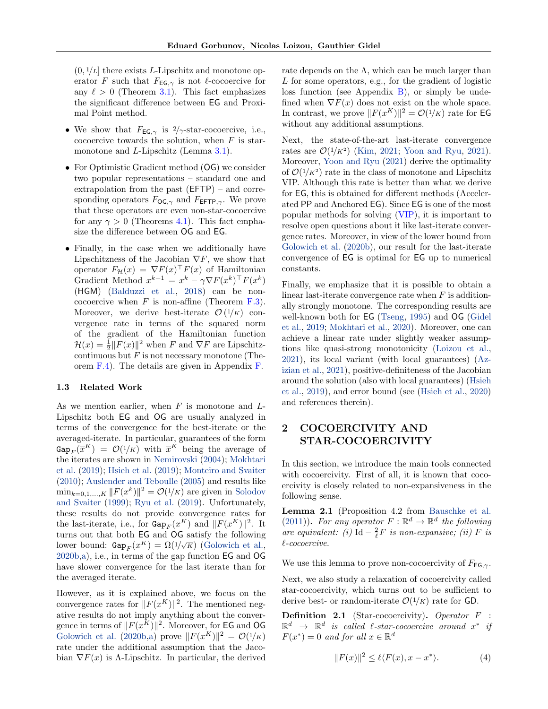$(0, 1/L]$  there exists L-Lipschitz and monotone operator F such that  $F_{\text{EG},\gamma}$  is not  $\ell$ -cocoercive for any  $\ell > 0$  (Theorem [3.1\)](#page-4-0). This fact emphasizes the significant difference between EG and Proximal Point method.

- We show that  $F_{\text{EG},\gamma}$  is  $2/\gamma$ -star-cocoercive, i.e., cocoercive towards the solution, when  $F$  is starmonotone and *L*-Lipschitz (Lemma [3.1\)](#page-3-1).
- For Optimistic Gradient method (OG) we consider two popular representations – standard one and extrapolation from the past (EFTP) – and corresponding operators  $F_{\text{OG},\gamma}$  and  $F_{\text{EFTP},\gamma}$ . We prove that these operators are even non-star-cocoercive for any  $\gamma > 0$  (Theorems [4.1\)](#page-8-1). This fact emphasize the difference between OG and EG.
- Finally, in the case when we additionally have Lipschitzness of the Jacobian  $\nabla F$ , we show that operator  $F_{\mathcal{H}}(x) = \nabla F(x)^\top F(x)$  of Hamiltonian Gradient Method  $x^{k+1} = x^k - \gamma \nabla F(x^k)^\top F(x^k)$ (HGM) [\(Balduzzi et al.,](#page-9-13) [2018\)](#page-9-13) can be noncocoercive when  $F$  is non-affine (Theorem  $F.3$ ). Moreover, we derive best-iterate  $\mathcal{O}(1/K)$  convergence rate in terms of the squared norm of the gradient of the Hamiltonian function  $\mathcal{H}(x) = \frac{1}{2} ||F(x)||^2$  when F and  $\nabla F$  are Lipschitzcontinuous but  $F$  is not necessary monotone (Theorem [F.4\)](#page-35-0). The details are given in Appendix [F.](#page-33-0)

#### <span id="page-2-1"></span>1.3 Related Work

As we mention earlier, when  $F$  is monotone and  $L$ -Lipschitz both EG and OG are usually analyzed in terms of the convergence for the best-iterate or the averaged-iterate. In particular, guarantees of the form  $\text{Gap}_F(\overline{x}^K) = \mathcal{O}(1/K)$  with  $\overline{x}^K$  being the average of the iterates are shown in [Nemirovski](#page-11-10) [\(2004\)](#page-11-10); [Mokhtari](#page-10-14) [et al.](#page-10-14) [\(2019\)](#page-10-14); [Hsieh et al.](#page-10-16) [\(2019\)](#page-10-16); [Monteiro and Svaiter](#page-11-11) [\(2010\)](#page-11-11); [Auslender and Teboulle](#page-9-14) [\(2005\)](#page-9-14) and results like  $\min_{k=0,1,\dots,K} ||F(x^k)||^2 = \mathcal{O}(1/K)$  are given in [Solodov](#page-11-2) [and Svaiter](#page-11-2) [\(1999\)](#page-11-2); [Ryu et al.](#page-11-3) [\(2019\)](#page-11-3). Unfortunately, these results do not provide convergence rates for the last-iterate, i.e., for  $\text{Gap}_F(x^K)$  and  $||F(x^K)||^2$ . It turns out that both EG and OG satisfy the following lower bound:  $\text{Gap}_F(x^K) = \Omega(1/\sqrt{K})$  [\(Golowich et al.,](#page-9-0) [2020b](#page-9-0)[,a\)](#page-9-6), i.e., in terms of the gap function EG and OG have slower convergence for the last iterate than for the averaged iterate.

However, as it is explained above, we focus on the convergence rates for  $||F(x^K)||^2$ . The mentioned negative results do not imply anything about the convergence in terms of  $||F(x^K)||^2$ . Moreover, for EG and OG [Golowich et al.](#page-9-0) [\(2020b,](#page-9-0)[a\)](#page-9-6) prove  $||F(x^K)||^2 = \mathcal{O}(1/K)$ rate under the additional assumption that the Jacobian  $\nabla F(x)$  is  $\Lambda$ -Lipschitz. In particular, the derived rate depends on the  $\Lambda$ , which can be much larger than L for some operators, e.g., for the gradient of logistic loss function (see Appendix  $B$ ), or simply be undefined when  $\nabla F(x)$  does not exist on the whole space. In contrast, we prove  $||F(x^K)||^2 = O(1/K)$  rate for **EG** without any additional assumptions.

Next, the state-of-the-art last-iterate convergence rates are  $\mathcal{O}(1/K^2)$  [\(Kim,](#page-10-17) [2021;](#page-10-17) [Yoon and Ryu,](#page-11-6) [2021\)](#page-11-6). Moreover, [Yoon and Ryu](#page-11-6) [\(2021\)](#page-11-6) derive the optimality of  $\mathcal{O}(1/K^2)$  rate in the class of monotone and Lipschitz VIP. Although this rate is better than what we derive for EG, this is obtained for different methods (Accelerated PP and Anchored EG). Since EG is one of the most popular methods for solving [\(VIP\)](#page-0-0), it is important to resolve open questions about it like last-iterate convergence rates. Moreover, in view of the lower bound from [Golowich et al.](#page-9-0) [\(2020b\)](#page-9-0), our result for the last-iterate convergence of EG is optimal for EG up to numerical constants.

Finally, we emphasize that it is possible to obtain a linear last-iterate convergence rate when  $F$  is additionally strongly monotone. The corresponding results are well-known both for EG [\(Tseng,](#page-11-12) [1995\)](#page-11-12) and OG [\(Gidel](#page-9-2) [et al.,](#page-9-2) [2019;](#page-9-2) [Mokhtari et al.,](#page-11-13) [2020\)](#page-11-13). Moreover, one can achieve a linear rate under slightly weaker assumptions like quasi-strong monotonicity [\(Loizou et al.,](#page-10-12) [2021\)](#page-10-12), its local variant (with local guarantees) [\(Az](#page-9-5)[izian et al.,](#page-9-5) [2021\)](#page-9-5), positive-definiteness of the Jacobian around the solution (also with local guarantees) [\(Hsieh](#page-10-16) [et al.,](#page-10-16) [2019\)](#page-10-16), and error bound (see [\(Hsieh et al.,](#page-10-7) [2020\)](#page-10-7) and references therein).

# <span id="page-2-2"></span>2 COCOERCIVITY AND STAR-COCOERCIVITY

In this section, we introduce the main tools connected with cocoercivity. First of all, it is known that cocoercivity is closely related to non-expansiveness in the following sense.

<span id="page-2-0"></span>Lemma 2.1 (Proposition 4.2 from [Bauschke et al.](#page-9-10) [\(2011\)](#page-9-10)). For any operator  $F: \mathbb{R}^d \to \mathbb{R}^d$  the following are equivalent: (i) Id  $-\frac{2}{\ell}F$  is non-expansive; (ii) F is  $\ell$ -cocoercive.

We use this lemma to prove non-cocoercivity of  $F_{EG,\gamma}$ .

Next, we also study a relaxation of cocoercivity called star-cocoercivity, which turns out to be sufficient to derive best- or random-iterate  $\mathcal{O}(1/K)$  rate for GD.

Definition 2.1 (Star-cocoercivity). Operator F :  $\mathbb{R}^d$   $\rightarrow$   $\mathbb{R}^d$  is called  $\ell$ -star-cocoercive around  $x^*$  if  $F(x^*) = 0$  and for all  $x \in \mathbb{R}^d$ 

<span id="page-2-3"></span>
$$
||F(x)||^2 \le \ell \langle F(x), x - x^* \rangle. \tag{4}
$$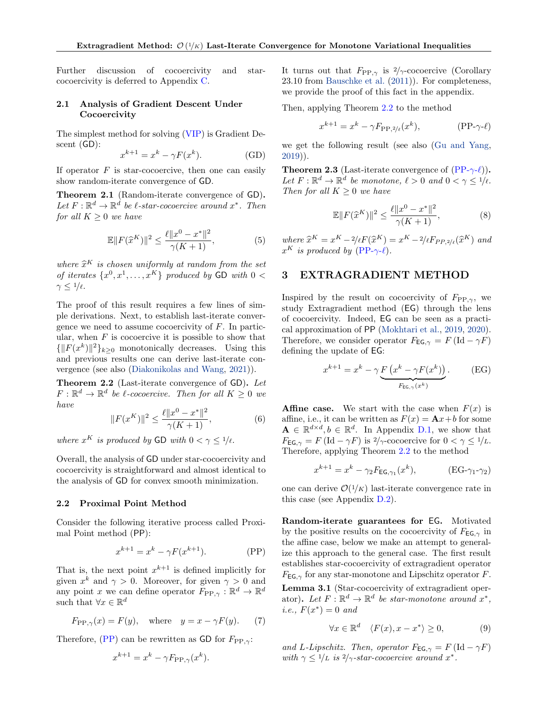Further discussion of cocoercivity and starcocoercivity is deferred to Appendix [C.](#page-15-0)

#### <span id="page-3-6"></span>2.1 Analysis of Gradient Descent Under **Cocoercivity**

The simplest method for solving [\(VIP\)](#page-0-0) is Gradient Descent (GD):

$$
x^{k+1} = x^k - \gamma F(x^k). \tag{GD}
$$

If operator  $F$  is star-cocoercive, then one can easily show random-iterate convergence of GD.

<span id="page-3-4"></span>Theorem 2.1 (Random-iterate convergence of GD). Let  $F: \mathbb{R}^d \to \mathbb{R}^d$  be l-star-cocoercive around  $x^*$ . Then for all  $K \geq 0$  we have

$$
\mathbb{E}||F(\hat{x}^{K})||^{2} \le \frac{\ell||x^{0} - x^{*}||^{2}}{\gamma(K+1)},
$$
\n(5)

where  $\hat{x}^K$  is chosen uniformly at random from the set<br>of iterates  $\{x^0, x^1, ..., x^K\}$  produced by  $\overline{CD}$  with  $0 \leq$ of iterates  $\{x^0, x^1, \ldots, x^K\}$  produced by GD with  $0 <$  $\gamma \leq 1/\ell$ .

The proof of this result requires a few lines of simple derivations. Next, to establish last-iterate convergence we need to assume cocoercivity of  $F$ . In particular, when  $F$  is cocoercive it is possible to show that  ${\{|F(x^k)\|^2\}}_{k\geq 0}$  monotonically decreases. Using this and previous results one can derive last-iterate convergence (see also [\(Diakonikolas and Wang,](#page-9-9) [2021\)](#page-9-9)).

<span id="page-3-0"></span>Theorem 2.2 (Last-iterate convergence of GD). Let  $F: \mathbb{R}^d \to \mathbb{R}^d$  be l-cocoercive. Then for all  $K \geq 0$  we have

<span id="page-3-12"></span>
$$
||F(x^K)||^2 \le \frac{\ell ||x^0 - x^*||^2}{\gamma(K+1)},
$$
\n(6)

where  $x^K$  is produced by GD with  $0 < \gamma \leq 1/\ell$ .

Overall, the analysis of GD under star-cocoercivity and cocoercivity is straightforward and almost identical to the analysis of GD for convex smooth minimization.

#### <span id="page-3-8"></span>2.2 Proximal Point Method

Consider the following iterative process called Proximal Point method (PP):

<span id="page-3-13"></span>
$$
x^{k+1} = x^k - \gamma F(x^{k+1}).
$$
 (PP)

That is, the next point  $x^{k+1}$  is defined implicitly for given  $x^k$  and  $\gamma > 0$ . Moreover, for given  $\gamma > 0$  and any point x we can define operator  $F_{\text{PP}, \gamma}: \mathbb{R}^d \to \mathbb{R}^d$ such that  $\forall x \in \mathbb{R}^d$ 

$$
F_{\text{PP},\gamma}(x) = F(y)
$$
, where  $y = x - \gamma F(y)$ . (7)

Therefore,  $(PP)$  can be rewritten as GD for  $F_{PP,\gamma}$ :

<span id="page-3-14"></span>
$$
x^{k+1} = x^k - \gamma F_{\text{PP},\gamma}(x^k).
$$

It turns out that  $F_{\text{PP},\gamma}$  is  $2/\gamma$ -cocoercive (Corollary 23.10 from [Bauschke et al.](#page-9-10) [\(2011\)](#page-9-10)). For completeness, we provide the proof of this fact in the appendix.

Then, applying Theorem [2.2](#page-3-0) to the method

<span id="page-3-3"></span>
$$
x^{k+1} = x^k - \gamma F_{\text{PP},2/\ell}(x^k), \qquad (\text{PP-}\gamma\text{-}\ell)
$$

<span id="page-3-11"></span>we get the following result (see also [\(Gu and Yang,](#page-10-18) [2019\)](#page-10-18)).

<span id="page-3-10"></span>**Theorem 2.3** (Last-iterate convergence of  $(PP-\gamma-\ell)$  $(PP-\gamma-\ell)$ ). Let  $F: \mathbb{R}^d \to \mathbb{R}^d$  be monotone,  $\ell > 0$  and  $0 < \gamma \leq 1/\ell$ . Then for all  $K \geq 0$  we have

$$
\mathbb{E}||F(\hat{x}^{K})||^{2} \le \frac{\ell||x^{0} - x^{*}||^{2}}{\gamma(K+1)},
$$
\n(8)

where  $\hat{x}^K = x^K - 2/\ell F(\hat{x}^K) = x^K - 2/\ell F_{PP,2/\ell}(\hat{x}^K)$  and  $x^K$  is produced by (PP  $\alpha \ell$ )  $x^K$  is produced by [\(PP-](#page-3-3) $\gamma$ - $\ell$ ).

# <span id="page-3-9"></span>3 EXTRAGRADIENT METHOD

Inspired by the result on cocoercivity of  $F_{PP,\gamma}$ , we study Extragradient method (EG) through the lens of cocoercivity. Indeed, EG can be seen as a practical approximation of PP [\(Mokhtari et al.,](#page-10-14) [2019,](#page-10-14) [2020\)](#page-11-13). Therefore, we consider operator  $F_{EG,\gamma} = F(\text{Id} - \gamma F)$ defining the update of EG:

<span id="page-3-15"></span><span id="page-3-7"></span>
$$
x^{k+1} = x^k - \gamma \underbrace{F\left(x^k - \gamma F(x^k)\right)}_{F_{\text{EG},\gamma}(x^k)}.
$$
 (EG)

**Affine case.** We start with the case when  $F(x)$  is affine, i.e., it can be written as  $F(x) = \mathbf{A}x + b$  for some  $\mathbf{A} \in \mathbb{R}^{d \times d}, b \in \mathbb{R}^d$ . In Appendix [D.1,](#page-21-1) we show that  $F_{\text{EG},\gamma} = F(\text{Id} - \gamma F)$  is  $2/\gamma$ -cocoercive for  $0 < \gamma \leq 1/L$ . Therefore, applying Theorem [2.2](#page-3-0) to the method

<span id="page-3-5"></span>
$$
x^{k+1} = x^k - \gamma_2 F_{\text{EG},\gamma_1}(x^k), \qquad (\text{EG-}\gamma_1 - \gamma_2)
$$

one can derive  $\mathcal{O}(1/K)$  last-iterate convergence rate in this case (see Appendix [D.2\)](#page-22-0).

<span id="page-3-2"></span>Random-iterate guarantees for EG. Motivated by the positive results on the cocoercivity of  $F_{EG, \gamma}$  in the affine case, below we make an attempt to generalize this approach to the general case. The first result establishes star-cocoercivity of extragradient operator  $F_{\text{EG},\gamma}$  for any star-monotone and Lipschitz operator F.

<span id="page-3-1"></span>Lemma 3.1 (Star-cocoercivity of extragradient operator). Let  $F: \mathbb{R}^d \to \mathbb{R}^d$  be star-monotone around  $x^*$ , *i.e.*,  $F(x^*) = 0$  and

$$
\forall x \in \mathbb{R}^d \quad \langle F(x), x - x^* \rangle \ge 0,\tag{9}
$$

and L-Lipschitz. Then, operator  $F_{\text{EG},\gamma} = F(\text{Id} - \gamma F)$ with  $\gamma \leq 1/L$  is  $2/\gamma$ -star-cocoercive around  $x^*$ .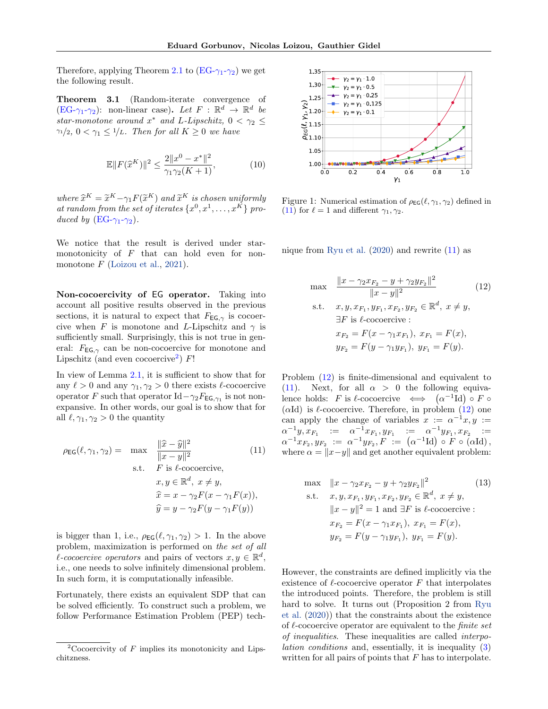Therefore, applying Theorem [2.1](#page-3-4) to  $(EG-\gamma_1-\gamma_2)$  $(EG-\gamma_1-\gamma_2)$  we get the following result.

<span id="page-4-0"></span>Theorem 3.1 (Random-iterate convergence of  $(EG-\gamma_1-\gamma_2)$  $(EG-\gamma_1-\gamma_2)$ : non-linear case). Let  $F : \mathbb{R}^d \to \mathbb{R}^d$  be star-monotone around  $x^*$  and L-Lipschitz,  $0 < \gamma_2 \leq$  $\gamma_1/2$ ,  $0 < \gamma_1 \leq 1/L$ . Then for all  $K \geq 0$  we have

$$
\mathbb{E}||F(\hat{x}^{K})||^{2} \le \frac{2||x^{0} - x^{*}||^{2}}{\gamma_{1}\gamma_{2}(K+1)},
$$
\n(10)

where  $\widetilde{x}^K = \widetilde{x}^K - \gamma_1 F(\widetilde{x}^K)$  and  $\widetilde{x}^K$  is chosen uniformly<br>at random from the set of iterates  $\{x^0, x^1, ..., x^K\}$ at random from the set of iterates  $\{x^0, x^1, \ldots, x^K\}$  produced by  $(EG-\gamma_1-\gamma_2)$  $(EG-\gamma_1-\gamma_2)$ .

We notice that the result is derived under starmonotonicity of F that can hold even for nonmonotone  $F$  [\(Loizou et al.,](#page-10-12) [2021\)](#page-10-12).

Non-cocoercivity of EG operator. Taking into account all positive results observed in the previous sections, it is natural to expect that  $F_{EG, \gamma}$  is cocoercive when F is monotone and L-Lipschitz and  $\gamma$  is sufficiently small. Surprisingly, this is not true in general:  $F_{EG, \gamma}$  can be non-cocoercive for monotone and Lipschitz (and even cocoercive<sup>[2](#page-4-1)</sup>)  $F!$ 

In view of Lemma [2.1,](#page-2-0) it is sufficient to show that for any  $\ell > 0$  and any  $\gamma_1, \gamma_2 > 0$  there exists  $\ell$ -cocoercive operator F such that operator  $\mathrm{Id} - \gamma_2 F_{\mathsf{EG},\gamma_1}$  is not nonexpansive. In other words, our goal is to show that for all  $\ell, \gamma_1, \gamma_2 > 0$  the quantity

<span id="page-4-2"></span>
$$
\rho_{\text{EG}}(\ell, \gamma_1, \gamma_2) = \max \frac{\|\hat{x} - \hat{y}\|^2}{\|x - y\|^2}
$$
(11)  
s.t.  $F$  is  $\ell$ -cocoercive,  
 $x, y \in \mathbb{R}^d, x \neq y$ ,  
 $\hat{x} = x - \gamma_2 F(x - \gamma_1 F(x))$ ,  
 $\hat{y} = y - \gamma_2 F(y - \gamma_1 F(y))$ 

is bigger than 1, i.e.,  $\rho_{\text{EG}}(\ell, \gamma_1, \gamma_2) > 1$ . In the above problem, maximization is performed on the set of all l-cocoercive operators and pairs of vectors  $x, y \in \mathbb{R}^d$ , i.e., one needs to solve infinitely dimensional problem. In such form, it is computationally infeasible.

Fortunately, there exists an equivalent SDP that can be solved efficiently. To construct such a problem, we follow Performance Estimation Problem (PEP) tech-

<span id="page-4-5"></span>

Figure 1: Numerical estimation of  $\rho_{\textsf{EG}}(\ell, \gamma_1, \gamma_2)$  defined in [\(11\)](#page-4-2) for  $\ell = 1$  and different  $\gamma_1, \gamma_2$ .

nique from [Ryu et al.](#page-11-8) [\(2020\)](#page-11-8) and rewrite [\(11\)](#page-4-2) as

<span id="page-4-3"></span>
$$
\max \frac{\|x - \gamma_2 x_{F_2} - y + \gamma_2 y_{F_2}\|^2}{\|x - y\|^2} \qquad (12)
$$
\n
$$
\text{s.t.} \quad x, y, x_{F_1}, y_{F_1}, x_{F_2}, y_{F_2} \in \mathbb{R}^d, \ x \neq y,
$$
\n
$$
\exists F \text{ is } \ell\text{-cocoercive :}
$$
\n
$$
x_{F_2} = F(x - \gamma_1 x_{F_1}), \ x_{F_1} = F(x),
$$
\n
$$
y_{F_2} = F(y - \gamma_1 y_{F_1}), \ y_{F_1} = F(y).
$$
\n
$$
(12)
$$

Problem [\(12\)](#page-4-3) is finite-dimensional and equivalent to [\(11\)](#page-4-2). Next, for all  $\alpha > 0$  the following equivalence holds: F is  $\ell$ -cocoercive  $\iff (\alpha^{-1} \text{Id}) \circ F \circ$ ( $\alpha$ Id) is  $\ell$ -cocoercive. Therefore, in problem [\(12\)](#page-4-3) one can apply the change of variables  $x := \alpha^{-1}x, y :=$  $\alpha^{-1}y, x_{F_1}$  :=  $\alpha^{-1}x_{F_1}, y_{F_1}$  :=  $\alpha^{-1}y_{F_1}, x_{F_2}$  :=  $\alpha^{-1} x_{F_2}, y_{F_2} := \alpha^{-1} y_{F_2}, F := (\alpha^{-1} \text{Id}) \circ F \circ (\alpha \text{Id}),$ where  $\alpha = ||x-y||$  and get another equivalent problem:

<span id="page-4-4"></span>max 
$$
||x - \gamma_2 x_{F_2} - y + \gamma_2 y_{F_2}||^2
$$
 (13)  
\ns.t.  $x, y, x_{F_1}, y_{F_1}, x_{F_2}, y_{F_2} \in \mathbb{R}^d, x \neq y$ ,  
\n $||x - y||^2 = 1$  and  $\exists F$  is  $\ell$ -cocoercive :  
\n $x_{F_2} = F(x - \gamma_1 x_{F_1}), x_{F_1} = F(x)$ ,  
\n $y_{F_2} = F(y - \gamma_1 y_{F_1}), y_{F_1} = F(y)$ .

However, the constraints are defined implicitly via the existence of  $\ell$ -cocoercive operator F that interpolates the introduced points. Therefore, the problem is still hard to solve. It turns out (Proposition 2 from [Ryu](#page-11-8) [et al.](#page-11-8) [\(2020\)](#page-11-8)) that the constraints about the existence of  $\ell$ -cocoercive operator are equivalent to the *finite set* of inequalities. These inequalities are called interpolation conditions and, essentially, it is inequality [\(3\)](#page-1-1) written for all pairs of points that  $F$  has to interpolate.

<span id="page-4-1"></span><sup>&</sup>lt;sup>2</sup>Cocoercivity of  $F$  implies its monotonicity and Lipschitzness.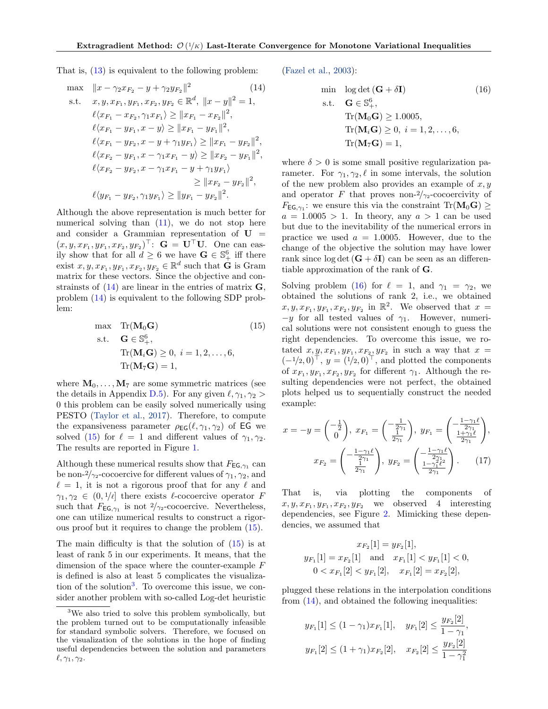That is, [\(13\)](#page-4-4) is equivalent to the following problem:

<span id="page-5-0"></span>max 
$$
||x - \gamma_2 x_{F_2} - y + \gamma_2 y_{F_2}||^2
$$
 (14)  
\ns.t.  $x, y, x_{F_1}, y_{F_1}, x_{F_2}, y_{F_2} \in \mathbb{R}^d$ ,  $||x - y||^2 = 1$ ,  
\n $\ell \langle x_{F_1} - x_{F_2}, \gamma_1 x_{F_1} \rangle \ge ||x_{F_1} - x_{F_2}||^2$ ,  
\n $\ell \langle x_{F_1} - y_{F_1}, x - y \rangle \ge ||x_{F_1} - y_{F_1}||^2$ ,  
\n $\ell \langle x_{F_1} - y_{F_2}, x - y + \gamma_1 y_{F_1} \rangle \ge ||x_{F_1} - y_{F_2}||^2$ ,  
\n $\ell \langle x_{F_2} - y_{F_1}, x - \gamma_1 x_{F_1} - y \rangle \ge ||x_{F_2} - y_{F_1}||^2$ ,  
\n $\ell \langle x_{F_2} - y_{F_2}, x - \gamma_1 x_{F_1} - y + \gamma_1 y_{F_1} \rangle \ge ||x_{F_2} - y_{F_2}||^2$ ,  
\n $\ell \langle y_{F_1} - y_{F_2}, \gamma_1 y_{F_1} \rangle \ge ||y_{F_1} - y_{F_2}||^2$ .

Although the above representation is much better for numerical solving than  $(11)$ , we do not stop here and consider a Grammian representation of  $U =$  $(x, y, x_{F_1}, y_{F_1}, x_{F_2}, y_{F_2})^{\top}$ :  $\mathbf{G} = \mathbf{U}^{\top} \mathbf{U}$ . One can easily show that for all  $d \geq 6$  we have  $\mathbf{G} \in \mathbb{S}^6_+$  iff there exist  $x, y, x_{F_1}, y_{F_1}, x_{F_2}, y_{F_2} \in \mathbb{R}^d$  such that  $\dot{G}$  is Gram matrix for these vectors. Since the objective and constrainsts of  $(14)$  are linear in the entries of matrix  $\mathbf{G}$ , problem [\(14\)](#page-5-0) is equivalent to the following SDP problem:

<span id="page-5-1"></span>
$$
\max \quad \text{Tr}(\mathbf{M}_0 \mathbf{G}) \tag{15}
$$
\n
$$
\text{s.t.} \quad \mathbf{G} \in \mathbb{S}_+^6,
$$
\n
$$
\text{Tr}(\mathbf{M}_i \mathbf{G}) \ge 0, \ i = 1, 2, \dots, 6,
$$
\n
$$
\text{Tr}(\mathbf{M}_7 \mathbf{G}) = 1,
$$

where  $M_0, \ldots, M_7$  are some symmetric matrices (see the details in Appendix [D.5\)](#page-24-0). For any given  $\ell, \gamma_1, \gamma_2 >$ 0 this problem can be easily solved numerically using PESTO [\(Taylor et al.,](#page-11-7) [2017\)](#page-11-7). Therefore, to compute the expansiveness parameter  $\rho_{EG}(\ell, \gamma_1, \gamma_2)$  of EG we solved [\(15\)](#page-5-1) for  $\ell = 1$  and different values of  $\gamma_1, \gamma_2$ . The results are reported in Figure [1.](#page-4-5)

Although these numerical results show that  $F_{\textsf{EG},\gamma_1}$  can be non- $\frac{2}{\gamma_2}$ -cocoercive for different values of  $\gamma_1, \gamma_2$ , and  $\ell = 1$ , it is not a rigorous proof that for any  $\ell$  and  $\gamma_1, \gamma_2 \in (0, 1/\ell]$  there exists  $\ell$ -cocoercive operator F such that  $F_{\text{EG},\gamma_1}$  is not  $2/\gamma_2$ -cocoercive. Nevertheless, one can utilize numerical results to construct a rigorous proof but it requires to change the problem [\(15\)](#page-5-1).

The main difficulty is that the solution of [\(15\)](#page-5-1) is at least of rank 5 in our experiments. It means, that the dimension of the space where the counter-example  $F$ is defined is also at least 5 complicates the visualiza-tion of the solution<sup>[3](#page-5-2)</sup>. To overcome this issue, we consider another problem with so-called Log-det heuristic [\(Fazel et al.,](#page-9-15) [2003\)](#page-9-15):

<span id="page-5-3"></span>
$$
\begin{aligned}\n\min \quad & \log \det (\mathbf{G} + \delta \mathbf{I}) \tag{16} \\
\text{s.t.} \quad & \mathbf{G} \in \mathbb{S}_+^6, \\
& \text{Tr}(\mathbf{M}_0 \mathbf{G}) \ge 1.0005, \\
& \text{Tr}(\mathbf{M}_i \mathbf{G}) \ge 0, \ i = 1, 2, \dots, 6, \\
& \text{Tr}(\mathbf{M}_7 \mathbf{G}) = 1,\n\end{aligned}
$$

where  $\delta > 0$  is some small positive regularization parameter. For  $\gamma_1, \gamma_2, \ell$  in some intervals, the solution of the new problem also provides an example of  $x, y$ and operator F that proves non- $2/\gamma_2$ -cocoercivity of  $F_{\textsf{EG},\gamma_1}$ : we ensure this via the constraint Tr( $\mathbf{M}_0\mathbf{G}$ )  $\geq$  $a = 1.0005 > 1$ . In theory, any  $a > 1$  can be used but due to the inevitability of the numerical errors in practice we used  $a = 1.0005$ . However, due to the change of the objective the solution may have lower rank since  $log \det (\mathbf{G} + \delta \mathbf{I})$  can be seen as an differentiable approximation of the rank of G.

Solving problem [\(16\)](#page-5-3) for  $\ell = 1$ , and  $\gamma_1 = \gamma_2$ , we obtained the solutions of rank 2, i.e., we obtained  $x, y, x_{F_1}, y_{F_1}, x_{F_2}, y_{F_2}$  in  $\mathbb{R}^2$ . We observed that  $x =$  $-y$  for all tested values of  $\gamma_1$ . However, numerical solutions were not consistent enough to guess the right dependencies. To overcome this issue, we rotated  $x, y, x_{F_1}, y_{F_1}, x_{F_2}, y_{F_2}$  in such a way that  $x =$  $(-1/2, 0)^{\top}$ ,  $y = (1/2, 0)^{\top}$ , and plotted the components of  $x_{F_1}, y_{F_1}, x_{F_2}, y_{F_2}$  for different  $\gamma_1$ . Although the resulting dependencies were not perfect, the obtained plots helped us to sequentially construct the needed example:

$$
x = -y = \begin{pmatrix} -\frac{1}{2} \\ 0 \end{pmatrix}, \ x_{F_1} = \begin{pmatrix} -\frac{1}{2\gamma_1} \\ \frac{1}{2\gamma_1} \end{pmatrix}, \ y_{F_1} = \begin{pmatrix} -\frac{1-\gamma_1\ell}{2\gamma_1} \\ \frac{1+\gamma_1\ell}{2\gamma_1} \end{pmatrix},
$$

$$
x_{F_2} = \begin{pmatrix} -\frac{1-\gamma_1\ell}{2\gamma_1} \\ \frac{1}{2\gamma_1} \end{pmatrix}, \ y_{F_2} = \begin{pmatrix} -\frac{1-\gamma_1\ell}{2\gamma_1} \\ \frac{1-\gamma_1^2\ell^2}{2\gamma_1} \end{pmatrix}. \tag{17}
$$

That is, via plotting the components of  $x, y, x_{F_1}, y_{F_1}, x_{F_2}, y_{F_2}$  we observed 4 interesting dependencies, see Figure [2.](#page-6-0) Mimicking these dependencies, we assumed that

<span id="page-5-4"></span>
$$
x_{F_2}[1] = y_{F_2}[1],
$$
  
\n
$$
y_{F_1}[1] = x_{F_2}[1] \text{ and } x_{F_1}[1] < y_{F_1}[1] < 0,
$$
  
\n
$$
0 < x_{F_1}[2] < y_{F_1}[2], \quad x_{F_1}[2] = x_{F_2}[2],
$$

plugged these relations in the interpolation conditions from [\(14\)](#page-5-0), and obtained the following inequalities:

$$
y_{F_1}[1] \le (1 - \gamma_1) x_{F_1}[1], \quad y_{F_1}[2] \le \frac{y_{F_2}[2]}{1 - \gamma_1},
$$
  

$$
y_{F_1}[2] \le (1 + \gamma_1) x_{F_2}[2], \quad x_{F_2}[2] \le \frac{y_{F_2}[2]}{1 - \gamma_1^2}
$$

<span id="page-5-2"></span><sup>3</sup>We also tried to solve this problem symbolically, but the problem turned out to be computationally infeasible for standard symbolic solvers. Therefore, we focused on the visualization of the solutions in the hope of finding useful dependencies between the solution and parameters  $\ell, \gamma_1, \gamma_2.$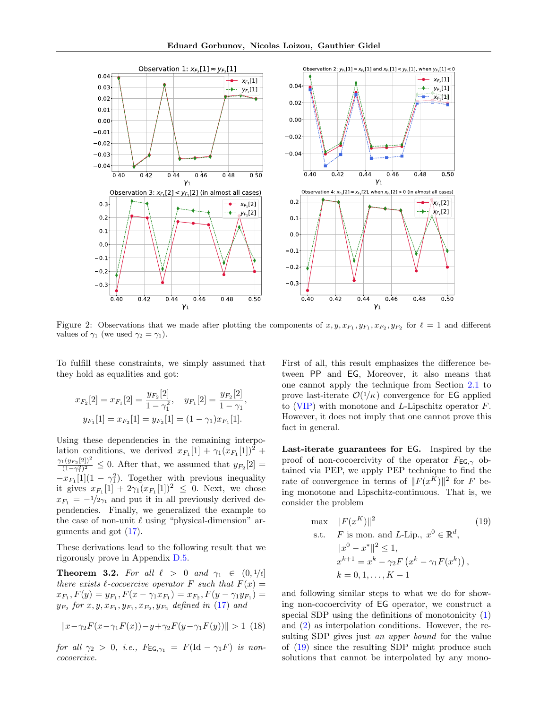<span id="page-6-0"></span>

Figure 2: Observations that we made after plotting the components of  $x, y, x_{F_1}, y_{F_1}, x_{F_2}, y_{F_2}$  for  $\ell = 1$  and different values of  $\gamma_1$  (we used  $\gamma_2 = \gamma_1$ ).

To fulfill these constraints, we simply assumed that they hold as equalities and got:

$$
x_{F_2}[2] = x_{F_1}[2] = \frac{y_{F_2}[2]}{1 - \gamma_1^2}, \quad y_{F_1}[2] = \frac{y_{F_2}[2]}{1 - \gamma_1},
$$
  

$$
y_{F_1}[1] = x_{F_2}[1] = y_{F_2}[1] = (1 - \gamma_1)x_{F_1}[1].
$$

Using these dependencies in the remaining interpolation conditions, we derived  $x_{F_1}[1] + \gamma_1(x_{F_1}[1])^2 +$  $\gamma_{1}(y_{F_{2}}[2])^{2}$  $\frac{(1+y_{F_2}(2))}{(1-\gamma_1^2)^2} \leq 0$ . After that, we assumed that  $y_{F_2}[2] =$  $-x_{F_1}[1](1 - \gamma_1^2)$ . Together with previous inequality it gives  $x_{F_1}[1] + 2\gamma_1(x_{F_1}[1])^2 \leq 0$ . Next, we chose  $x_{F_1} = -\frac{1}{2\gamma_1}$  and put it in all previously derived dependencies. Finally, we generalized the example to the case of non-unit  $\ell$  using "physical-dimension" arguments and got [\(17\)](#page-5-4).

These derivations lead to the following result that we rigorously prove in Appendix [D.5.](#page-24-0)

<span id="page-6-2"></span>**Theorem 3.2.** For all  $\ell > 0$  and  $\gamma_1 \in (0, 1/\ell]$ there exists  $\ell$ -cocoercive operator F such that  $F(x) =$  $x_{F_1}, F(y) = y_{F_1}, F(x - \gamma_1 x_{F_1}) = x_{F_2}, F(y - \gamma_1 y_{F_1}) =$  $y_{F_2}$  for  $x, y, x_{F_1}, y_{F_1}, x_{F_2}, y_{F_2}$  defined in  $(17)$  and

$$
||x - \gamma_2 F(x - \gamma_1 F(x)) - y + \gamma_2 F(y - \gamma_1 F(y))|| > 1
$$
 (18)

for all  $\gamma_2 > 0$ , i.e.,  $F_{\textsf{EG},\gamma_1} = F(\text{Id} - \gamma_1 F)$  is noncocoercive.

First of all, this result emphasizes the difference between PP and EG, Moreover, it also means that one cannot apply the technique from Section [2.1](#page-3-6) to prove last-iterate  $\mathcal{O}(1/K)$  convergence for **EG** applied to  $(VIP)$  with monotone and L-Lipschitz operator F. However, it does not imply that one cannot prove this fact in general.

Last-iterate guarantees for EG. Inspired by the proof of non-cocoercivity of the operator  $F_{EG, \gamma}$  obtained via PEP, we apply PEP technique to find the rate of convergence in terms of  $||F(x^K)||^2$  for F being monotone and Lipschitz-continuous. That is, we consider the problem

<span id="page-6-1"></span>max 
$$
||F(x^K)||^2
$$
 (19)  
\ns.t. *F* is mon. and *L*-Lip.,  $x^0 \in \mathbb{R}^d$ ,  
\n $||x^0 - x^*||^2 \le 1$ ,  
\n $x^{k+1} = x^k - \gamma_2 F(x^k - \gamma_1 F(x^k))$ ,  
\n $k = 0, 1, ..., K - 1$ 

and following similar steps to what we do for showing non-cocoercivity of EG operator, we construct a special SDP using the definitions of monotonicity  $(1)$ and [\(2\)](#page-1-2) as interpolation conditions. However, the resulting SDP gives just an upper bound for the value of [\(19\)](#page-6-1) since the resulting SDP might produce such solutions that cannot be interpolated by any mono-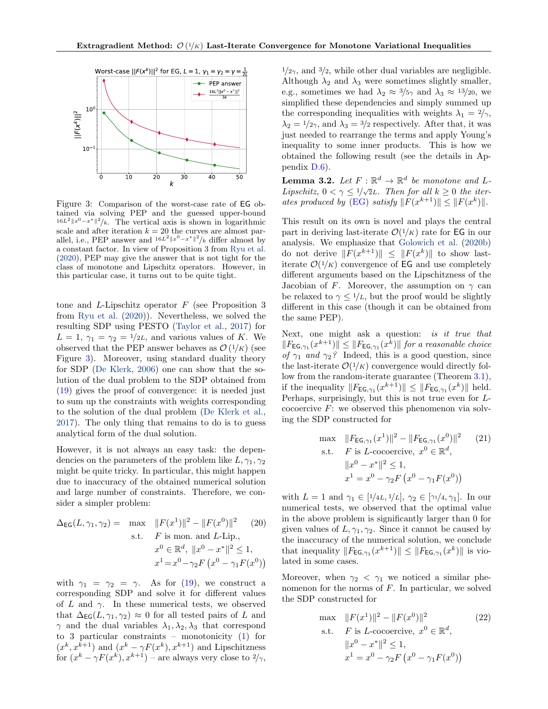<span id="page-7-0"></span>

Figure 3: Comparison of the worst-case rate of EG obtained via solving PEP and the guessed upper-bound  $16L^2 ||x^0 - x^*||^2 / k$ . The vertical axis is shown in logarithmic scale and after iteration  $k = 20$  the curves are almost parallel, i.e., PEP answer and  $16L^2 ||x^0 - x^*||^2/k$  differ almost by a constant factor. In view of Proposition 3 from [Ryu et al.](#page-11-8) [\(2020\)](#page-11-8), PEP may give the answer that is not tight for the class of monotone and Lipschitz operators. However, in this particular case, it turns out to be quite tight.

tone and L-Lipschitz operator  $F$  (see Proposition 3) from [Ryu et al.](#page-11-8) [\(2020\)](#page-11-8)). Nevertheless, we solved the resulting SDP using PESTO [\(Taylor et al.,](#page-11-7) [2017\)](#page-11-7) for  $L = 1, \gamma_1 = \gamma_2 = 1/2L$ , and various values of K. We observed that the PEP answer behaves as  $\mathcal{O}(1/K)$  (see Figure [3\)](#page-7-0). Moreover, using standard duality theory for SDP [\(De Klerk,](#page-9-16) [2006\)](#page-9-16) one can show that the solution of the dual problem to the SDP obtained from [\(19\)](#page-6-1) gives the proof of convergence: it is needed just to sum up the constraints with weights corresponding to the solution of the dual problem [\(De Klerk et al.,](#page-9-17) [2017\)](#page-9-17). The only thing that remains to do is to guess analytical form of the dual solution.

However, it is not always an easy task: the dependencies on the parameters of the problem like  $L, \gamma_1, \gamma_2$ might be quite tricky. In particular, this might happen due to inaccuracy of the obtained numerical solution and large number of constraints. Therefore, we consider a simpler problem:

$$
\Delta_{\text{EG}}(L, \gamma_1, \gamma_2) = \max \quad ||F(x^1)||^2 - ||F(x^0)||^2 \qquad (20)
$$
  
s.t.  $F$  is mon. and  $L$ -Lip.,  

$$
x^0 \in \mathbb{R}^d, \ ||x^0 - x^*||^2 \le 1,
$$

$$
x^1 = x^0 - \gamma_2 F (x^0 - \gamma_1 F(x^0))
$$

with  $\gamma_1 = \gamma_2 = \gamma$ . As for [\(19\)](#page-6-1), we construct a corresponding SDP and solve it for different values of L and  $\gamma$ . In these numerical tests, we observed that  $\Delta_{\text{EG}}(L, \gamma_1, \gamma_2) \approx 0$  for all tested pairs of L and  $\gamma$  and the dual variables  $\lambda_1, \lambda_2, \lambda_3$  that correspond to 3 particular constraints – monotonicity [\(1\)](#page-0-1) for  $(x^{k}, x^{k+1})$  and  $(x^{k} - \gamma F(x^{k}), x^{k+1})$  and Lipschitzness for  $(x^k - \gamma F(x^k), x^{k+1})$  – are always very close to  $2/\gamma$ ,

 $\frac{1}{2\gamma}$ , and  $\frac{3}{2}$ , while other dual variables are negligible. Although  $\lambda_2$  and  $\lambda_3$  were sometimes slightly smaller, e.g., sometimes we had  $\lambda_2 \approx 3/5\gamma$  and  $\lambda_3 \approx 13/20$ , we simplified these dependencies and simply summed up the corresponding inequalities with weights  $\lambda_1 = 2/\gamma$ ,  $\lambda_2 = 1/2\gamma$ , and  $\lambda_3 = 3/2$  respectively. After that, it was just needed to rearrange the terms and apply Young's inequality to some inner products. This is how we obtained the following result (see the details in Appendix [D.6\)](#page-26-0).

<span id="page-7-1"></span>**Lemma 3.2.** Let  $F : \mathbb{R}^d \to \mathbb{R}^d$  be monotone and L-Lipschitz,  $0 < \gamma \leq 1/\sqrt{2}L$ . Then for all  $k \geq 0$  the iter-ates produced by [\(EG\)](#page-3-7) satisfy  $||F(x^{k+1})|| \leq ||F(x^k)||$ .

This result on its own is novel and plays the central part in deriving last-iterate  $\mathcal{O}(1/K)$  rate for EG in our analysis. We emphasize that [Golowich et al.](#page-9-0) [\(2020b\)](#page-9-0) do not derive  $||F(x^{k+1})|| \leq ||F(x^k)||$  to show lastiterate  $\mathcal{O}(1/K)$  convergence of EG and use completely different arguments based on the Lipschitzness of the Jacobian of F. Moreover, the assumption on  $\gamma$  can be relaxed to  $\gamma \leq 1/L$ , but the proof would be slightly different in this case (though it can be obtained from the same PEP).

Next, one might ask a question: is it true that  $||F_{\text{EG},\gamma_1}(x^{k+1})|| \leq ||F_{\text{EG},\gamma_1}(x^k)||$  for a reasonable choice of  $\gamma_1$  and  $\gamma_2$ ? Indeed, this is a good question, since the last-iterate  $\mathcal{O}(1/K)$  convergence would directly follow from the random-iterate guarantee (Theorem [3.1\)](#page-4-0), if the inequality  $||F_{\text{EG},\gamma_1}(x^{k+1})|| \leq ||F_{\text{EG},\gamma_1}(x^k)||$  held. Perhaps, surprisingly, but this is not true even for Lcocoercive  $F$ : we observed this phenomenon via solving the SDP constructed for

max 
$$
||F_{\text{EG},\gamma_1}(x^1)||^2 - ||F_{\text{EG},\gamma_1}(x^0)||^2
$$
 (21)  
s.t.  $F$  is *L*-cocoercive,  $x^0 \in \mathbb{R}^d$ ,  
 $||x^0 - x^*||^2 \le 1$ ,  
 $x^1 = x^0 - \gamma_2 F(x^0 - \gamma_1 F(x^0))$ 

with  $L = 1$  and  $\gamma_1 \in [1/4L, 1/L], \gamma_2 \in [\gamma_1/4, \gamma_1].$  In our numerical tests, we observed that the optimal value in the above problem is significantly larger than 0 for given values of  $L, \gamma_1, \gamma_2$ . Since it cannot be caused by the inaccuracy of the numerical solution, we conclude that inequality  $||F_{\text{EG},\gamma_1}(x^{k+1})|| \leq ||F_{\text{EG},\gamma_1}(x^k)||$  is violated in some cases.

Moreover, when  $\gamma_2 < \gamma_1$  we noticed a similar phenomenon for the norms of F. In particular, we solved the SDP constructed for

max 
$$
||F(x^1)||^2 - ||F(x^0)||^2
$$
 (22)  
s.t.  $F$  is *L*-cocoercive,  $x^0 \in \mathbb{R}^d$ ,  
 $||x^0 - x^*||^2 \le 1$ ,  
 $x^1 = x^0 - \gamma_2 F(x^0 - \gamma_1 F(x^0))$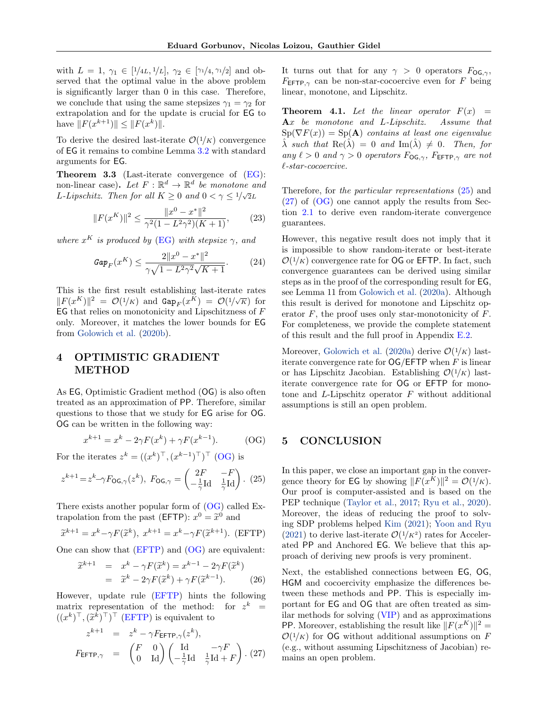with  $L = 1, \gamma_1 \in [1/4L, 1/L], \gamma_2 \in [\gamma_1/4, \gamma_1/2]$  and observed that the optimal value in the above problem is significantly larger than 0 in this case. Therefore, we conclude that using the same stepsizes  $\gamma_1 = \gamma_2$  for extrapolation and for the update is crucial for EG to have  $||F(x^{k+1})|| \leq ||F(x^k)||$ .

To derive the desired last-iterate  $\mathcal{O}(1/K)$  convergence of EG it remains to combine Lemma [3.2](#page-7-1) with standard arguments for EG.

<span id="page-8-0"></span>Theorem 3.3 (Last-iterate convergence of [\(EG\)](#page-3-7): non-linear case). Let  $F: \mathbb{R}^d \to \mathbb{R}^d$  be monotone and L-Lipschitz. Then for all  $K \geq 0$  and  $0 < \gamma \leq \frac{1}{\sqrt{2}}L$ 

$$
||F(x^K)||^2 \le \frac{||x^0 - x^*||^2}{\gamma^2 (1 - L^2 \gamma^2)(K+1)},
$$
 (23)

where  $x^K$  is produced by [\(EG\)](#page-3-7) with stepsize  $\gamma$ , and

$$
Gap_F(x^K) \le \frac{2||x^0 - x^*||^2}{\gamma\sqrt{1 - L^2\gamma^2}\sqrt{K+1}}.\tag{24}
$$

This is the first result establishing last-iterate rates  $||F(x^K)||^2 = \mathcal{O}(1/K)$  and  $\text{Gap}_F(x^K) = \mathcal{O}(1/\sqrt{K})$  for  $EG$  that relies on monotonicity and Lipschitzness of  $F$ only. Moreover, it matches the lower bounds for EG from [Golowich et al.](#page-9-0) [\(2020b\)](#page-9-0).

# <span id="page-8-6"></span>4 OPTIMISTIC GRADIENT METHOD

As EG, Optimistic Gradient method (OG) is also often treated as an approximation of PP. Therefore, similar questions to those that we study for EG arise for OG. OG can be written in the following way:

<span id="page-8-4"></span>
$$
x^{k+1} = x^k - 2\gamma F(x^k) + \gamma F(x^{k-1}).
$$
 (OG)

For the iterates  $z^k = ((x^k)^{\top}, (x^{k-1})^{\top})^{\top}$  [\(OG\)](#page-8-2) is

$$
z^{k+1} = z^k - \gamma F_{\text{OG},\gamma}(z^k), \ F_{\text{OG},\gamma} = \begin{pmatrix} 2F & -F \\ -\frac{1}{\gamma} \text{Id} & \frac{1}{\gamma} \text{Id} \end{pmatrix} . \tag{25}
$$

There exists another popular form of [\(OG\)](#page-8-2) called Extrapolation from the past (EFTP):  $x^0 = \tilde{x}^0$  and

<span id="page-8-8"></span>
$$
\widetilde{x}^{k+1} = x^k - \gamma F(\widetilde{x}^k), \ x^{k+1} = x^k - \gamma F(\widetilde{x}^{k+1}). \ \ (\text{EFTP})
$$

One can show that  $(EFTP)$  and  $(OG)$  are equivalent:

$$
\widetilde{x}^{k+1} = x^k - \gamma F(\widetilde{x}^k) = x^{k-1} - 2\gamma F(\widetilde{x}^k)
$$
  
= 
$$
\widetilde{x}^k - 2\gamma F(\widetilde{x}^k) + \gamma F(\widetilde{x}^{k-1}).
$$
 (26)

However, update rule [\(EFTP\)](#page-8-3) hints the following matrix representation of the method: for  $z^k =$  $((x^k)^\top, (\widetilde{x}^k)^\top)^\top$  [\(EFTP\)](#page-8-3) is equivalent to

<span id="page-8-5"></span>
$$
z^{k+1} = z^k - \gamma F_{\text{EFTP}, \gamma}(z^k),
$$
  

$$
F_{\text{EFTP}, \gamma} = \begin{pmatrix} F & 0 \\ 0 & \text{Id} \end{pmatrix} \begin{pmatrix} \text{Id} & -\gamma F \\ -\frac{1}{\gamma} \text{Id} & \frac{1}{\gamma} \text{Id} + F \end{pmatrix} . (27)
$$

It turns out that for any  $\gamma > 0$  operators  $F_{\text{OG},\gamma}$ ,  $F_{\text{EFTP},\gamma}$  can be non-star-cocoercive even for F being linear, monotone, and Lipschitz.

<span id="page-8-1"></span>**Theorem 4.1.** Let the linear operator  $F(x) =$ Ax be monotone and L-Lipschitz. Assume that  $Sp(\nabla F(x)) = Sp(\bf{A})$  contains at least one eigenvalue  $\hat{\lambda}$  such that  $\text{Re}(\hat{\lambda}) = 0$  and  $\text{Im}(\hat{\lambda}) \neq 0$ . Then, for any  $\ell > 0$  and  $\gamma > 0$  operators  $F_{\text{OG},\gamma}$ ,  $F_{\text{EFTP},\gamma}$  are not  $\ell$ -star-cocoercive.

Therefore, for the particular representations [\(25\)](#page-8-4) and [\(27\)](#page-8-5) of [\(OG\)](#page-8-2) one cannot apply the results from Section [2.1](#page-3-6) to derive even random-iterate convergence guarantees.

However, this negative result does not imply that it is impossible to show random-iterate or best-iterate  $\mathcal{O}(1/K)$  convergence rate for **OG** or **EFTP**. In fact, such convergence guarantees can be derived using similar steps as in the proof of the corresponding result for EG, see Lemma 11 from [Golowich et al.](#page-9-6) [\(2020a\)](#page-9-6). Although this result is derived for monotone and Lipschitz operator  $F$ , the proof uses only star-monotonicity of  $F$ . For completeness, we provide the complete statement of this result and the full proof in Appendix [E.2.](#page-31-0)

Moreover, [Golowich et al.](#page-9-6) [\(2020a\)](#page-9-6) derive  $\mathcal{O}(1/K)$  lastiterate convergence rate for  $\overline{OG}/\overline{EFTP}$  when F is linear or has Lipschitz Jacobian. Establishing  $\mathcal{O}(1/K)$  lastiterate convergence rate for OG or EFTP for monotone and  $L$ -Lipschitz operator  $F$  without additional assumptions is still an open problem.

# <span id="page-8-7"></span><span id="page-8-2"></span>5 CONCLUSION

In this paper, we close an important gap in the convergence theory for **EG** by showing  $||F(x^K)||^2 = O(1/K)$ . Our proof is computer-assisted and is based on the PEP technique [\(Taylor et al.,](#page-11-7) [2017;](#page-11-7) [Ryu et al.,](#page-11-8) [2020\)](#page-11-8). Moreover, the ideas of reducing the proof to solving SDP problems helped [Kim](#page-10-17) [\(2021\)](#page-10-17); [Yoon and Ryu](#page-11-6)  $(2021)$  to derive last-iterate  $\mathcal{O}(1/K^2)$  rates for Accelerated PP and Anchored EG. We believe that this approach of deriving new proofs is very prominent.

<span id="page-8-3"></span>Next, the established connections between EG, OG, HGM and cocoercivity emphasize the differences between these methods and PP. This is especially important for EG and OG that are often treated as similar methods for solving [\(VIP\)](#page-0-0) and as approximations PP. Moreover, establishing the result like  $||F(x^K)||^2 =$  $\mathcal{O}(1/K)$  for OG without additional assumptions on F (e.g., without assuming Lipschitzness of Jacobian) remains an open problem.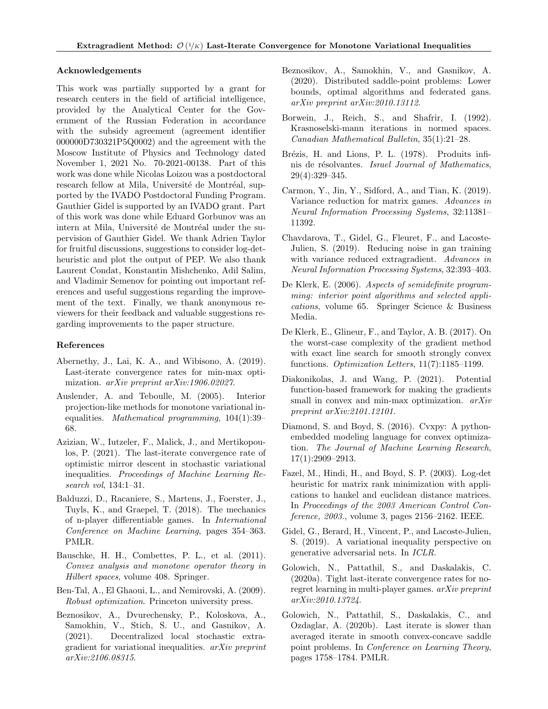#### Acknowledgements

This work was partially supported by a grant for research centers in the field of artificial intelligence, provided by the Analytical Center for the Government of the Russian Federation in accordance with the subsidy agreement (agreement identifier 000000D730321P5Q0002) and the agreement with the Moscow Institute of Physics and Technology dated November 1, 2021 No. 70-2021-00138. Part of this work was done while Nicolas Loizou was a postdoctoral research fellow at Mila, Université de Montréal, supported by the IVADO Postdoctoral Funding Program. Gauthier Gidel is supported by an IVADO grant. Part of this work was done while Eduard Gorbunov was an intern at Mila, Université de Montréal under the supervision of Gauthier Gidel. We thank Adrien Taylor for fruitful discussions, suggestions to consider log-detheuristic and plot the output of PEP. We also thank Laurent Condat, Konstantin Mishchenko, Adil Salim, and Vladimir Semenov for pointing out important references and useful suggestions regarding the improvement of the text. Finally, we thank anonymous reviewers for their feedback and valuable suggestions regarding improvements to the paper structure.

#### References

- <span id="page-9-19"></span>Abernethy, J., Lai, K. A., and Wibisono, A. (2019). Last-iterate convergence rates for min-max optimization. arXiv preprint arXiv:1906.02027.
- <span id="page-9-14"></span>Auslender, A. and Teboulle, M. (2005). Interior projection-like methods for monotone variational inequalities. Mathematical programming, 104(1):39– 68.
- <span id="page-9-5"></span>Azizian, W., Iutzeler, F., Malick, J., and Mertikopoulos, P. (2021). The last-iterate convergence rate of optimistic mirror descent in stochastic variational inequalities. Proceedings of Machine Learning Research vol, 134:1–31.
- <span id="page-9-13"></span>Balduzzi, D., Racaniere, S., Martens, J., Foerster, J., Tuyls, K., and Graepel, T. (2018). The mechanics of n-player differentiable games. In International Conference on Machine Learning, pages 354–363. PMLR.
- <span id="page-9-10"></span>Bauschke, H. H., Combettes, P. L., et al. (2011). Convex analysis and monotone operator theory in Hilbert spaces, volume 408. Springer.
- <span id="page-9-1"></span>Ben-Tal, A., El Ghaoui, L., and Nemirovski, A. (2009). Robust optimization. Princeton university press.
- <span id="page-9-4"></span>Beznosikov, A., Dvurechensky, P., Koloskova, A., Samokhin, V., Stich, S. U., and Gasnikov, A. (2021). Decentralized local stochastic extragradient for variational inequalities. arXiv preprint arXiv:2106.08315.
- <span id="page-9-3"></span>Beznosikov, A., Samokhin, V., and Gasnikov, A. (2020). Distributed saddle-point problems: Lower bounds, optimal algorithms and federated gans. arXiv preprint arXiv:2010.13112.
- <span id="page-9-18"></span>Borwein, J., Reich, S., and Shafrir, I. (1992). Krasnoselski-mann iterations in normed spaces. Canadian Mathematical Bulletin, 35(1):21–28.
- <span id="page-9-8"></span>Brézis, H. and Lions, P. L. (1978). Produits infinis de résolvantes. Israel Journal of Mathematics, 29(4):329–345.
- <span id="page-9-11"></span>Carmon, Y., Jin, Y., Sidford, A., and Tian, K. (2019). Variance reduction for matrix games. Advances in Neural Information Processing Systems, 32:11381– 11392.
- <span id="page-9-7"></span>Chavdarova, T., Gidel, G., Fleuret, F., and Lacoste-Julien, S. (2019). Reducing noise in gan training with variance reduced extragradient. Advances in Neural Information Processing Systems, 32:393–403.
- <span id="page-9-16"></span>De Klerk, E. (2006). Aspects of semidefinite programming: interior point algorithms and selected applications, volume 65. Springer Science & Business Media.
- <span id="page-9-17"></span>De Klerk, E., Glineur, F., and Taylor, A. B. (2017). On the worst-case complexity of the gradient method with exact line search for smooth strongly convex functions. Optimization Letters, 11(7):1185–1199.
- <span id="page-9-9"></span>Diakonikolas, J. and Wang, P. (2021). Potential function-based framework for making the gradients small in convex and min-max optimization.  $arXiv$ preprint arXiv:2101.12101.
- <span id="page-9-12"></span>Diamond, S. and Boyd, S. (2016). Cvxpy: A pythonembedded modeling language for convex optimization. The Journal of Machine Learning Research, 17(1):2909–2913.
- <span id="page-9-15"></span>Fazel, M., Hindi, H., and Boyd, S. P. (2003). Log-det heuristic for matrix rank minimization with applications to hankel and euclidean distance matrices. In Proceedings of the 2003 American Control Conference, 2003., volume 3, pages 2156–2162. IEEE.
- <span id="page-9-2"></span>Gidel, G., Berard, H., Vincent, P., and Lacoste-Julien, S. (2019). A variational inequality perspective on generative adversarial nets. In ICLR.
- <span id="page-9-6"></span>Golowich, N., Pattathil, S., and Daskalakis, C. (2020a). Tight last-iterate convergence rates for noregret learning in multi-player games. arXiv preprint arXiv:2010.13724.
- <span id="page-9-0"></span>Golowich, N., Pattathil, S., Daskalakis, C., and Ozdaglar, A. (2020b). Last iterate is slower than averaged iterate in smooth convex-concave saddle point problems. In Conference on Learning Theory, pages 1758–1784. PMLR.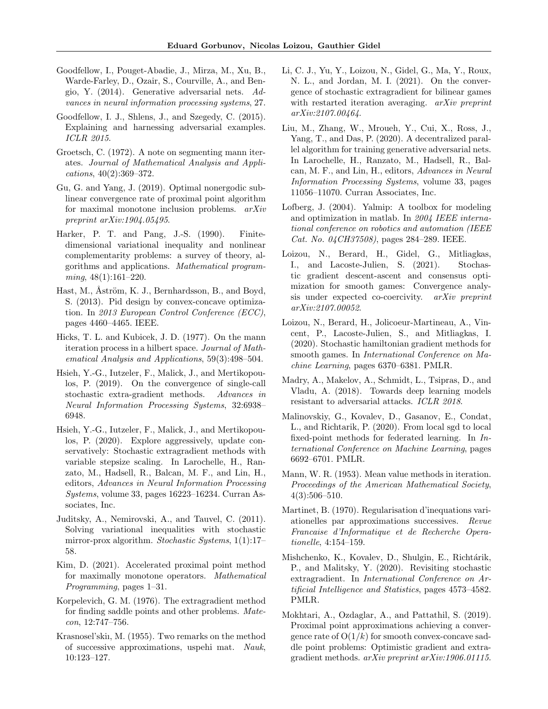- <span id="page-10-4"></span>Goodfellow, I., Pouget-Abadie, J., Mirza, M., Xu, B., Warde-Farley, D., Ozair, S., Courville, A., and Bengio, Y. (2014). Generative adversarial nets. Advances in neural information processing systems, 27.
- <span id="page-10-2"></span>Goodfellow, I. J., Shlens, J., and Szegedy, C. (2015). Explaining and harnessing adversarial examples. ICLR 2015.
- <span id="page-10-21"></span>Groetsch, C. (1972). A note on segmenting mann iterates. Journal of Mathematical Analysis and Applications, 40(2):369–372.
- <span id="page-10-18"></span>Gu, G. and Yang, J. (2019). Optimal nonergodic sublinear convergence rate of proximal point algorithm for maximal monotone inclusion problems. arXiv preprint arXiv:1904.05495.
- <span id="page-10-5"></span>Harker, P. T. and Pang, J.-S. (1990). Finitedimensional variational inequality and nonlinear complementarity problems: a survey of theory, algorithms and applications. Mathematical programming, 48(1):161–220.
- <span id="page-10-1"></span>Hast, M., Åström, K. J., Bernhardsson, B., and Boyd, S. (2013). Pid design by convex-concave optimization. In 2013 European Control Conference (ECC), pages 4460–4465. IEEE.
- <span id="page-10-22"></span>Hicks, T. L. and Kubicek, J. D. (1977). On the mann iteration process in a hilbert space. Journal of Mathematical Analysis and Applications, 59(3):498–504.
- <span id="page-10-16"></span>Hsieh, Y.-G., Iutzeler, F., Malick, J., and Mertikopoulos, P. (2019). On the convergence of single-call stochastic extra-gradient methods. Advances in Neural Information Processing Systems, 32:6938– 6948.
- <span id="page-10-7"></span>Hsieh, Y.-G., Iutzeler, F., Malick, J., and Mertikopoulos, P. (2020). Explore aggressively, update conservatively: Stochastic extragradient methods with variable stepsize scaling. In Larochelle, H., Ranzato, M., Hadsell, R., Balcan, M. F., and Lin, H., editors, Advances in Neural Information Processing Systems, volume 33, pages 16223–16234. Curran Associates, Inc.
- <span id="page-10-10"></span>Juditsky, A., Nemirovski, A., and Tauvel, C. (2011). Solving variational inequalities with stochastic mirror-prox algorithm. Stochastic Systems, 1(1):17– 58.
- <span id="page-10-17"></span>Kim, D. (2021). Accelerated proximal point method for maximally monotone operators. Mathematical Programming, pages 1–31.
- <span id="page-10-0"></span>Korpelevich, G. M. (1976). The extragradient method for finding saddle points and other problems. Matecon, 12:747–756.
- <span id="page-10-19"></span>Krasnosel'skiı, M. (1955). Two remarks on the method of successive approximations, uspehi mat. Nauk, 10:123–127.
- <span id="page-10-8"></span>Li, C. J., Yu, Y., Loizou, N., Gidel, G., Ma, Y., Roux, N. L., and Jordan, M. I. (2021). On the convergence of stochastic extragradient for bilinear games with restarted iteration averaging. arXiv preprint arXiv:2107.00464.
- <span id="page-10-9"></span>Liu, M., Zhang, W., Mroueh, Y., Cui, X., Ross, J., Yang, T., and Das, P. (2020). A decentralized parallel algorithm for training generative adversarial nets. In Larochelle, H., Ranzato, M., Hadsell, R., Balcan, M. F., and Lin, H., editors, Advances in Neural Information Processing Systems, volume 33, pages 11056–11070. Curran Associates, Inc.
- <span id="page-10-15"></span>Lofberg, J. (2004). Yalmip: A toolbox for modeling and optimization in matlab. In 2004 IEEE international conference on robotics and automation (IEEE Cat. No. 04CH37508), pages 284–289. IEEE.
- <span id="page-10-12"></span>Loizou, N., Berard, H., Gidel, G., Mitliagkas, I., and Lacoste-Julien, S. (2021). Stochastic gradient descent-ascent and consensus optimization for smooth games: Convergence analysis under expected co-coercivity. arXiv preprint arXiv:2107.00052.
- <span id="page-10-23"></span>Loizou, N., Berard, H., Jolicoeur-Martineau, A., Vincent, P., Lacoste-Julien, S., and Mitliagkas, I. (2020). Stochastic hamiltonian gradient methods for smooth games. In International Conference on Machine Learning, pages 6370–6381. PMLR.
- <span id="page-10-3"></span>Madry, A., Makelov, A., Schmidt, L., Tsipras, D., and Vladu, A. (2018). Towards deep learning models resistant to adversarial attacks. ICLR 2018.
- <span id="page-10-11"></span>Malinovskiy, G., Kovalev, D., Gasanov, E., Condat, L., and Richtarik, P. (2020). From local sgd to local fixed-point methods for federated learning. In International Conference on Machine Learning, pages 6692–6701. PMLR.
- <span id="page-10-20"></span>Mann, W. R. (1953). Mean value methods in iteration. Proceedings of the American Mathematical Society, 4(3):506–510.
- <span id="page-10-13"></span>Martinet, B. (1970). Regularisation d'inequations variationelles par approximations successives. Revue Francaise d'Informatique et de Recherche Operationelle, 4:154–159.
- <span id="page-10-6"></span>Mishchenko, K., Kovalev, D., Shulgin, E., Richtárik, P., and Malitsky, Y. (2020). Revisiting stochastic extragradient. In International Conference on Artificial Intelligence and Statistics, pages 4573–4582. PMLR.
- <span id="page-10-14"></span>Mokhtari, A., Ozdaglar, A., and Pattathil, S. (2019). Proximal point approximations achieving a convergence rate of  $O(1/k)$  for smooth convex-concave saddle point problems: Optimistic gradient and extragradient methods. arXiv preprint arXiv:1906.01115.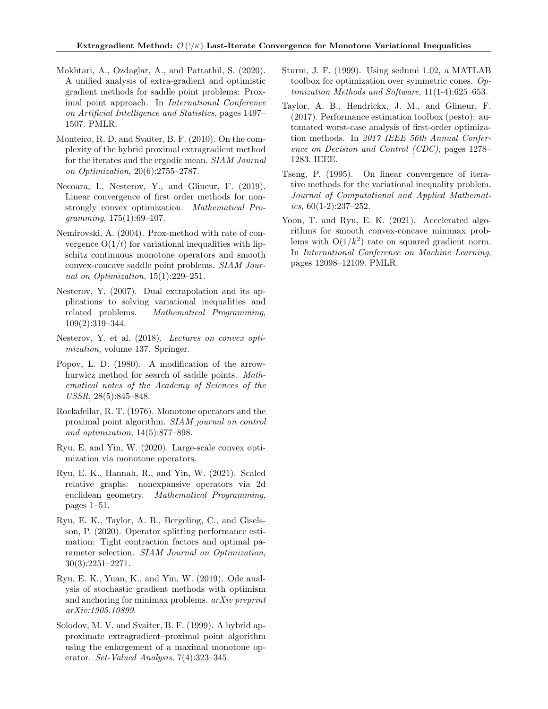- <span id="page-11-13"></span>Mokhtari, A., Ozdaglar, A., and Pattathil, S. (2020). A unified analysis of extra-gradient and optimistic gradient methods for saddle point problems: Proximal point approach. In International Conference on Artificial Intelligence and Statistics, pages 1497– 1507. PMLR.
- <span id="page-11-11"></span>Monteiro, R. D. and Svaiter, B. F. (2010). On the complexity of the hybrid proximal extragradient method for the iterates and the ergodic mean. SIAM Journal on Optimization, 20(6):2755–2787.
- <span id="page-11-16"></span>Necoara, I., Nesterov, Y., and Glineur, F. (2019). Linear convergence of first order methods for nonstrongly convex optimization. Mathematical Programming, 175(1):69–107.
- <span id="page-11-10"></span>Nemirovski, A. (2004). Prox-method with rate of convergence  $O(1/t)$  for variational inequalities with lipschitz continuous monotone operators and smooth convex-concave saddle point problems. SIAM Journal on Optimization, 15(1):229–251.
- <span id="page-11-5"></span>Nesterov, Y. (2007). Dual extrapolation and its applications to solving variational inequalities and related problems. Mathematical Programming, 109(2):319–344.
- <span id="page-11-15"></span>Nesterov, Y. et al. (2018). Lectures on convex optimization, volume 137. Springer.
- <span id="page-11-1"></span>Popov, L. D. (1980). A modification of the arrowhurwicz method for search of saddle points. Mathematical notes of the Academy of Sciences of the USSR, 28(5):845–848.
- <span id="page-11-4"></span>Rockafellar, R. T. (1976). Monotone operators and the proximal point algorithm. SIAM journal on control and optimization, 14(5):877–898.
- <span id="page-11-0"></span>Ryu, E. and Yin, W. (2020). Large-scale convex optimization via monotone operators.
- <span id="page-11-14"></span>Ryu, E. K., Hannah, R., and Yin, W. (2021). Scaled relative graphs: nonexpansive operators via 2d euclidean geometry. Mathematical Programming, pages 1–51.
- <span id="page-11-8"></span>Ryu, E. K., Taylor, A. B., Bergeling, C., and Giselsson, P. (2020). Operator splitting performance estimation: Tight contraction factors and optimal parameter selection. SIAM Journal on Optimization, 30(3):2251–2271.
- <span id="page-11-3"></span>Ryu, E. K., Yuan, K., and Yin, W. (2019). Ode analysis of stochastic gradient methods with optimism and anchoring for minimax problems. arXiv preprint arXiv:1905.10899.
- <span id="page-11-2"></span>Solodov, M. V. and Svaiter, B. F. (1999). A hybrid approximate extragradient–proximal point algorithm using the enlargement of a maximal monotone operator. Set-Valued Analysis, 7(4):323–345.
- <span id="page-11-9"></span>Sturm, J. F. (1999). Using sedumi 1.02, a MATLAB toolbox for optimization over symmetric cones. Optimization Methods and Software, 11(1-4):625–653.
- <span id="page-11-7"></span>Taylor, A. B., Hendrickx, J. M., and Glineur, F. (2017). Performance estimation toolbox (pesto): automated worst-case analysis of first-order optimization methods. In 2017 IEEE 56th Annual Conference on Decision and Control (CDC), pages 1278– 1283. IEEE.
- <span id="page-11-12"></span>Tseng, P. (1995). On linear convergence of iterative methods for the variational inequality problem. Journal of Computational and Applied Mathemat $ics, 60(1-2):237-252.$
- <span id="page-11-6"></span>Yoon, T. and Ryu, E. K. (2021). Accelerated algorithms for smooth convex-concave minimax problems with  $O(1/k^2)$  rate on squared gradient norm. In International Conference on Machine Learning, pages 12098–12109. PMLR.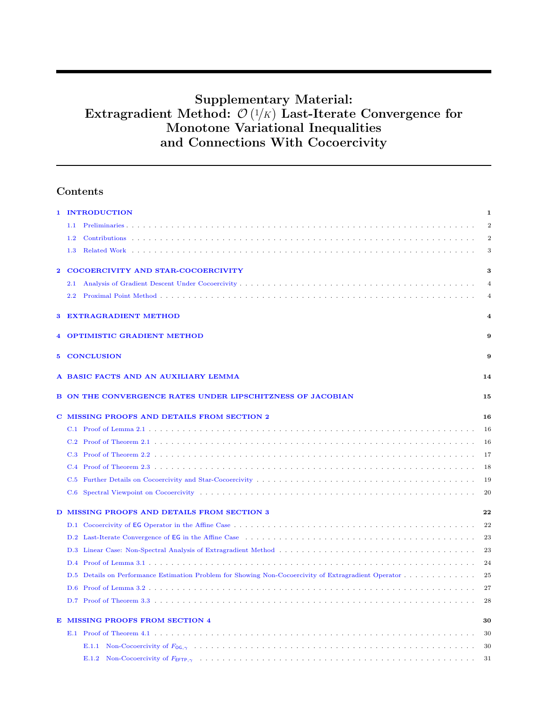# Supplementary Material: Extragradient Method:  $\mathcal{O}(1/K)$  Last-Iterate Convergence for Monotone Variational Inequalities and Connections With Cocoercivity

# Contents

|    | 1 INTRODUCTION                                                                                                                        | $\mathbf 1$           |
|----|---------------------------------------------------------------------------------------------------------------------------------------|-----------------------|
|    | 1.1                                                                                                                                   | $\overline{2}$        |
|    | 1.2                                                                                                                                   | $\overline{2}$        |
|    | 1.3                                                                                                                                   | 3                     |
| 2  | COCOERCIVITY AND STAR-COCOERCIVITY                                                                                                    | 3                     |
|    | 2.1                                                                                                                                   | $\overline{4}$        |
|    | $2.2\,$                                                                                                                               | $\overline{4}$        |
| 3  | <b>EXTRAGRADIENT METHOD</b>                                                                                                           | $\boldsymbol{\Delta}$ |
|    | <b>OPTIMISTIC GRADIENT METHOD</b>                                                                                                     | 9                     |
| 5. | <b>CONCLUSION</b>                                                                                                                     | 9                     |
|    | A BASIC FACTS AND AN AUXILIARY LEMMA                                                                                                  | 14                    |
|    | <b>B ON THE CONVERGENCE RATES UNDER LIPSCHITZNESS OF JACOBIAN</b>                                                                     | 15                    |
|    | C MISSING PROOFS AND DETAILS FROM SECTION 2                                                                                           | 16                    |
|    |                                                                                                                                       | 16                    |
|    |                                                                                                                                       | 16                    |
|    | C.3                                                                                                                                   | 17                    |
|    | C.4                                                                                                                                   | 18                    |
|    | C.5                                                                                                                                   | 19                    |
|    | Spectral Viewpoint on Cocoercivity (and a series of a series of a series of a series of a series of a series of $\mathbb{R}^n$<br>C.6 | 20                    |
|    | D MISSING PROOFS AND DETAILS FROM SECTION 3                                                                                           | 22                    |
|    |                                                                                                                                       | 22                    |
|    |                                                                                                                                       | 23                    |
|    |                                                                                                                                       | 23                    |
|    |                                                                                                                                       | 24                    |
|    | Details on Performance Estimation Problem for Showing Non-Cocoercivity of Extragradient Operator<br>D.5                               | 25                    |
|    |                                                                                                                                       | 27                    |
|    |                                                                                                                                       | 28                    |
| Е  | <b>MISSING PROOFS FROM SECTION 4</b>                                                                                                  | 30                    |
|    |                                                                                                                                       | 30                    |
|    |                                                                                                                                       | 30                    |
|    | E.1.2                                                                                                                                 | 31                    |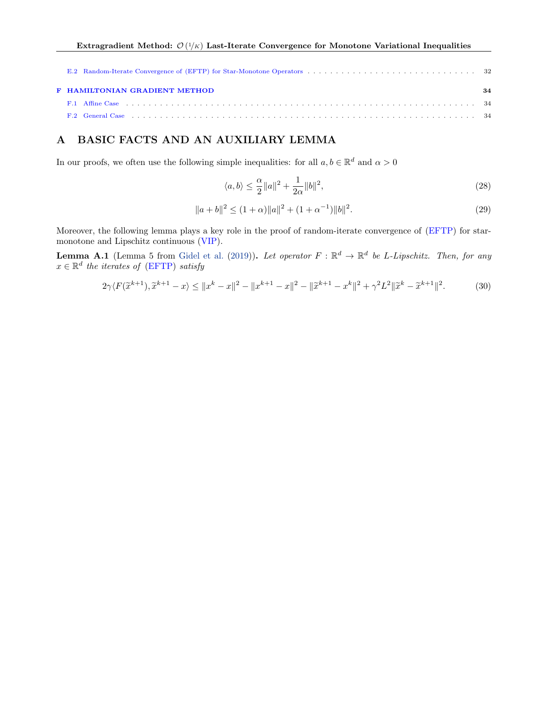| <b>F HAMILTONIAN GRADIENT METHOD</b>                                                                                                                                                                                           | 34 |
|--------------------------------------------------------------------------------------------------------------------------------------------------------------------------------------------------------------------------------|----|
| F.1 Affine Case the contract of the case of the case of the case of the contract of the contract of the contract of the contract of the contract of the contract of the contract of the contract of the contract of the contra |    |
|                                                                                                                                                                                                                                |    |

# <span id="page-13-0"></span>A BASIC FACTS AND AN AUXILIARY LEMMA

In our proofs, we often use the following simple inequalities: for all  $a, b \in \mathbb{R}^d$  and  $\alpha > 0$ 

<span id="page-13-1"></span>
$$
\langle a, b \rangle \le \frac{\alpha}{2} \|a\|^2 + \frac{1}{2\alpha} \|b\|^2,\tag{28}
$$

<span id="page-13-3"></span>
$$
||a+b||^2 \le (1+\alpha)||a||^2 + (1+\alpha^{-1})||b||^2.
$$
 (29)

Moreover, the following lemma plays a key role in the proof of random-iterate convergence of [\(EFTP\)](#page-8-3) for starmonotone and Lipschitz continuous [\(VIP\)](#page-0-0).

<span id="page-13-2"></span>**Lemma A.1** (Lemma 5 from [Gidel et al.](#page-9-2) [\(2019\)](#page-9-2)). Let operator  $F : \mathbb{R}^d \to \mathbb{R}^d$  be L-Lipschitz. Then, for any  $x \in \mathbb{R}^d$  the iterates of [\(EFTP\)](#page-8-3) satisfy

$$
2\gamma \langle F(\widetilde{x}^{k+1}), \widetilde{x}^{k+1} - x \rangle \le ||x^k - x||^2 - ||x^{k+1} - x||^2 - ||\widetilde{x}^{k+1} - x^k||^2 + \gamma^2 L^2 ||\widetilde{x}^k - \widetilde{x}^{k+1}||^2. \tag{30}
$$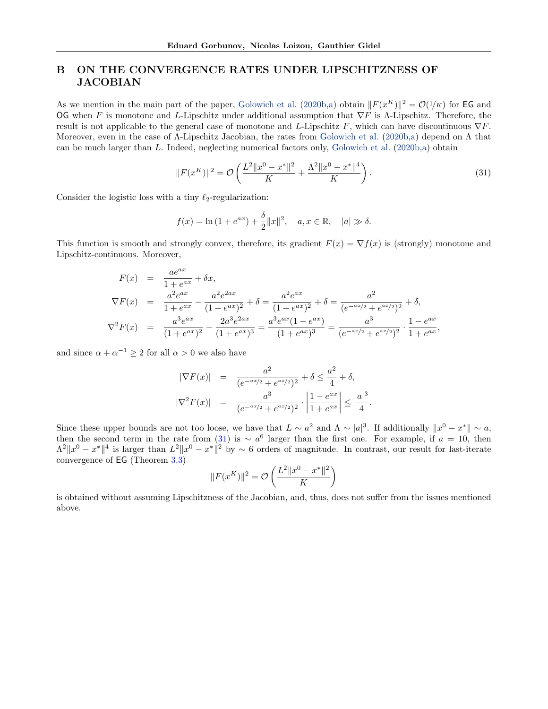# <span id="page-14-0"></span>B ON THE CONVERGENCE RATES UNDER LIPSCHITZNESS OF JACOBIAN

As we mention in the main part of the paper, [Golowich et al.](#page-9-0) [\(2020b,](#page-9-0)[a\)](#page-9-6) obtain  $||F(x^K)||^2 = O(1/K)$  for EG and OG when F is monotone and L-Lipschitz under additional assumption that  $\nabla F$  is  $\Lambda$ -Lipschitz. Therefore, the result is not applicable to the general case of monotone and L-Lipschitz F, which can have discontinuous  $\nabla F$ . Moreover, even in the case of Λ-Lipschitz Jacobian, the rates from [Golowich et al.](#page-9-0) [\(2020b,](#page-9-0)[a\)](#page-9-6) depend on Λ that can be much larger than L. Indeed, neglecting numerical factors only, [Golowich et al.](#page-9-0) [\(2020b,](#page-9-0)[a\)](#page-9-6) obtain

<span id="page-14-1"></span>
$$
||F(x^K)||^2 = \mathcal{O}\left(\frac{L^2||x^0 - x^*||^2}{K} + \frac{\Lambda^2||x^0 - x^*||^4}{K}\right).
$$
\n(31)

Consider the logistic loss with a tiny  $\ell_2$ -regularization:

$$
f(x) = \ln(1 + e^{ax}) + \frac{\delta}{2} ||x||^2, \quad a, x \in \mathbb{R}, \quad |a| \gg \delta.
$$

This function is smooth and strongly convex, therefore, its gradient  $F(x) = \nabla f(x)$  is (strongly) monotone and Lipschitz-continuous. Moreover,

$$
F(x) = \frac{ae^{ax}}{1+e^{ax}} + \delta x,
$$
  
\n
$$
\nabla F(x) = \frac{a^2e^{ax}}{1+e^{ax}} - \frac{a^2e^{2ax}}{(1+e^{ax})^2} + \delta = \frac{a^2e^{ax}}{(1+e^{ax})^2} + \delta = \frac{a^2}{(e^{-ax/2}+e^{ax/2})^2} + \delta,
$$
  
\n
$$
\nabla^2 F(x) = \frac{a^3e^{ax}}{(1+e^{ax})^2} - \frac{2a^3e^{2ax}}{(1+e^{ax})^3} = \frac{a^3e^{ax}(1-e^{ax})}{(1+e^{ax})^3} = \frac{a^3}{(e^{-ax/2}+e^{ax/2})^2} \cdot \frac{1-e^{ax}}{1+e^{ax}},
$$

and since  $\alpha + \alpha^{-1} \geq 2$  for all  $\alpha > 0$  we also have

$$
|\nabla F(x)| = \frac{a^2}{(e^{-ax/2} + e^{ax/2})^2} + \delta \le \frac{a^2}{4} + \delta,
$$
  

$$
|\nabla^2 F(x)| = \frac{a^3}{(e^{-ax/2} + e^{ax/2})^2} \cdot \left| \frac{1 - e^{ax}}{1 + e^{ax}} \right| \le \frac{|a|^3}{4}.
$$

Since these upper bounds are not too loose, we have that  $L \sim a^2$  and  $\Lambda \sim |a|^3$ . If additionally  $||x^0 - x^*|| \sim a$ , then the second term in the rate from [\(31\)](#page-14-1) is  $\sim a^6$  larger than the first one. For example, if  $a = 10$ , then  $\Lambda^2 \|x^0 - x^*\|^4$  is larger than  $L^2 \|x^0 - x^*\|^2$  by  $\sim 6$  orders of magnitude. In contrast, our result for last-iterate convergence of EG (Theorem [3.3\)](#page-8-0)

$$
||F(x^K)||^2 = \mathcal{O}\left(\frac{L^2||x^0 - x^*||^2}{K}\right)
$$

is obtained without assuming Lipschitzness of the Jacobian, and, thus, does not suffer from the issues mentioned above.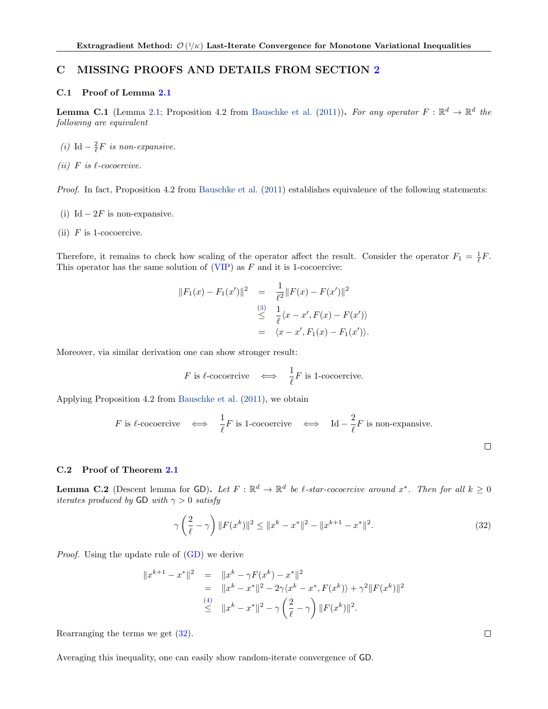# <span id="page-15-0"></span>C MISSING PROOFS AND DETAILS FROM SECTION [2](#page-2-2)

#### <span id="page-15-1"></span>C.1 Proof of Lemma [2.1](#page-2-0)

**Lemma C.1** (Lemma [2.1;](#page-2-0) Proposition 4.2 from [Bauschke et al.](#page-9-10) [\(2011\)](#page-9-10)). For any operator  $F : \mathbb{R}^d \to \mathbb{R}^d$  the following are equivalent

- (i) Id  $-\frac{2}{\ell}F$  is non-expansive.
- (ii) F is  $\ell$ -cocoercive.

Proof. In fact, Proposition 4.2 from [Bauschke et al.](#page-9-10) [\(2011\)](#page-9-10) establishes equivalence of the following statements:

- (i) Id  $-2F$  is non-expansive.
- (ii)  $F$  is 1-cocoercive.

Therefore, it remains to check how scaling of the operator affect the result. Consider the operator  $F_1 = \frac{1}{\ell}F$ . This operator has the same solution of  $(VIP)$  as F and it is 1-cocoercive:

$$
||F_1(x) - F_1(x')||^2 = \frac{1}{\ell^2} ||F(x) - F(x')||^2
$$
  
\n
$$
\leq \frac{1}{\ell} \langle x - x', F(x) - F(x') \rangle
$$
  
\n
$$
= \langle x - x', F_1(x) - F_1(x') \rangle.
$$

Moreover, via similar derivation one can show stronger result:

$$
F \text{ is } \ell\text{-cocoercive} \quad \Longleftrightarrow \quad \frac{1}{\ell}F \text{ is 1-cococercive.}
$$

Applying Proposition 4.2 from [Bauschke et al.](#page-9-10) [\(2011\)](#page-9-10), we obtain

*F* is 
$$
\ell
$$
-cocoercive  $\iff \frac{1}{\ell}F$  is 1-cococercive  $\iff$  Id  $-\frac{2}{\ell}F$  is non-expansive.

#### <span id="page-15-2"></span>C.2 Proof of Theorem [2.1](#page-3-4)

**Lemma C.2** (Descent lemma for GD). Let  $F : \mathbb{R}^d \to \mathbb{R}^d$  be l-star-cocoercive around  $x^*$ . Then for all  $k \geq 0$ iterates produced by GD with  $\gamma > 0$  satisfy

<span id="page-15-3"></span>
$$
\gamma \left(\frac{2}{\ell} - \gamma\right) \|F(x^k)\|^2 \le \|x^k - x^*\|^2 - \|x^{k+1} - x^*\|^2. \tag{32}
$$

Proof. Using the update rule of [\(GD\)](#page-3-11) we derive

$$
||x^{k+1} - x^*||^2 = ||x^k - \gamma F(x^k) - x^*||^2
$$
  
=  $||x^k - x^*||^2 - 2\gamma \langle x^k - x^*, F(x^k) \rangle + \gamma^2 ||F(x^k)||^2$   
 $\leq ||x^k - x^*||^2 - \gamma \left(\frac{2}{\ell} - \gamma\right) ||F(x^k)||^2.$ 

Rearranging the terms we get [\(32\)](#page-15-3).

Averaging this inequality, one can easily show random-iterate convergence of GD.

 $\Box$ 

 $\Box$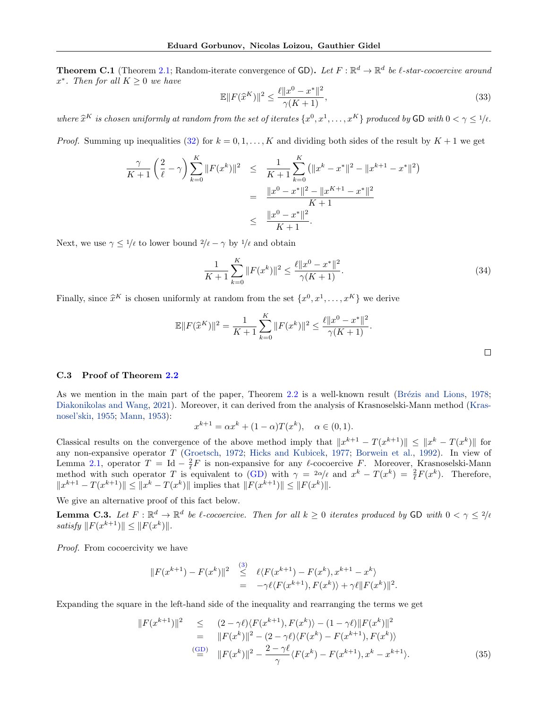**Theorem C.1** (Theorem [2.1;](#page-3-4) Random-iterate convergence of GD). Let  $F : \mathbb{R}^d \to \mathbb{R}^d$  be l-star-cocoercive around  $x^*$ . Then for all  $K \geq 0$  we have

$$
\mathbb{E}||F(\hat{x}^{K})||^{2} \le \frac{\ell||x^{0} - x^{*}||^{2}}{\gamma(K+1)},
$$
\n(33)

where  $\hat{x}^K$  is chosen uniformly at random from the set of iterates  $\{x^0, x^1, \ldots, x^K\}$  produced by GD with  $0 < \gamma \leq 1/\ell$ .

*Proof.* Summing up inequalities [\(32\)](#page-15-3) for  $k = 0, 1, \ldots, K$  and dividing both sides of the result by  $K + 1$  we get

$$
\frac{\gamma}{K+1} \left( \frac{2}{\ell} - \gamma \right) \sum_{k=0}^{K} \|F(x^k)\|^2 \leq \frac{1}{K+1} \sum_{k=0}^{K} \left( \|x^k - x^*\|^2 - \|x^{k+1} - x^*\|^2 \right)
$$

$$
= \frac{\|x^0 - x^*\|^2 - \|x^{K+1} - x^*\|^2}{K+1}
$$

$$
\leq \frac{\|x^0 - x^*\|^2}{K+1}.
$$

Next, we use  $\gamma \leq 1/\ell$  to lower bound  $2/\ell - \gamma$  by  $1/\ell$  and obtain

<span id="page-16-2"></span>
$$
\frac{1}{K+1} \sum_{k=0}^{K} ||F(x^k)||^2 \le \frac{\ell ||x^0 - x^*||^2}{\gamma (K+1)}.
$$
\n(34)

Finally, since  $\hat{x}^K$  is chosen uniformly at random from the set  $\{x^0, x^1, \ldots, x^K\}$  we derive

$$
\mathbb{E}||F(\hat{x}^{K})||^{2} = \frac{1}{K+1} \sum_{k=0}^{K} ||F(x^{k})||^{2} \le \frac{\ell ||x^{0} - x^{*}||^{2}}{\gamma(K+1)}.
$$

#### <span id="page-16-0"></span>C.3 Proof of Theorem [2.2](#page-3-0)

As we mention in the main part of the paper, Theorem [2.2](#page-3-0) is a well-known result (Brézis and Lions, [1978;](#page-9-8) [Diakonikolas and Wang,](#page-9-9) [2021\)](#page-9-9). Moreover, it can derived from the analysis of Krasnoselski-Mann method [\(Kras](#page-10-19)[nosel'skiı,](#page-10-19) [1955;](#page-10-19) [Mann,](#page-10-20) [1953\)](#page-10-20):

$$
x^{k+1} = \alpha x^k + (1 - \alpha)T(x^k), \quad \alpha \in (0, 1).
$$

Classical results on the convergence of the above method imply that  $||x^{k+1} - T(x^{k+1})|| \le ||x^k - T(x^k)||$  for any non-expansive operator T [\(Groetsch,](#page-10-21) [1972;](#page-10-21) [Hicks and Kubicek,](#page-10-22) [1977;](#page-10-22) [Borwein et al.,](#page-9-18) [1992\)](#page-9-18). In view of Lemma [2.1,](#page-2-0) operator  $T = \mathrm{Id} - \frac{2}{\ell} F$  is non-expansive for any  $\ell$ -cocoercive F. Moreover, Krasnoselski-Mann method with such operator T is equivalent to [\(GD\)](#page-3-11) with  $\gamma = \frac{2\alpha}{\ell}$  and  $x^k - T(x^k) = \frac{2}{\ell}F(x^k)$ . Therefore,  $||x^{k+1} - T(x^{k+1})|| \le ||x^k - T(x^k)||$  implies that  $||F(x^{k+1})|| \le ||F(x^k)||$ .

We give an alternative proof of this fact below.

<span id="page-16-3"></span>**Lemma C.3.** Let  $F : \mathbb{R}^d \to \mathbb{R}^d$  be l-cocoercive. Then for all  $k \geq 0$  iterates produced by GD with  $0 < \gamma \leq 2/\ell$ satisfy  $||F(x^{k+1})|| \leq ||F(x^k)||$ .

Proof. From cocoercivity we have

$$
||F(x^{k+1}) - F(x^k)||^2 \leq \ell \langle F(x^{k+1}) - F(x^k), x^{k+1} - x^k \rangle
$$
  
= -\gamma \ell \langle F(x^{k+1}), F(x^k) \rangle + \gamma \ell ||F(x^k)||^2.

Expanding the square in the left-hand side of the inequality and rearranging the terms we get

<span id="page-16-1"></span>
$$
||F(x^{k+1})||^2 \le (2 - \gamma \ell) \langle F(x^{k+1}), F(x^k) \rangle - (1 - \gamma \ell) ||F(x^k)||^2
$$
  
\n
$$
= ||F(x^k)||^2 - (2 - \gamma \ell) \langle F(x^k) - F(x^{k+1}), F(x^k) \rangle
$$
  
\n
$$
\stackrel{\text{(GD)}}{=} ||F(x^k)||^2 - \frac{2 - \gamma \ell}{\gamma} \langle F(x^k) - F(x^{k+1}), x^k - x^{k+1} \rangle. \tag{35}
$$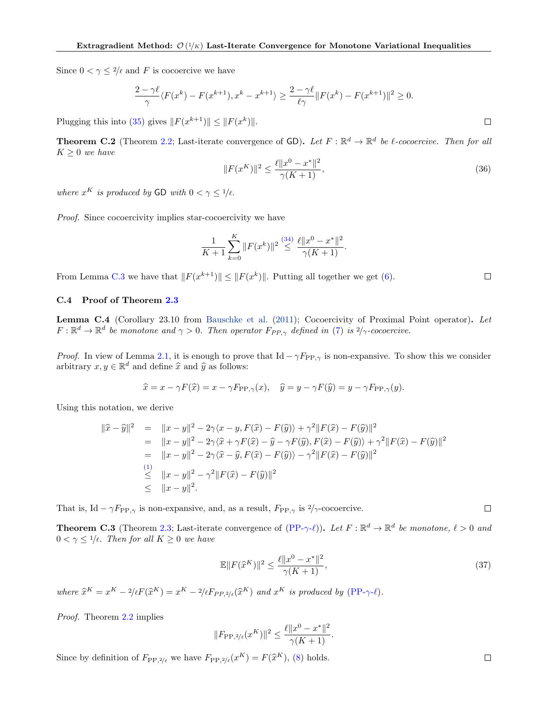Since  $0 < \gamma \leq 2/\ell$  and F is cocoercive we have

$$
\frac{2-\gamma\ell}{\gamma}\langle F(x^k) - F(x^{k+1}), x^k - x^{k+1} \rangle \ge \frac{2-\gamma\ell}{\ell\gamma} \|F(x^k) - F(x^{k+1})\|^2 \ge 0.
$$

Plugging this into [\(35\)](#page-16-1) gives  $||F(x^{k+1})|| \leq ||F(x^k)||$ .

**Theorem C.2** (Theorem [2.2;](#page-3-0) Last-iterate convergence of GD). Let  $F : \mathbb{R}^d \to \mathbb{R}^d$  be l-cocoercive. Then for all  $K\geq 0$  we have

$$
||F(x^K)||^2 \le \frac{\ell ||x^0 - x^*||^2}{\gamma(K+1)},
$$
\n(36)

where  $x^K$  is produced by GD with  $0 < \gamma \leq 1/\ell$ .

Proof. Since cocoercivity implies star-cocoercivity we have

$$
\frac{1}{K+1} \sum_{k=0}^{K} \|F(x^k)\|^2 \stackrel{(34)}{\leq} \frac{\ell \|x^0 - x^*\|^2}{\gamma (K+1)}.
$$

From Lemma [C.3](#page-16-3) we have that  $||F(x^{k+1})|| \le ||F(x^k)||$ . Putting all together we get [\(6\)](#page-3-12).

#### <span id="page-17-0"></span>C.4 Proof of Theorem [2.3](#page-3-10)

Lemma C.4 (Corollary 23.10 from [Bauschke et al.](#page-9-10) [\(2011\)](#page-9-10); Cocoercivity of Proximal Point operator). Let  $F: \mathbb{R}^d \to \mathbb{R}^d$  be monotone and  $\gamma > 0$ . Then operator  $F_{PP,\gamma}$  defined in [\(7\)](#page-3-13) is  $2/\gamma$ -cocoercive.

*Proof.* In view of Lemma [2.1,](#page-2-0) it is enough to prove that Id  $-\gamma F_{\text{PP},\gamma}$  is non-expansive. To show this we consider arbitrary  $x, y \in \mathbb{R}^d$  and define  $\hat{x}$  and  $\hat{y}$  as follows:

$$
\widehat{x} = x - \gamma F(\widehat{x}) = x - \gamma F_{\text{PP},\gamma}(x), \quad \widehat{y} = y - \gamma F(\widehat{y}) = y - \gamma F_{\text{PP},\gamma}(y).
$$

Using this notation, we derive

$$
\begin{array}{rcl}\n\|\hat{x} - \hat{y}\|^2 & = & \|x - y\|^2 - 2\gamma \langle x - y, F(\hat{x}) - F(\hat{y}) \rangle + \gamma^2 \|F(\hat{x}) - F(\hat{y})\|^2 \\
& = & \|x - y\|^2 - 2\gamma \langle \hat{x} + \gamma F(\hat{x}) - \hat{y} - \gamma F(\hat{y}), F(\hat{x}) - F(\hat{y}) \rangle + \gamma^2 \|F(\hat{x}) - F(\hat{y})\|^2 \\
& = & \|x - y\|^2 - 2\gamma \langle \hat{x} - \hat{y}, F(\hat{x}) - F(\hat{y}) \rangle - \gamma^2 \|F(\hat{x}) - F(\hat{y})\|^2 \\
& \leq & \|x - y\|^2 - \gamma^2 \|F(\hat{x}) - F(\hat{y})\|^2 \\
& \leq & \|x - y\|^2.\n\end{array}
$$

That is, Id –  $\gamma F_{\text{PP},\gamma}$  is non-expansive, and, as a result,  $F_{\text{PP},\gamma}$  is  $2/\gamma$ -cocoercive.

**Theorem C.3** (Theorem [2.3;](#page-3-10) Last-iterate convergence of  $(PP-\gamma-\ell)$  $(PP-\gamma-\ell)$ ). Let  $F : \mathbb{R}^d \to \mathbb{R}^d$  be monotone,  $\ell > 0$  and  $0 < \gamma \leq 1/\ell$ . Then for all  $K \geq 0$  we have

$$
\mathbb{E}||F(\hat{x}^{K})||^{2} \le \frac{\ell||x^{0} - x^{*}||^{2}}{\gamma(K+1)},
$$
\n(37)

where  $\hat{x}^K = x^K - 2/\ell F(\hat{x}^K) = x^K - 2/\ell F_{PP,2/\ell}(\hat{x}^K)$  and  $x^K$  is produced by [\(PP-](#page-3-3) $\gamma$ - $\ell$ ).

Proof. Theorem [2.2](#page-3-0) implies

$$
||F_{\text{PP},2/\ell}(x^K)||^2 \le \frac{\ell ||x^0 - x^*||^2}{\gamma(K+1)}.
$$

Since by definition of  $F_{\text{PP},2/\ell}$  we have  $F_{\text{PP},2/\ell}(x^K) = F(\hat{x}^K)$ , [\(8\)](#page-3-14) holds.

 $\Box$ 

 $\Box$ 

 $\Box$ 

 $\Box$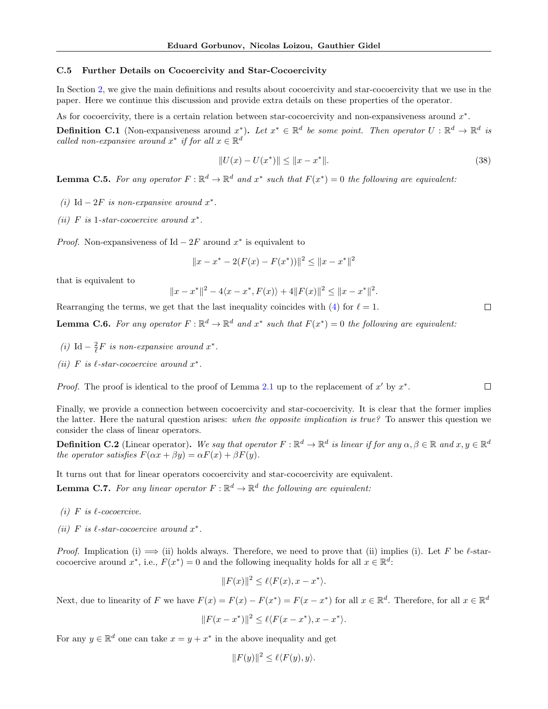#### <span id="page-18-0"></span>C.5 Further Details on Cocoercivity and Star-Cocoercivity

In Section [2,](#page-2-2) we give the main definitions and results about cocoercivity and star-cocoercivity that we use in the paper. Here we continue this discussion and provide extra details on these properties of the operator.

As for cocoercivity, there is a certain relation between star-cocoercivity and non-expansiveness around  $x^*$ .

**Definition C.1** (Non-expansiveness around  $x^*$ ). Let  $x^* \in \mathbb{R}^d$  be some point. Then operator  $U : \mathbb{R}^d \to \mathbb{R}^d$  is called non-expansive around  $x^*$  if for all  $x \in \mathbb{R}^d$ 

$$
||U(x) - U(x^*)|| \le ||x - x^*||. \tag{38}
$$

.

 $\Box$ 

**Lemma C.5.** For any operator  $F : \mathbb{R}^d \to \mathbb{R}^d$  and  $x^*$  such that  $F(x^*) = 0$  the following are equivalent:

- (i) Id  $-2F$  is non-expansive around  $x^*$ .
- (ii) F is 1-star-cocoercive around  $x^*$ .

*Proof.* Non-expansiveness of Id  $-2F$  around  $x^*$  is equivalent to

$$
||x - x^* - 2(F(x) - F(x^*))||^2 \le ||x - x^*||^2
$$

that is equivalent to

$$
||x - x^*||^2 - 4\langle x - x^*, F(x)\rangle + 4||F(x)||^2 \le ||x - x^*||^2
$$

Rearranging the terms, we get that the last inequality coincides with [\(4\)](#page-2-3) for  $\ell = 1$ .

<span id="page-18-1"></span>**Lemma C.6.** For any operator  $F : \mathbb{R}^d \to \mathbb{R}^d$  and  $x^*$  such that  $F(x^*) = 0$  the following are equivalent:

- (i) Id  $-\frac{2}{\ell}F$  is non-expansive around  $x^*$ .
- (ii) F is  $\ell$ -star-cocoercive around  $x^*$ .

*Proof.* The proof is identical to the proof of Lemma [2.1](#page-2-0) up to the replacement of x' by  $x^*$ .  $\Box$ 

Finally, we provide a connection between cocoercivity and star-cocoercivity. It is clear that the former implies the latter. Here the natural question arises: when the opposite implication is true? To answer this question we consider the class of linear operators.

**Definition C.2** (Linear operator). We say that operator  $F : \mathbb{R}^d \to \mathbb{R}^d$  is linear if for any  $\alpha, \beta \in \mathbb{R}$  and  $x, y \in \mathbb{R}^d$ the operator satisfies  $F(\alpha x + \beta y) = \alpha F(x) + \beta F(y)$ .

It turns out that for linear operators cocoercivity and star-cocoercivity are equivalent.

<span id="page-18-2"></span>**Lemma C.7.** For any linear operator  $F : \mathbb{R}^d \to \mathbb{R}^d$  the following are equivalent:

- (i) F is  $\ell$ -cocoercive.
- (ii) F is  $\ell$ -star-cocoercive around  $x^*$ .

*Proof.* Implication (i)  $\implies$  (ii) holds always. Therefore, we need to prove that (ii) implies (i). Let F be  $\ell$ -starcocoercive around  $x^*$ , i.e.,  $F(x^*) = 0$  and the following inequality holds for all  $x \in \mathbb{R}^d$ .

$$
||F(x)||^2 \le \ell \langle F(x), x - x^* \rangle.
$$

Next, due to linearity of F we have  $F(x) = F(x) - F(x^*) = F(x - x^*)$  for all  $x \in \mathbb{R}^d$ . Therefore, for all  $x \in \mathbb{R}^d$ 

$$
||F(x - x^*)||^2 \le \ell \langle F(x - x^*), x - x^* \rangle.
$$

For any  $y \in \mathbb{R}^d$  one can take  $x = y + x^*$  in the above inequality and get

$$
||F(y)||^2 \le \ell \langle F(y), y \rangle.
$$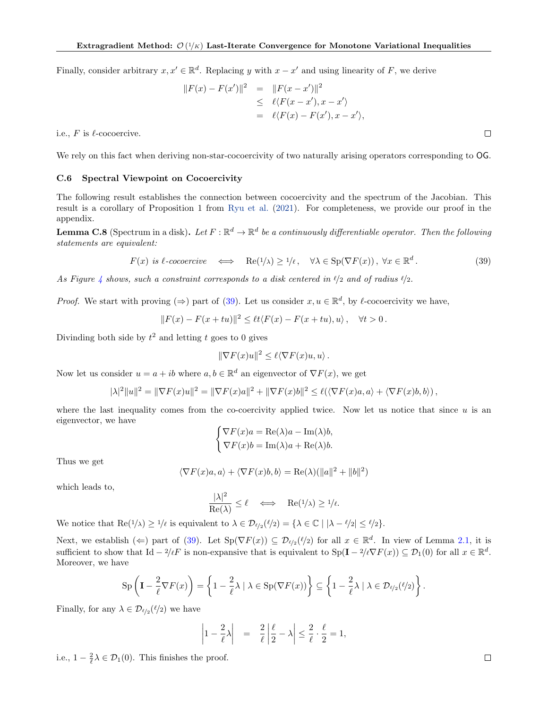Finally, consider arbitrary  $x, x' \in \mathbb{R}^d$ . Replacing y with  $x - x'$  and using linearity of F, we derive

$$
||F(x) - F(x')||^2 = ||F(x - x')||^2
$$
  
\n
$$
\leq \ell \langle F(x - x'), x - x' \rangle
$$
  
\n
$$
= \ell \langle F(x) - F(x'), x - x' \rangle,
$$

i.e.,  $F$  is  $\ell$ -cocoercive.

We rely on this fact when deriving non-star-cocoercivity of two naturally arising operators corresponding to OG.

#### <span id="page-19-0"></span>C.6 Spectral Viewpoint on Cocoercivity

The following result establishes the connection between cocoercivity and the spectrum of the Jacobian. This result is a corollary of Proposition 1 from [Ryu et al.](#page-11-14) [\(2021\)](#page-11-14). For completeness, we provide our proof in the appendix.

<span id="page-19-2"></span>**Lemma C.8** (Spectrum in a disk). Let  $F : \mathbb{R}^d \to \mathbb{R}^d$  be a continuously differentiable operator. Then the following statements are equivalent:

<span id="page-19-1"></span>
$$
F(x) \text{ is } \ell\text{-}cocoercive \iff \text{Re}(1/\lambda) \ge 1/\ell, \quad \forall \lambda \in \text{Sp}(\nabla F(x)), \forall x \in \mathbb{R}^d. \tag{39}
$$

As Figure [4](#page-20-0) shows, such a constraint corresponds to a disk centered in  $\ell/2$  and of radius  $\ell/2$ .

*Proof.* We start with proving  $(\Rightarrow)$  part of [\(39\)](#page-19-1). Let us consider  $x, u \in \mathbb{R}^d$ , by  $\ell$ -cocoercivity we have,

$$
||F(x) - F(x + tu)||^2 \le \ell t \langle F(x) - F(x + tu), u \rangle, \quad \forall t > 0.
$$

Divinding both side by  $t^2$  and letting t goes to 0 gives

$$
\|\nabla F(x)u\|^2 \le \ell \langle \nabla F(x)u, u \rangle.
$$

Now let us consider  $u = a + ib$  where  $a, b \in \mathbb{R}^d$  an eigenvector of  $\nabla F(x)$ , we get

$$
|\lambda|^2||u||^2 = \|\nabla F(x)u\|^2 = \|\nabla F(x)u\|^2 + \|\nabla F(x)b\|^2 \le \ell(\langle \nabla F(x)a, a \rangle + \langle \nabla F(x)b, b \rangle),
$$

where the last inequality comes from the co-coercivity applied twice. Now let us notice that since  $u$  is an eigenvector, we have

$$
\begin{cases} \nabla F(x)a = \text{Re}(\lambda)a - \text{Im}(\lambda)b, \\ \nabla F(x)b = \text{Im}(\lambda)a + \text{Re}(\lambda)b. \end{cases}
$$

Thus we get

$$
\langle \nabla F(x)a, a \rangle + \langle \nabla F(x)b, b \rangle = \text{Re}(\lambda)(||a||^2 + ||b||^2)
$$

which leads to,

$$
\frac{|\lambda|^2}{\mathrm{Re}(\lambda)} \le \ell \quad \Longleftrightarrow \quad \mathrm{Re}(1/\lambda) \ge 1/\ell.
$$

We notice that  $\text{Re}(1/\lambda) \ge 1/\ell$  is equivalent to  $\lambda \in \mathcal{D}_{\ell/2}(\ell/2) = {\lambda \in \mathbb{C} \mid |\lambda - \ell/2| \le \ell/2}.$ 

Next, we establish ( $\Leftarrow$ ) part of [\(39\)](#page-19-1). Let  $Sp(\nabla F(x)) \subseteq D_{\ell/2}(\ell/2)$  for all  $x \in \mathbb{R}^d$ . In view of Lemma [2.1,](#page-2-0) it is sufficient to show that Id  $-2/\ell F$  is non-expansive that is equivalent to  $Sp(\mathbf{I} - 2/\ell \nabla F(x)) \subseteq \mathcal{D}_1(0)$  for all  $x \in \mathbb{R}^d$ . Moreover, we have

$$
\mathrm{Sp}\left(\mathbf{I}-\frac{2}{\ell}\nabla F(x)\right)=\left\{1-\frac{2}{\ell}\lambda\mid\lambda\in\mathrm{Sp}(\nabla F(x))\right\}\subseteq\left\{1-\frac{2}{\ell}\lambda\mid\lambda\in\mathcal{D}_{\ell/2}(\ell/2)\right\}.
$$

Finally, for any  $\lambda \in \mathcal{D}_{\ell/2}(\ell/2)$  we have

$$
\left|1-\frac{2}{\ell}\lambda\right| = \frac{2}{\ell}\left|\frac{\ell}{2}-\lambda\right| \leq \frac{2}{\ell}\cdot\frac{\ell}{2} = 1,
$$

i.e.,  $1 - \frac{2}{\ell} \lambda \in \mathcal{D}_1(0)$ . This finishes the proof.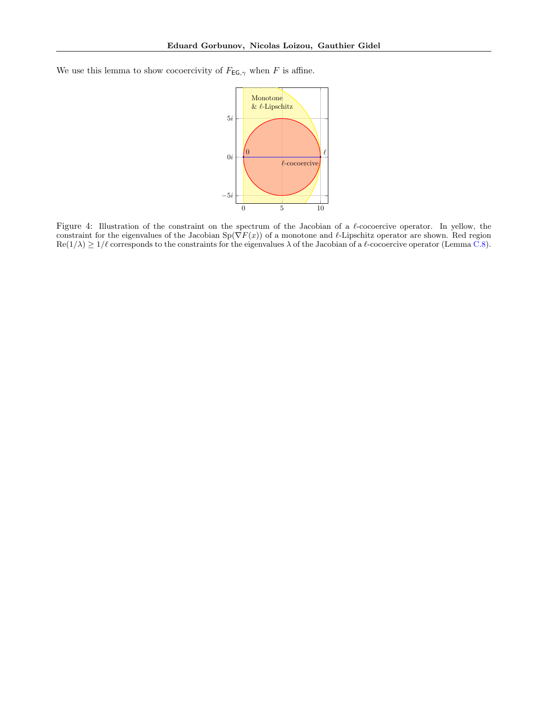<span id="page-20-0"></span>We use this lemma to show cocoercivity of  $F_{\textsf{EG},\gamma}$  when F is affine.



Figure 4: Illustration of the constraint on the spectrum of the Jacobian of a  $\ell$ -cocoercive operator. In yellow, the constraint for the eigenvalues of the Jacobian  $Sp(\nabla F(x))$  of a monotone and  $\ell$ -Lipschitz operator are shown. Red region  $\text{Re}(1/\lambda) \geq 1/\ell$  corresponds to the constraints for the eigenvalues  $\lambda$  of the Jacobian of a  $\ell$ -cocoercive operator (Lemma [C.8\)](#page-19-2).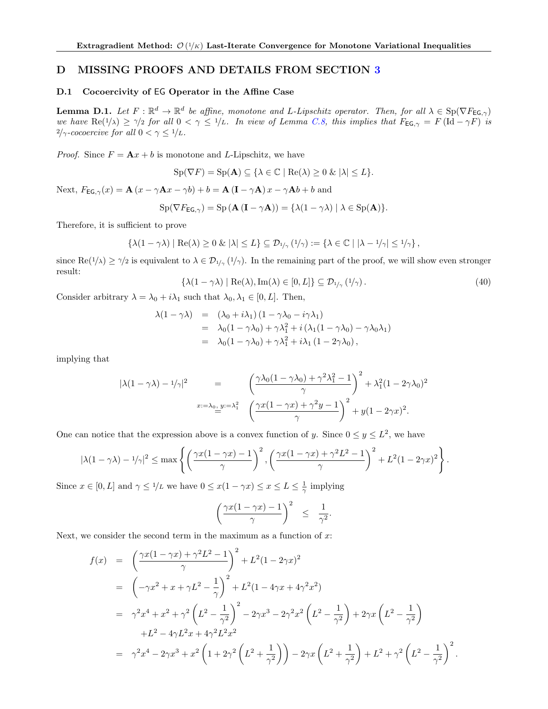### <span id="page-21-2"></span>D MISSING PROOFS AND DETAILS FROM SECTION [3](#page-3-9)

#### <span id="page-21-1"></span>D.1 Cocoercivity of EG Operator in the Affine Case

<span id="page-21-0"></span>**Lemma D.1.** Let  $F: \mathbb{R}^d \to \mathbb{R}^d$  be affine, monotone and L-Lipschitz operator. Then, for all  $\lambda \in \text{Sp}(\nabla F_{\textsf{EG},\gamma})$ we have  $\text{Re}(1/\lambda) \geq \gamma/2$  for all  $0 < \gamma \leq 1/L$ . In view of Lemma [C.8,](#page-19-2) this implies that  $F_{\text{EG},\gamma} = F(\text{Id} - \gamma F)$  is  $2/\gamma\text{-}cocoercive$  for all  $0<\gamma\leq 1/L.$ 

*Proof.* Since  $F = \mathbf{A}x + b$  is monotone and L-Lipschitz, we have

 $\text{Sp}(\nabla F) = \text{Sp}(\mathbf{A}) \subseteq \{ \lambda \in \mathbb{C} \mid \text{Re}(\lambda) \geq 0 \text{ \& } |\lambda| \leq L \}.$ 

Next,  $F_{EG,\gamma}(x) = \mathbf{A}(x - \gamma \mathbf{A}x - \gamma b) + b = \mathbf{A}(\mathbf{I} - \gamma \mathbf{A})x - \gamma \mathbf{A}b + b$  and

$$
Sp(\nabla F_{\mathsf{EG},\gamma}) = Sp(\mathbf{A}(\mathbf{I} - \gamma \mathbf{A})) = {\lambda(1 - \gamma \lambda) | \lambda \in Sp(\mathbf{A})}.
$$

Therefore, it is sufficient to prove

$$
\{\lambda(1-\gamma\lambda)\mid \mathrm{Re}(\lambda)\geq 0\ \&\ |\lambda|\leq L\}\subseteq \mathcal{D}_{1/\gamma}(1/\gamma):=\{\lambda\in\mathbb{C}\mid |\lambda-1/\gamma|\leq 1/\gamma\}\,,
$$

since  $\text{Re}(1/\lambda) \geq \gamma/2$  is equivalent to  $\lambda \in \mathcal{D}_{1/\gamma}(1/\gamma)$ . In the remaining part of the proof, we will show even stronger result:

<span id="page-21-3"></span>
$$
\{\lambda(1-\gamma\lambda) \mid \text{Re}(\lambda), \text{Im}(\lambda) \in [0, L]\} \subseteq \mathcal{D}_{1/\gamma}(1/\gamma).
$$
\n(40)

Consider arbitrary  $\lambda = \lambda_0 + i\lambda_1$  such that  $\lambda_0, \lambda_1 \in [0, L]$ . Then,

$$
\lambda(1-\gamma\lambda) = (\lambda_0 + i\lambda_1)(1-\gamma\lambda_0 - i\gamma\lambda_1)
$$
  
=  $\lambda_0(1-\gamma\lambda_0) + \gamma\lambda_1^2 + i(\lambda_1(1-\gamma\lambda_0) - \gamma\lambda_0\lambda_1)$   
=  $\lambda_0(1-\gamma\lambda_0) + \gamma\lambda_1^2 + i\lambda_1(1-2\gamma\lambda_0),$ 

implying that

$$
|\lambda(1-\gamma\lambda)-1/\gamma|^2 = \left(\frac{\gamma\lambda_0(1-\gamma\lambda_0)+\gamma^2\lambda_1^2-1}{\gamma}\right)^2+\lambda_1^2(1-2\gamma\lambda_0)^2
$$
  

$$
x:=\lambda_0, y:=\lambda_1^2 \left(\frac{\gamma x(1-\gamma x)+\gamma^2 y-1}{\gamma}\right)^2+y(1-2\gamma x)^2.
$$

One can notice that the expression above is a convex function of y. Since  $0 \le y \le L^2$ , we have

$$
|\lambda(1-\gamma\lambda)-1/\gamma|^2 \le \max\left\{\left(\frac{\gamma x(1-\gamma x)-1}{\gamma}\right)^2, \left(\frac{\gamma x(1-\gamma x)+\gamma^2 L^2-1}{\gamma}\right)^2 + L^2(1-2\gamma x)^2\right\}.
$$

Since  $x \in [0, L]$  and  $\gamma \leq 1/L$  we have  $0 \leq x(1 - \gamma x) \leq x \leq L \leq \frac{1}{\gamma}$  implying

$$
\left(\frac{\gamma x(1-\gamma x)-1}{\gamma}\right)^2 \leq \frac{1}{\gamma^2}.
$$

Next, we consider the second term in the maximum as a function of  $x$ :

$$
f(x) = \left(\frac{\gamma x (1 - \gamma x) + \gamma^2 L^2 - 1}{\gamma}\right)^2 + L^2 (1 - 2\gamma x)^2
$$
  
\n
$$
= \left(-\gamma x^2 + x + \gamma L^2 - \frac{1}{\gamma}\right)^2 + L^2 (1 - 4\gamma x + 4\gamma^2 x^2)
$$
  
\n
$$
= \gamma^2 x^4 + x^2 + \gamma^2 \left(L^2 - \frac{1}{\gamma^2}\right)^2 - 2\gamma x^3 - 2\gamma^2 x^2 \left(L^2 - \frac{1}{\gamma^2}\right) + 2\gamma x \left(L^2 - \frac{1}{\gamma^2}\right)
$$
  
\n
$$
+ L^2 - 4\gamma L^2 x + 4\gamma^2 L^2 x^2
$$
  
\n
$$
= \gamma^2 x^4 - 2\gamma x^3 + x^2 \left(1 + 2\gamma^2 \left(L^2 + \frac{1}{\gamma^2}\right)\right) - 2\gamma x \left(L^2 + \frac{1}{\gamma^2}\right) + L^2 + \gamma^2 \left(L^2 - \frac{1}{\gamma^2}\right)^2.
$$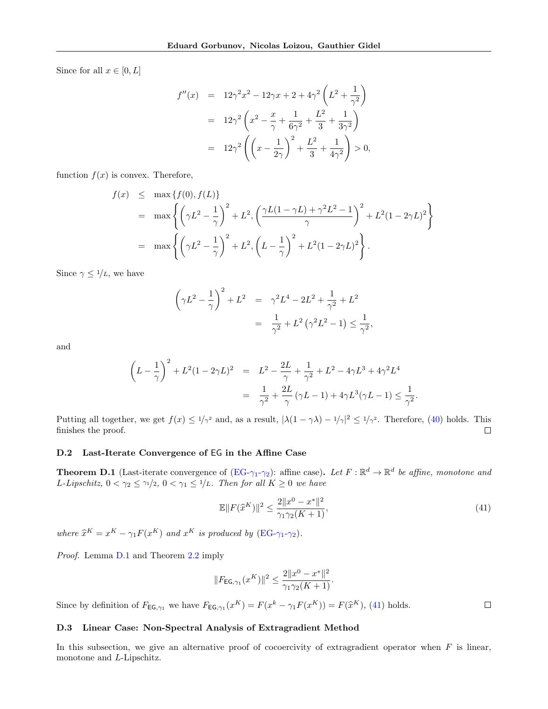Since for all  $x \in [0, L]$ 

$$
f''(x) = 12\gamma^2 x^2 - 12\gamma x + 2 + 4\gamma^2 \left(L^2 + \frac{1}{\gamma^2}\right)
$$
  
=  $12\gamma^2 \left(x^2 - \frac{x}{\gamma} + \frac{1}{6\gamma^2} + \frac{L^2}{3} + \frac{1}{3\gamma^2}\right)$   
=  $12\gamma^2 \left(\left(x - \frac{1}{2\gamma}\right)^2 + \frac{L^2}{3} + \frac{1}{4\gamma^2}\right) > 0,$ 

function  $f(x)$  is convex. Therefore,

$$
f(x) \leq \max \{ f(0), f(L) \}
$$
  
=  $\max \left\{ \left( \gamma L^2 - \frac{1}{\gamma} \right)^2 + L^2, \left( \frac{\gamma L (1 - \gamma L) + \gamma^2 L^2 - 1}{\gamma} \right)^2 + L^2 (1 - 2\gamma L)^2 \right\}$   
=  $\max \left\{ \left( \gamma L^2 - \frac{1}{\gamma} \right)^2 + L^2, \left( L - \frac{1}{\gamma} \right)^2 + L^2 (1 - 2\gamma L)^2 \right\}.$ 

Since  $\gamma \leq 1/L$ , we have

$$
\left(\gamma L^2 - \frac{1}{\gamma}\right)^2 + L^2 = \gamma^2 L^4 - 2L^2 + \frac{1}{\gamma^2} + L^2
$$
  
= 
$$
\frac{1}{\gamma^2} + L^2 \left(\gamma^2 L^2 - 1\right) \le \frac{1}{\gamma^2},
$$

and

$$
\left(L - \frac{1}{\gamma}\right)^2 + L^2(1 - 2\gamma L)^2 = L^2 - \frac{2L}{\gamma} + \frac{1}{\gamma^2} + L^2 - 4\gamma L^3 + 4\gamma^2 L^4
$$
  
= 
$$
\frac{1}{\gamma^2} + \frac{2L}{\gamma}(\gamma L - 1) + 4\gamma L^3(\gamma L - 1) \le \frac{1}{\gamma^2}.
$$

Putting all together, we get  $f(x) \leq \frac{1}{\gamma^2}$  and, as a result,  $|\lambda(1-\gamma\lambda)-\frac{1}{\gamma}|^2 \leq \frac{1}{\gamma^2}$ . Therefore, [\(40\)](#page-21-3) holds. This finishes the proof.  $\Box$ 

### <span id="page-22-0"></span>D.2 Last-Iterate Convergence of EG in the Affine Case

**Theorem D.1** (Last-iterate convergence of  $(\overline{EG} - \gamma_1 - \gamma_2)$ : affine case). Let  $F : \mathbb{R}^d \to \mathbb{R}^d$  be affine, monotone and L-Lipschitz,  $0 < \gamma_2 \leq \gamma_1/2$ ,  $0 < \gamma_1 \leq 1/L$ . Then for all  $K \geq 0$  we have

<span id="page-22-2"></span>
$$
\mathbb{E}||F(\hat{x}^{K})||^{2} \le \frac{2||x^{0} - x^{*}||^{2}}{\gamma_{1}\gamma_{2}(K+1)},
$$
\n(41)

 $\Box$ 

where  $\hat{x}^K = x^K - \gamma_1 F(x^K)$  and  $x^K$  is produced by  $(\text{EG-}\gamma_1-\gamma_2)$ .

Proof. Lemma [D.1](#page-21-0) and Theorem [2.2](#page-3-0) imply

$$
||F_{\mathsf{EG},\gamma_1}(x^K)||^2 \le \frac{2||x^0 - x^*||^2}{\gamma_1 \gamma_2(K+1)}.
$$

Since by definition of  $F_{\textsf{EG},\gamma_1}$  we have  $F_{\textsf{EG},\gamma_1}(x^K) = F(x^k - \gamma_1 F(x^K)) = F(\hat{x}^K)$ , [\(41\)](#page-22-2) holds.

#### <span id="page-22-1"></span>D.3 Linear Case: Non-Spectral Analysis of Extragradient Method

In this subsection, we give an alternative proof of cocoercivity of extragradient operator when  $F$  is linear, monotone and L-Lipschitz.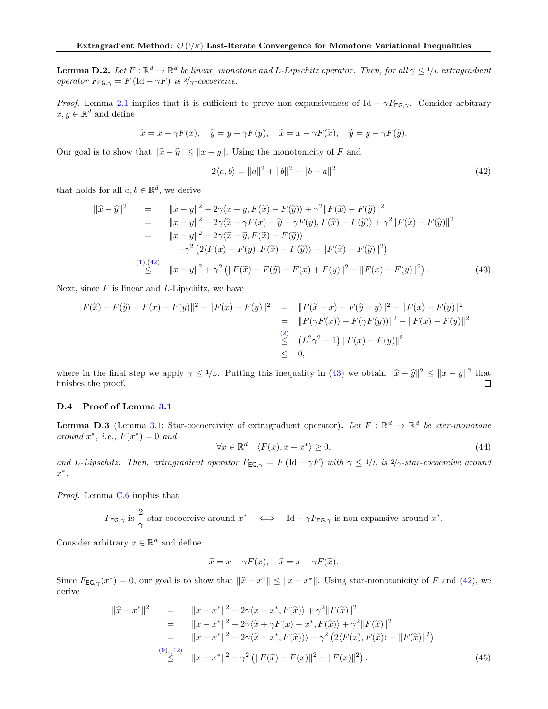<span id="page-23-4"></span>**Lemma D.2.** Let  $F : \mathbb{R}^d \to \mathbb{R}^d$  be linear, monotone and L-Lipschitz operator. Then, for all  $\gamma \leq 1/L$  extragradient operator  $F_{\text{EG},\gamma} = F(\text{Id} - \gamma F)$  is  $2/\gamma$ -cocoercive.

Proof. Lemma [2.1](#page-2-0) implies that it is sufficient to prove non-expansiveness of Id –  $\gamma F_{EG,\gamma}$ . Consider arbitrary  $x, y \in \mathbb{R}^d$  and define

$$
\widetilde{x} = x - \gamma F(x), \quad \widetilde{y} = y - \gamma F(y), \quad \widehat{x} = x - \gamma F(\widetilde{x}), \quad \widehat{y} = y - \gamma F(\widetilde{y}).
$$

Our goal is to show that  $\|\hat{x} - \hat{y}\| \leq \|x - y\|$ . Using the monotonicity of F and

<span id="page-23-1"></span>
$$
2\langle a,b\rangle = \|a\|^2 + \|b\|^2 - \|b-a\|^2 \tag{42}
$$

that holds for all  $a, b \in \mathbb{R}^d$ , we derive

<span id="page-23-2"></span>
$$
\begin{array}{rcl}\n\|\widehat{x}-\widehat{y}\|^2 & = & \|x-y\|^2 - 2\gamma\langle x-y, F(\widetilde{x}) - F(\widetilde{y})\rangle + \gamma^2 \|F(\widetilde{x}) - F(\widetilde{y})\|^2 \\
& = & \|x-y\|^2 - 2\gamma\langle \widetilde{x} + \gamma F(x) - \widetilde{y} - \gamma F(y), F(\widetilde{x}) - F(\widetilde{y})\rangle + \gamma^2 \|F(\widetilde{x}) - F(\widetilde{y})\|^2 \\
& = & \|x-y\|^2 - 2\gamma\langle \widetilde{x} - \widetilde{y}, F(\widetilde{x}) - F(\widetilde{y})\rangle \\
&\quad - \gamma^2 \left(2\langle F(x) - F(y), F(\widetilde{x}) - F(\widetilde{y})\rangle - \|F(\widetilde{x}) - F(\widetilde{y})\|^2\right) \\
& & \leq & \|x-y\|^2 + \gamma^2 \left(\|F(\widetilde{x}) - F(\widetilde{y}) - F(x) + F(y)\|^2 - \|F(x) - F(y)\|^2\right).\n\end{array} \tag{43}
$$

Next, since  $F$  is linear and L-Lipschitz, we have

$$
||F(\tilde{x}) - F(\tilde{y}) - F(x) + F(y)||^2 - ||F(x) - F(y)||^2 = ||F(\tilde{x} - x) - F(\tilde{y} - y)||^2 - ||F(x) - F(y)||^2
$$
  
\n
$$
= ||F(\gamma F(x)) - F(\gamma F(y))||^2 - ||F(x) - F(y)||^2
$$
  
\n
$$
\leq (L^2 \gamma^2 - 1) ||F(x) - F(y)||^2
$$
  
\n
$$
\leq 0,
$$

where in the final step we apply  $\gamma \leq 1/L$ . Putting this inequality in [\(43\)](#page-23-2) we obtain  $\|\hat{x} - \hat{y}\|^2 \leq \|x - y\|^2$  that finishes the proof finishes the proof.  $\Box$ 

#### <span id="page-23-0"></span>D.4 Proof of Lemma [3.1](#page-3-1)

**Lemma D.3** (Lemma [3.1;](#page-3-1) Star-cocoercivity of extragradient operator). Let  $F : \mathbb{R}^d \to \mathbb{R}^d$  be star-monotone around  $x^*$ , i.e.,  $F(x^*) = 0$  and

$$
\forall x \in \mathbb{R}^d \quad \langle F(x), x - x^* \rangle \ge 0,\tag{44}
$$

and L-Lipschitz. Then, extragradient operator  $F_{EG,\gamma} = F(\text{Id} - \gamma F)$  with  $\gamma \leq 1/L$  is  $2/\gamma$ -star-cocoercive around  $x^*$ .

Proof. Lemma [C.6](#page-18-1) implies that

$$
F_{\text{EG},\gamma}
$$
 is  $\frac{2}{\gamma}$ -star-cococercive around  $x^*$   $\iff$  Id  $-\gamma F_{\text{EG},\gamma}$  is non-expansive around  $x^*$ .

Consider arbitrary  $x \in \mathbb{R}^d$  and define

$$
\widetilde{x} = x - \gamma F(x), \quad \widehat{x} = x - \gamma F(\widetilde{x}).
$$

Since  $F_{\textsf{EG},\gamma}(x^*) = 0$ , our goal is to show that  $\|\hat{x} - x^*\| \leq \|x - x^*\|$ . Using star-monotonicity of F and [\(42\)](#page-23-1), we derive

<span id="page-23-3"></span>
$$
\|\hat{x} - x^*\|^2 = \|x - x^*\|^2 - 2\gamma\langle x - x^*, F(\tilde{x})\rangle + \gamma^2 \|F(\tilde{x})\|^2
$$
  
\n
$$
= \|x - x^*\|^2 - 2\gamma\langle \tilde{x} + \gamma F(x) - x^*, F(\tilde{x})\rangle + \gamma^2 \|F(\tilde{x})\|^2
$$
  
\n
$$
= \|x - x^*\|^2 - 2\gamma\langle \tilde{x} - x^*, F(\tilde{x})\rangle - \gamma^2 \left(2\langle F(x), F(\tilde{x})\rangle - \|F(\tilde{x})\|^2\right)
$$
  
\n(9),(42)  
\n
$$
\leq \|x - x^*\|^2 + \gamma^2 \left( \|F(\tilde{x}) - F(x)\|^2 - \|F(x)\|^2 \right).
$$
 (45)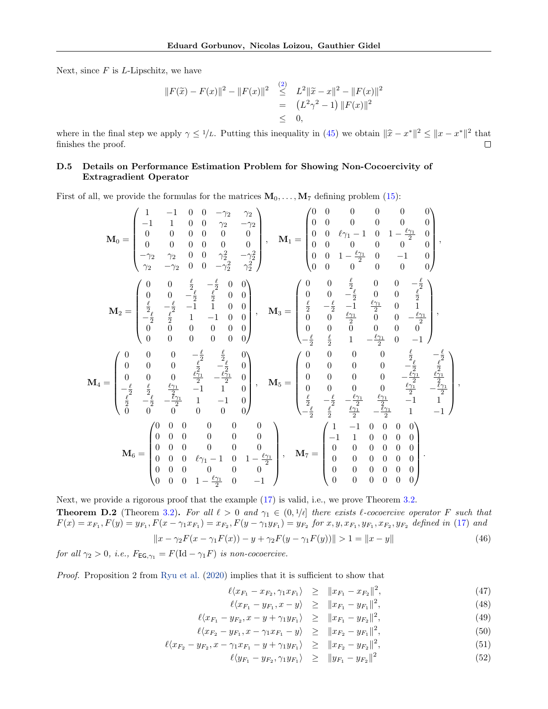Next, since  $F$  is  $L$ -Lipschitz, we have

$$
||F(\tilde{x}) - F(x)||^2 - ||F(x)||^2 \leq L^2 ||\tilde{x} - x||^2 - ||F(x)||^2
$$
  
=  $(L^2 \gamma^2 - 1) ||F(x)||^2$   
 $\leq 0,$ 

where in the final step we apply  $\gamma \leq 1/L$ . Putting this inequality in [\(45\)](#page-23-3) we obtain  $\|\hat{x} - x^*\|^2 \leq \|x - x^*\|^2$  that finishes the proof finishes the proof.

### <span id="page-24-0"></span>D.5 Details on Performance Estimation Problem for Showing Non-Cocoercivity of Extragradient Operator

First of all, we provide the formulas for the matrices  $M_0, \ldots, M_7$  defining problem [\(15\)](#page-5-1):

$$
\mathbf{M}_{0} = \begin{pmatrix} 1 & -1 & 0 & 0 & -\gamma_{2} & \gamma_{2} \\ -1 & 1 & 0 & 0 & \gamma_{2} & -\gamma_{2} \\ 0 & 0 & 0 & 0 & 0 & 0 \\ 0 & 0 & 0 & 0 & 0 & 0 \\ -\gamma_{2} & \gamma_{2} & 0 & 0 & \gamma_{2}^{2} & -\gamma_{2}^{2} \\ \gamma_{2} & -\gamma_{2} & 0 & 0 & -\gamma_{2}^{2} & \gamma_{2}^{2} \end{pmatrix}, \quad \mathbf{M}_{1} = \begin{pmatrix} 0 & 0 & 0 & 0 & 0 & 0 & 0 \\ 0 & 0 & 0 & 0 & 0 & 0 & 0 \\ 0 & 0 & 0 & 0 & 0 & 0 & 0 & 0 \\ 0 & 0 & 0 & 0 & 0 & 0 & 0 & 0 \\ 0 & 0 & 0 & 0 & 0 & 0 & 0 & 0 \\ 0 & 0 & 1 & -\frac{\ell_{2}}{2} & 0 & 0 & 0 & 0 \\ 0 & 0 & 0 & 0 & 0 & 0 & 0 & 0 \end{pmatrix}, \quad \mathbf{M}_{3} = \begin{pmatrix} 0 & 0 & \frac{\ell}{2} & 0 & 0 & 0 & -\frac{\ell_{2}}{2} \\ \frac{\ell}{2} & -\frac{\ell}{2} & -1 & 1 & 0 & 0 \\ \frac{\ell}{2} & -\frac{\ell}{2} & \frac{\ell}{2} & 1 & -1 & 0 & 0 \\ 0 & 0 & 0 & 0 & 0 & 0 & 0 & 0 \\ 0 & 0 & 0 & 0 & 0 & 0 & 0 & 0 \\ 0 & 0 & 0 & 0 & 0 & 0 & 0 & 0 \end{pmatrix}, \quad \mathbf{M}_{4} = \begin{pmatrix} 0 & 0 & 0 & \frac{\ell}{2} & 0 & 0 & 0 & 0 \\ 0 & 0 & \frac{\ell}{2} & 0 & 0 & 0 & \frac{\ell_{2}}{2} \\ \frac{\ell}{2} & -\frac{\ell}{2} & -\frac{\ell}{2} & 1 & -1 & 0 & 0 \\ 0 & 0 & 0 & 0 & 0 & 0 & 0 & 0 \\ 0 & 0 & 0 & \frac{\ell}{2} & -\frac{\ell_{2}}{2} & 0 \\ 0 & 0 & 0 & 0 & 0 &
$$

Next, we provide a rigorous proof that the example  $(17)$  is valid, i.e., we prove Theorem [3.2.](#page-6-2) **Theorem D.2** (Theorem [3.2\)](#page-6-2). For all  $\ell > 0$  and  $\gamma_1 \in (0, 1/\ell]$  there exists  $\ell$ -cocoercive operator F such that  $F(x) = x_{F_1}, F(y) = y_{F_1}, F(x - \gamma_1 x_{F_1}) = x_{F_2}, F(y - \gamma_1 y_{F_1}) = y_{F_2}$  for  $x, y, x_{F_1}, y_{F_1}, x_{F_2}, y_{F_2}$  defined in [\(17\)](#page-5-4) and  $||x - \gamma_2 F(x - \gamma_1 F(x)) - y + \gamma_2 F(y - \gamma_1 F(y))|| > 1 = ||x - y||$  (46)

for all  $\gamma_2 > 0$ , i.e.,  $F_{\text{EG}, \gamma_1} = F(\text{Id} - \gamma_1 F)$  is non-cocoercive.

Proof. Proposition 2 from [Ryu et al.](#page-11-8) [\(2020\)](#page-11-8) implies that it is sufficient to show that

<span id="page-24-1"></span>
$$
\ell \langle x_{F_1} - x_{F_2}, \gamma_1 x_{F_1} \rangle \geq \| x_{F_1} - x_{F_2} \|^2, \tag{47}
$$

$$
\ell \langle x_{F_1} - y_{F_1}, x - y \rangle \geq \| x_{F_1} - y_{F_1} \|^2, \tag{48}
$$

$$
\ell \langle x_{F_1} - y_{F_2}, x - y + \gamma_1 y_{F_1} \rangle \ge ||x_{F_1} - y_{F_2}||^2,
$$
\n(49)

$$
\ell \langle x_{F_2} - y_{F_1}, x - \gamma_1 x_{F_1} - y \rangle \ge ||x_{F_2} - y_{F_1}||^2, \tag{50}
$$

$$
\ell \langle x_{F_2} - y_{F_2}, x - \gamma_1 x_{F_1} - y + \gamma_1 y_{F_1} \rangle \ge ||x_{F_2} - y_{F_2}||^2,
$$
\n(51)

$$
\ell \langle y_{F_1} - y_{F_2}, \gamma_1 y_{F_1} \rangle \ge ||y_{F_1} - y_{F_2}||^2 \tag{52}
$$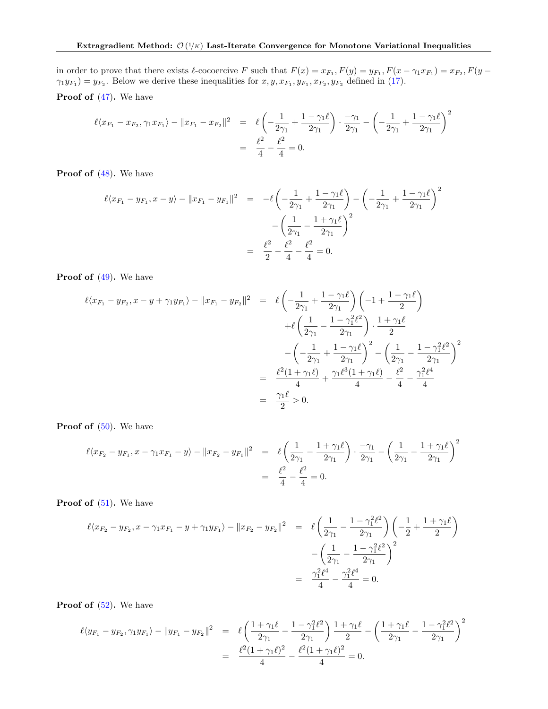in order to prove that there exists  $\ell$ -cocoercive F such that  $F(x) = x_{F_1}$ ,  $F(y) = y_{F_1}$ ,  $F(x - \gamma_1 x_{F_1}) = x_{F_2}$ ,  $F(y - \gamma_1 x_{F_1}) = x_{F_2}$  $\gamma_1 y_{F_1} = y_{F_2}$ . Below we derive these inequalities for  $x, y, x_{F_1}, y_{F_1}, x_{F_2}, y_{F_2}$  defined in [\(17\)](#page-5-4). Proof of  $(47)$ . We have

$$
\ell \langle x_{F_1} - x_{F_2}, \gamma_1 x_{F_1} \rangle - \| x_{F_1} - x_{F_2} \|^2 = \ell \left( -\frac{1}{2\gamma_1} + \frac{1 - \gamma_1 \ell}{2\gamma_1} \right) \cdot \frac{-\gamma_1}{2\gamma_1} - \left( -\frac{1}{2\gamma_1} + \frac{1 - \gamma_1 \ell}{2\gamma_1} \right)^2
$$
  
=  $\frac{\ell^2}{4} - \frac{\ell^2}{4} = 0.$ 

Proof of  $(48)$ . We have

$$
\ell \langle x_{F_1} - y_{F_1}, x - y \rangle - ||x_{F_1} - y_{F_1}||^2 = -\ell \left( -\frac{1}{2\gamma_1} + \frac{1 - \gamma_1 \ell}{2\gamma_1} \right) - \left( -\frac{1}{2\gamma_1} + \frac{1 - \gamma_1 \ell}{2\gamma_1} \right)^2
$$

$$
- \left( \frac{1}{2\gamma_1} - \frac{1 + \gamma_1 \ell}{2\gamma_1} \right)^2
$$

$$
= \frac{\ell^2}{2} - \frac{\ell^2}{4} - \frac{\ell^2}{4} = 0.
$$

Proof of  $(49)$ . We have

$$
\ell \langle x_{F_1} - y_{F_2}, x - y + \gamma_1 y_{F_1} \rangle - \|x_{F_1} - y_{F_2}\|^2 = \ell \left( -\frac{1}{2\gamma_1} + \frac{1 - \gamma_1 \ell}{2\gamma_1} \right) \left( -1 + \frac{1 - \gamma_1 \ell}{2} \right)
$$

$$
+ \ell \left( \frac{1}{2\gamma_1} - \frac{1 - \gamma_1^2 \ell^2}{2\gamma_1} \right) \cdot \frac{1 + \gamma_1 \ell}{2}
$$

$$
- \left( -\frac{1}{2\gamma_1} + \frac{1 - \gamma_1 \ell}{2\gamma_1} \right)^2 - \left( \frac{1}{2\gamma_1} - \frac{1 - \gamma_1^2 \ell^2}{2\gamma_1} \right)^2
$$

$$
= \frac{\ell^2 (1 + \gamma_1 \ell)}{4} + \frac{\gamma_1 \ell^3 (1 + \gamma_1 \ell)}{4} - \frac{\ell^2}{4} - \frac{\gamma_1^2 \ell^4}{4}
$$

$$
= \frac{\gamma_1 \ell}{2} > 0.
$$

**Proof of**  $(50)$ **.** We have

$$
\ell \langle x_{F_2} - y_{F_1}, x - \gamma_1 x_{F_1} - y \rangle - \|x_{F_2} - y_{F_1}\|^2 = \ell \left( \frac{1}{2\gamma_1} - \frac{1 + \gamma_1 \ell}{2\gamma_1} \right) \cdot \frac{-\gamma_1}{2\gamma_1} - \left( \frac{1}{2\gamma_1} - \frac{1 + \gamma_1 \ell}{2\gamma_1} \right)^2
$$

$$
= \frac{\ell^2}{4} - \frac{\ell^2}{4} = 0.
$$

**Proof of**  $(51)$ **.** We have

$$
\ell \langle x_{F_2} - y_{F_2}, x - \gamma_1 x_{F_1} - y + \gamma_1 y_{F_1} \rangle - \|x_{F_2} - y_{F_2}\|^2 = \ell \left( \frac{1}{2\gamma_1} - \frac{1 - \gamma_1^2 \ell^2}{2\gamma_1} \right) \left( -\frac{1}{2} + \frac{1 + \gamma_1 \ell}{2} \right)
$$

$$
- \left( \frac{1}{2\gamma_1} - \frac{1 - \gamma_1^2 \ell^2}{2\gamma_1} \right)^2
$$

$$
= \frac{\gamma_1^2 \ell^4}{4} - \frac{\gamma_1^2 \ell^4}{4} = 0.
$$

**Proof of**  $(52)$ **.** We have

$$
\ell \langle y_{F_1} - y_{F_2}, \gamma_1 y_{F_1} \rangle - ||y_{F_1} - y_{F_2}||^2 = \ell \left( \frac{1 + \gamma_1 \ell}{2\gamma_1} - \frac{1 - \gamma_1^2 \ell^2}{2\gamma_1} \right) \frac{1 + \gamma_1 \ell}{2} - \left( \frac{1 + \gamma_1 \ell}{2\gamma_1} - \frac{1 - \gamma_1^2 \ell^2}{2\gamma_1} \right)^2
$$
  
= 
$$
\frac{\ell^2 (1 + \gamma_1 \ell)^2}{4} - \frac{\ell^2 (1 + \gamma_1 \ell)^2}{4} = 0.
$$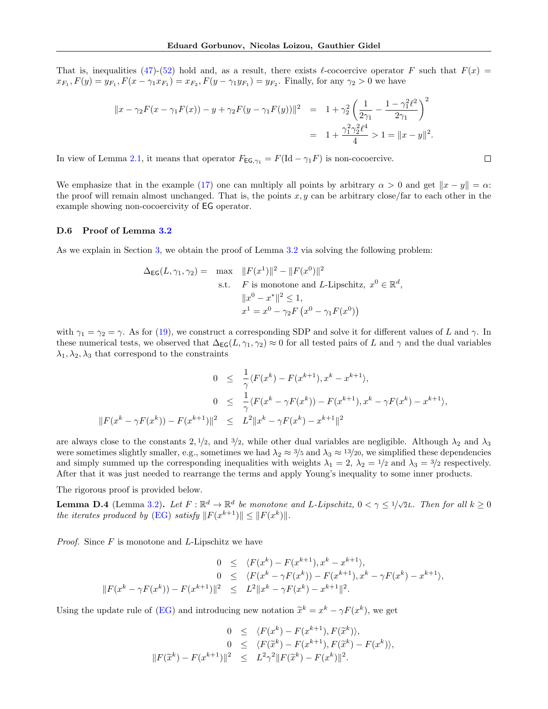That is, inequalities [\(47\)](#page-24-1)-[\(52\)](#page-24-1) hold and, as a result, there exists  $\ell$ -cocoercive operator F such that  $F(x)$  =  $x_{F_1}, F(y) = y_{F_1}, F(x - \gamma_1 x_{F_1}) = x_{F_2}, F(y - \gamma_1 y_{F_1}) = y_{F_2}.$  Finally, for any  $\gamma_2 > 0$  we have

$$
||x - \gamma_2 F(x - \gamma_1 F(x)) - y + \gamma_2 F(y - \gamma_1 F(y))||^2 = 1 + \gamma_2^2 \left(\frac{1}{2\gamma_1} - \frac{1 - \gamma_1^2 \ell^2}{2\gamma_1}\right)^2
$$
  
= 1 +  $\frac{\gamma_1^2 \gamma_2^2 \ell^4}{4} > 1 = ||x - y||^2$ .

In view of Lemma [2.1,](#page-2-0) it means that operator  $F_{\text{EG},\gamma_1} = F(\text{Id} - \gamma_1 F)$  is non-cocoercive.

We emphasize that in the example [\(17\)](#page-5-4) one can multiply all points by arbitrary  $\alpha > 0$  and get  $||x - y|| = \alpha$ : the proof will remain almost unchanged. That is, the points  $x, y$  can be arbitrary close/far to each other in the example showing non-cocoercivity of EG operator.

#### <span id="page-26-0"></span>D.6 Proof of Lemma [3.2](#page-7-1)

As we explain in Section [3,](#page-3-9) we obtain the proof of Lemma [3.2](#page-7-1) via solving the following problem:

<span id="page-26-1"></span>
$$
\Delta_{\mathsf{EG}}(L, \gamma_1, \gamma_2) = \max_{\text{s.t.}} \|F(x^1)\|^2 - \|F(x^0)\|^2
$$
  
s.t. *F* is monotone and *L*-Lipschitz,  $x^0 \in \mathbb{R}^d$ ,  

$$
\|x^0 - x^*\|^2 \le 1,
$$
  

$$
x^1 = x^0 - \gamma_2 F(x^0 - \gamma_1 F(x^0))
$$

with  $\gamma_1 = \gamma_2 = \gamma$ . As for [\(19\)](#page-6-1), we construct a corresponding SDP and solve it for different values of L and  $\gamma$ . In these numerical tests, we observed that  $\Delta_{\text{EG}}(L, \gamma_1, \gamma_2) \approx 0$  for all tested pairs of L and  $\gamma$  and the dual variables  $\lambda_1, \lambda_2, \lambda_3$  that correspond to the constraints

$$
0 \leq \frac{1}{\gamma} \langle F(x^{k}) - F(x^{k+1}), x^{k} - x^{k+1} \rangle,
$$
  
\n
$$
0 \leq \frac{1}{\gamma} \langle F(x^{k} - \gamma F(x^{k})) - F(x^{k+1}), x^{k} - \gamma F(x^{k}) - x^{k+1} \rangle,
$$
  
\n
$$
||F(x^{k} - \gamma F(x^{k})) - F(x^{k+1})||^{2} \leq L^{2} ||x^{k} - \gamma F(x^{k}) - x^{k+1}||^{2}
$$

are always close to the constants 2,  $1/2$ , and  $3/2$ , while other dual variables are negligible. Although  $\lambda_2$  and  $\lambda_3$ were sometimes slightly smaller, e.g., sometimes we had  $\lambda_2 \approx 3/5$  and  $\lambda_3 \approx 13/20$ , we simplified these dependencies and simply summed up the corresponding inequalities with weights  $\lambda_1 = 2$ ,  $\lambda_2 = 1/2$  and  $\lambda_3 = 3/2$  respectively. After that it was just needed to rearrange the terms and apply Young's inequality to some inner products.

The rigorous proof is provided below.

**Lemma D.4** (Lemma [3.2\)](#page-7-1). Let  $F : \mathbb{R}^d \to \mathbb{R}^d$  be monotone and L-Lipschitz,  $0 < \gamma \leq 1/\sqrt{2}L$ . Then for all  $k \geq 0$ the iterates produced by [\(EG\)](#page-3-7) satisfy  $||F(x^{k+1})|| \leq ||F(x^k)||$ .

*Proof.* Since  $F$  is monotone and  $L$ -Lipschitz we have

$$
0 \leq \langle F(x^{k}) - F(x^{k+1}), x^{k} - x^{k+1} \rangle,
$$
  
\n
$$
0 \leq \langle F(x^{k} - \gamma F(x^{k})) - F(x^{k+1}), x^{k} - \gamma F(x^{k}) - x^{k+1} \rangle,
$$
  
\n
$$
||F(x^{k} - \gamma F(x^{k})) - F(x^{k+1})||^{2} \leq L^{2}||x^{k} - \gamma F(x^{k}) - x^{k+1}||^{2}.
$$

Using the update rule of [\(EG\)](#page-3-7) and introducing new notation  $\tilde{x}^k = x^k - \gamma F(x^k)$ , we get

$$
0 \leq \langle F(x^{k}) - F(x^{k+1}), F(\tilde{x}^{k}) \rangle, 0 \leq \langle F(\tilde{x}^{k}) - F(x^{k+1}), F(\tilde{x}^{k}) - F(x^{k}) \rangle, ||F(\tilde{x}^{k}) - F(x^{k+1})||^{2} \leq L^{2} \gamma^{2} ||F(\tilde{x}^{k}) - F(x^{k})||^{2}.
$$

 $\Box$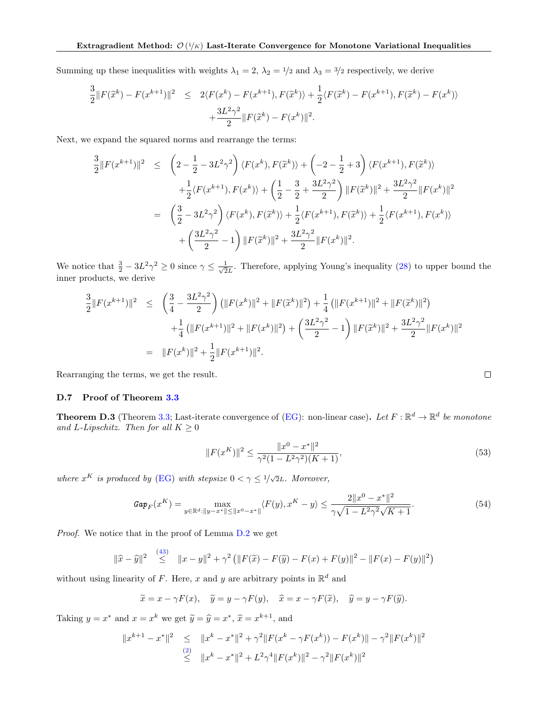Summing up these inequalities with weights  $\lambda_1 = 2$ ,  $\lambda_2 = 1/2$  and  $\lambda_3 = 3/2$  respectively, we derive

$$
\frac{3}{2} ||F(\tilde{x}^{k}) - F(x^{k+1})||^{2} \le 2\langle F(x^{k}) - F(x^{k+1}), F(\tilde{x}^{k}) \rangle + \frac{1}{2} \langle F(\tilde{x}^{k}) - F(x^{k+1}), F(\tilde{x}^{k}) - F(x^{k}) \rangle \n+ \frac{3L^{2}\gamma^{2}}{2} ||F(\tilde{x}^{k}) - F(x^{k})||^{2}.
$$

Next, we expand the squared norms and rearrange the terms:

$$
\frac{3}{2}||F(x^{k+1})||^{2} \leq \left(2 - \frac{1}{2} - 3L^{2}\gamma^{2}\right)\langle F(x^{k}), F(\tilde{x}^{k})\rangle + \left(-2 - \frac{1}{2} + 3\right)\langle F(x^{k+1}), F(\tilde{x}^{k})\rangle \n+ \frac{1}{2}\langle F(x^{k+1}), F(x^{k})\rangle + \left(\frac{1}{2} - \frac{3}{2} + \frac{3L^{2}\gamma^{2}}{2}\right)||F(\tilde{x}^{k})||^{2} + \frac{3L^{2}\gamma^{2}}{2}||F(x^{k})||^{2} \n= \left(\frac{3}{2} - 3L^{2}\gamma^{2}\right)\langle F(x^{k}), F(\tilde{x}^{k})\rangle + \frac{1}{2}\langle F(x^{k+1}), F(\tilde{x}^{k})\rangle + \frac{1}{2}\langle F(x^{k+1}), F(x^{k})\rangle \n+ \left(\frac{3L^{2}\gamma^{2}}{2} - 1\right)||F(\tilde{x}^{k})||^{2} + \frac{3L^{2}\gamma^{2}}{2}||F(x^{k})||^{2}.
$$

We notice that  $\frac{3}{2} - 3L^2\gamma^2 \geq 0$  since  $\gamma \leq \frac{1}{\sqrt{2}}$  $\frac{1}{2L}$ . Therefore, applying Young's inequality [\(28\)](#page-13-1) to upper bound the inner products, we derive

$$
\frac{3}{2} ||F(x^{k+1})||^2 \le \left(\frac{3}{4} - \frac{3L^2\gamma^2}{2}\right) \left(||F(x^k)||^2 + ||F(\tilde{x}^k)||^2\right) + \frac{1}{4} \left(||F(x^{k+1})||^2 + ||F(\tilde{x}^k)||^2\right) \n+ \frac{1}{4} \left(||F(x^{k+1})||^2 + ||F(x^k)||^2\right) + \left(\frac{3L^2\gamma^2}{2} - 1\right) ||F(\tilde{x}^k)||^2 + \frac{3L^2\gamma^2}{2} ||F(x^k)||^2 \n= ||F(x^k)||^2 + \frac{1}{2} ||F(x^{k+1})||^2.
$$

Rearranging the terms, we get the result.

### <span id="page-27-0"></span>D.7 Proof of Theorem [3.3](#page-8-0)

**Theorem D.3** (Theorem [3.3;](#page-8-0) Last-iterate convergence of [\(EG\)](#page-3-7): non-linear case). Let  $F : \mathbb{R}^d \to \mathbb{R}^d$  be monotone and L-Lipschitz. Then for all  $K \geq 0$ 

$$
||F(x^K)||^2 \le \frac{||x^0 - x^*||^2}{\gamma^2 (1 - L^2 \gamma^2)(K + 1)},
$$
\n(53)

where  $x^K$  is produced by [\(EG\)](#page-3-7) with stepsize  $0 < \gamma \leq 1/\sqrt{2}L$ . Moreover,

$$
\mathit{Gap}_F(x^K) = \max_{y \in \mathbb{R}^d : ||y - x^*|| \le ||x^0 - x^*||} \langle F(y), x^K - y \rangle \le \frac{2||x^0 - x^*||^2}{\gamma \sqrt{1 - L^2 \gamma^2} \sqrt{K + 1}}.
$$
\n(54)

Proof. We notice that in the proof of Lemma [D.2](#page-23-4) we get

<span id="page-27-1"></span>
$$
\|\widehat{x} - \widehat{y}\|^2 \leq \|x - y\|^2 + \gamma^2 \left( \|F(\widetilde{x}) - F(\widetilde{y}) - F(x) + F(y)\|^2 - \|F(x) - F(y)\|^2 \right)
$$

without using linearity of F. Here, x and y are arbitrary points in  $\mathbb{R}^d$  and

$$
\widetilde{x} = x - \gamma F(x), \quad \widetilde{y} = y - \gamma F(y), \quad \widehat{x} = x - \gamma F(\widetilde{x}), \quad \widehat{y} = y - \gamma F(\widetilde{y}).
$$

Taking  $y = x^*$  and  $x = x^k$  we get  $\widetilde{y} = \widehat{y} = x^*, \widehat{x} = x^{k+1}$ , and

$$
||x^{k+1} - x^*||^2 \le ||x^k - x^*||^2 + \gamma^2 ||F(x^k - \gamma F(x^k)) - F(x^k)|| - \gamma^2 ||F(x^k)||^2
$$
  
\n
$$
\le ||x^k - x^*||^2 + L^2 \gamma^4 ||F(x^k)||^2 - \gamma^2 ||F(x^k)||^2
$$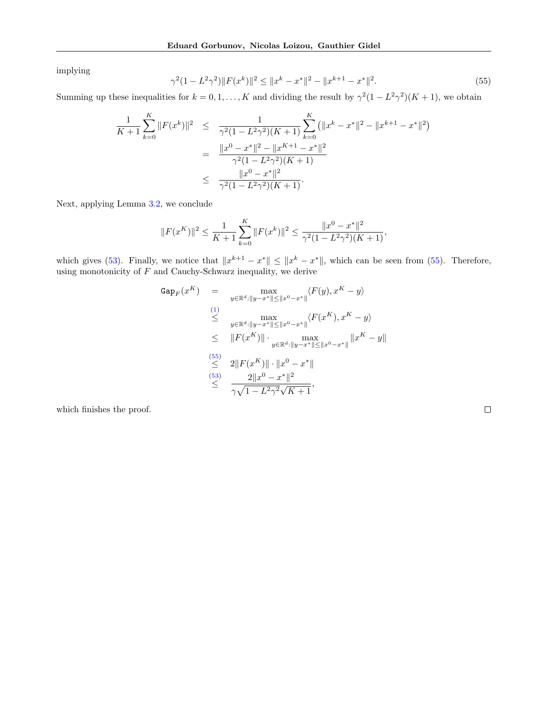implying

$$
\gamma^{2}(1 - L^{2}\gamma^{2})\|F(x^{k})\|^{2} \le \|x^{k} - x^{*}\|^{2} - \|x^{k+1} - x^{*}\|^{2}.
$$
\n(55)

Summing up these inequalities for  $k = 0, 1, ..., K$  and dividing the result by  $\gamma^2(1 - L^2\gamma^2)(K + 1)$ , we obtain

$$
\frac{1}{K+1} \sum_{k=0}^{K} ||F(x^k)||^2 \leq \frac{1}{\gamma^2 (1 - L^2 \gamma^2)(K+1)} \sum_{k=0}^{K} (||x^k - x^*||^2 - ||x^{k+1} - x^*||^2)
$$

$$
= \frac{||x^0 - x^*||^2 - ||x^{K+1} - x^*||^2}{\gamma^2 (1 - L^2 \gamma^2)(K+1)}
$$

$$
\leq \frac{||x^0 - x^*||^2}{\gamma^2 (1 - L^2 \gamma^2)(K+1)}.
$$

Next, applying Lemma [3.2,](#page-7-1) we conclude

$$
||F(x^{K})||^{2} \leq \frac{1}{K+1} \sum_{k=0}^{K} ||F(x^{k})||^{2} \leq \frac{||x^{0} - x^{*}||^{2}}{\gamma^{2}(1 - L^{2}\gamma^{2})(K+1)},
$$

which gives [\(53\)](#page-26-1). Finally, we notice that  $||x^{k+1} - x^*|| \le ||x^k - x^*||$ , which can be seen from [\(55\)](#page-27-1). Therefore, using monotonicity of  $F$  and Cauchy-Schwarz inequality, we derive

$$
\begin{array}{rcl}\n\text{Gap}_F(x^K) & = & \max_{y \in \mathbb{R}^d : \|y - x^*\| \le \|x^0 - x^*\|} \langle F(y), x^K - y \rangle \\
& \leq & \max_{y \in \mathbb{R}^d : \|y - x^*\| \le \|x^0 - x^*\|} \langle F(x^K), x^K - y \rangle \\
& \leq & \|F(x^K)\| \cdot \max_{y \in \mathbb{R}^d : \|y - x^*\| \le \|x^0 - x^*\|} \|x^K - y\| \\
& \leq & 2\|F(x^K)\| \cdot \|x^0 - x^*\| \\
& \leq & 2\|x^0 - x^*\|^2 \\
& \leq & \frac{2\|x^0 - x^*\|^2}{\gamma \sqrt{1 - L^2 \gamma^2} \sqrt{K + 1}},\n\end{array}
$$

which finishes the proof.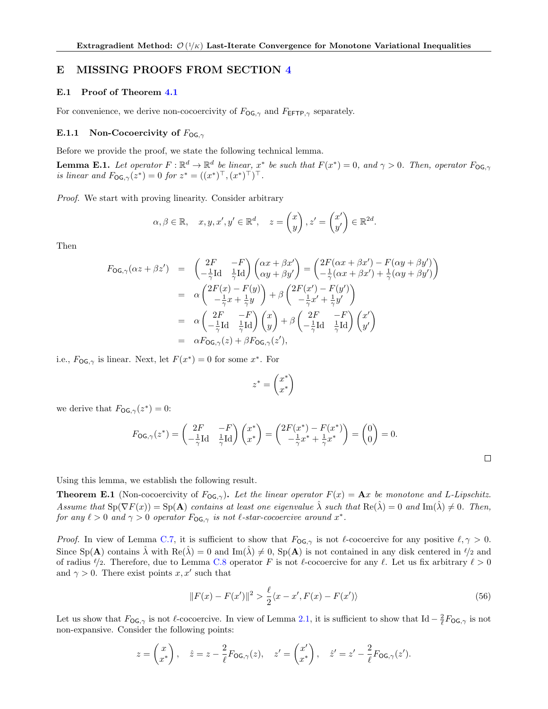## <span id="page-29-0"></span>E MISSING PROOFS FROM SECTION [4](#page-8-6)

#### <span id="page-29-1"></span>E.1 Proof of Theorem [4.1](#page-8-1)

For convenience, we derive non-cocoercivity of  $F_{\text{OG},\gamma}$  and  $F_{\text{EFTP},\gamma}$  separately.

#### <span id="page-29-2"></span>E.1.1 Non-Cocoercivity of  $F_{OG, \gamma}$

Before we provide the proof, we state the following technical lemma.

**Lemma E.1.** Let operator  $F : \mathbb{R}^d \to \mathbb{R}^d$  be linear,  $x^*$  be such that  $F(x^*) = 0$ , and  $\gamma > 0$ . Then, operator  $F_{\text{OG},\gamma}$ is linear and  $F_{OG,\gamma}(z^*) = 0$  for  $z^* = ((x^*)^\top, (x^*)^\top)^\top$ .

Proof. We start with proving linearity. Consider arbitrary

$$
\alpha, \beta \in \mathbb{R}, \quad x, y, x', y' \in \mathbb{R}^d, \quad z = \begin{pmatrix} x \\ y \end{pmatrix}, z' = \begin{pmatrix} x' \\ y' \end{pmatrix} \in \mathbb{R}^{2d}.
$$

Then

$$
F_{\mathsf{OG},\gamma}(\alpha z + \beta z') = \begin{pmatrix} 2F & -F \\ -\frac{1}{\gamma} \mathrm{Id} & \frac{1}{\gamma} \mathrm{Id} \end{pmatrix} \begin{pmatrix} \alpha x + \beta x' \\ \alpha y + \beta y' \end{pmatrix} = \begin{pmatrix} 2F(\alpha x + \beta x') - F(\alpha y + \beta y') \\ -\frac{1}{\gamma}(\alpha x + \beta x') + \frac{1}{\gamma}(\alpha y + \beta y') \end{pmatrix}
$$
  
\n
$$
= \alpha \begin{pmatrix} 2F(x) - F(y) \\ -\frac{1}{\gamma}x + \frac{1}{\gamma}y \end{pmatrix} + \beta \begin{pmatrix} 2F(x') - F(y') \\ -\frac{1}{\gamma}x' + \frac{1}{\gamma}y' \end{pmatrix}
$$
  
\n
$$
= \alpha \begin{pmatrix} 2F & -F \\ -\frac{1}{\gamma} \mathrm{Id} & \frac{1}{\gamma} \mathrm{Id} \end{pmatrix} \begin{pmatrix} x \\ y \end{pmatrix} + \beta \begin{pmatrix} 2F & -F \\ -\frac{1}{\gamma} \mathrm{Id} & \frac{1}{\gamma} \mathrm{Id} \end{pmatrix} \begin{pmatrix} x' \\ y' \end{pmatrix}
$$
  
\n
$$
= \alpha F_{\mathsf{OG},\gamma}(z) + \beta F_{\mathsf{OG},\gamma}(z'),
$$

i.e.,  $F_{\text{OG},\gamma}$  is linear. Next, let  $F(x^*)=0$  for some  $x^*$ . For

$$
z^* = \begin{pmatrix} x^* \\ x^* \end{pmatrix}
$$

we derive that  $F_{\text{OG},\gamma}(z^*)=0$ :

$$
F_{\mathsf{OG},\gamma}(z^*) = \begin{pmatrix} 2F & -F \\ -\frac{1}{\gamma} \mathrm{Id} & \frac{1}{\gamma} \mathrm{Id} \end{pmatrix} \begin{pmatrix} x^* \\ x^* \end{pmatrix} = \begin{pmatrix} 2F(x^*) - F(x^*) \\ -\frac{1}{\gamma} x^* + \frac{1}{\gamma} x^* \end{pmatrix} = \begin{pmatrix} 0 \\ 0 \end{pmatrix} = 0.
$$

Using this lemma, we establish the following result.

**Theorem E.1** (Non-cocoercivity of  $F_{\text{OG},\gamma}$ ). Let the linear operator  $F(x) = \mathbf{A}x$  be monotone and L-Lipschitz. Assume that  $\text{Sp}(\nabla F(x)) = \text{Sp}(\mathbf{A})$  contains at least one eigenvalue  $\hat{\lambda}$  such that  $\text{Re}(\hat{\lambda}) = 0$  and  $\text{Im}(\hat{\lambda}) \neq 0$ . Then, for any  $\ell > 0$  and  $\gamma > 0$  operator  $F_{\text{OG},\gamma}$  is not  $\ell$ -star-cocoercive around  $x^*$ .

*Proof.* In view of Lemma [C.7,](#page-18-2) it is sufficient to show that  $F_{\text{OG},\gamma}$  is not  $\ell$ -cocoercive for any positive  $\ell, \gamma > 0$ . Since  $Sp(A)$  contains  $\hat{\lambda}$  with  $Re(\hat{\lambda}) = 0$  and  $Im(\hat{\lambda}) \neq 0$ ,  $Sp(A)$  is not contained in any disk centered in  $\ell/2$  and of radius  $\ell/2$ . Therefore, due to Lemma [C.8](#page-19-2) operator F is not  $\ell$ -cocoercive for any  $\ell$ . Let us fix arbitrary  $\ell > 0$ and  $\gamma > 0$ . There exist points x, x' such that

<span id="page-29-3"></span>
$$
||F(x) - F(x')||^2 > \frac{\ell}{2} \langle x - x', F(x) - F(x') \rangle
$$
\n(56)

 $\Box$ 

Let us show that  $F_{\text{OG},\gamma}$  is not  $\ell$ -cocoercive. In view of Lemma [2.1,](#page-2-0) it is sufficient to show that Id  $-\frac{2}{\ell}F_{\text{OG},\gamma}$  is not non-expansive. Consider the following points:

$$
z = \begin{pmatrix} x \\ x^* \end{pmatrix}, \quad \hat{z} = z - \frac{2}{\ell} F_{\text{OG},\gamma}(z), \quad z' = \begin{pmatrix} x' \\ x^* \end{pmatrix}, \quad \hat{z}' = z' - \frac{2}{\ell} F_{\text{OG},\gamma}(z').
$$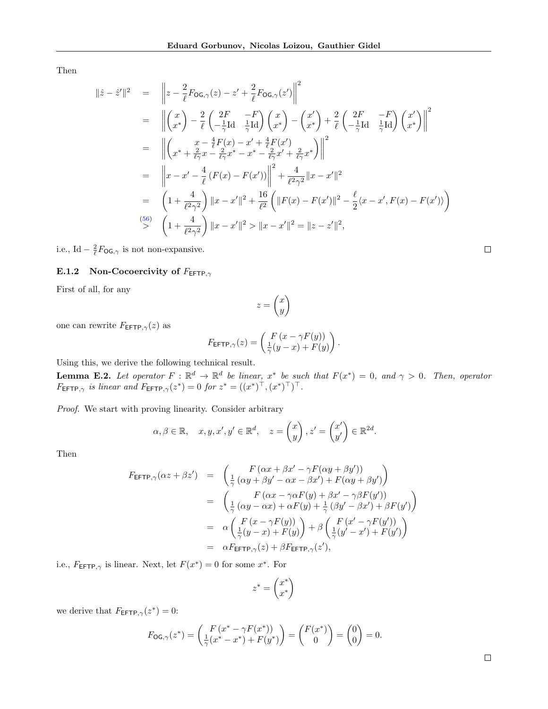Then

$$
\|\hat{z} - \hat{z}'\|^2 = \left\|z - \frac{2}{\ell}F_{\text{OG},\gamma}(z) - z' + \frac{2}{\ell}F_{\text{OG},\gamma}(z')\right\|^2
$$
  
\n
$$
= \left\|\begin{pmatrix}x\\x^*\end{pmatrix} - \frac{2}{\ell}\begin{pmatrix}2F & -F\\-\frac{1}{\gamma}\text{Id} & \frac{1}{\gamma}\text{Id}\end{pmatrix}\begin{pmatrix}x\\x^*\end{pmatrix} - \begin{pmatrix}x'\\x^*\end{pmatrix} + \frac{2}{\ell}\begin{pmatrix}2F & -F\\-\frac{1}{\gamma}\text{Id} & \frac{1}{\gamma}\text{Id}\end{pmatrix}\begin{pmatrix}x'\\x^*\end{pmatrix}\right\|^2
$$
  
\n
$$
= \left\|\begin{pmatrix}x+\frac{4}{\ell\gamma}x - \frac{2}{\ell\gamma}x^* - x^* - \frac{2}{\ell\gamma}x' + \frac{2}{\ell\gamma}x^*\end{pmatrix}\right\|^2
$$
  
\n
$$
= \left\|x-x' - \frac{4}{\ell}(F(x) - F(x'))\right\|^2 + \frac{4}{\ell^2\gamma^2}\|x-x'\|^2
$$
  
\n
$$
= \left(1+\frac{4}{\ell^2\gamma^2}\right)\|x-x'\|^2 + \frac{16}{\ell^2}\left(\|F(x) - F(x')\|^2 - \frac{\ell}{2}\langle x-x', F(x) - F(x')\rangle\right)
$$
  
\n(56)  
\n
$$
\left(1+\frac{4}{\ell^2\gamma^2}\right)\|x-x'\|^2 > \|x-x'\|^2 = \|z-z'\|^2,
$$

i.e., Id  $-\frac{2}{\ell}F_{\text{OG},\gamma}$  is not non-expansive.

# <span id="page-30-0"></span>E.1.2 Non-Cocoercivity of  $F_{\text{EFTP},\gamma}$

First of all, for any

$$
z = \begin{pmatrix} x \\ y \end{pmatrix}
$$

one can rewrite  $F_{\text{EFTP},\gamma}(z)$  as

$$
F_{\mathsf{EFTP}, \gamma}(z) = \begin{pmatrix} F\left(x - \gamma F(y)\right) \\ \frac{1}{\gamma}(y - x) + F(y) \end{pmatrix}.
$$

Using this, we derive the following technical result.

**Lemma E.2.** Let operator  $F : \mathbb{R}^d \to \mathbb{R}^d$  be linear,  $x^*$  be such that  $F(x^*) = 0$ , and  $\gamma > 0$ . Then, operator  $F_{\text{EFTP},\gamma}$  is linear and  $F_{\text{EFTP},\gamma}(z^*)=0$  for  $z^* = ((x^*)^{\top}, (x^*)^{\top})^{\top}$ .

Proof. We start with proving linearity. Consider arbitrary

$$
\alpha, \beta \in \mathbb{R}, \quad x, y, x', y' \in \mathbb{R}^d, \quad z = \begin{pmatrix} x \\ y \end{pmatrix}, z' = \begin{pmatrix} x' \\ y' \end{pmatrix} \in \mathbb{R}^{2d}.
$$

Then

$$
F_{\text{EFTP},\gamma}(\alpha z + \beta z') = \begin{pmatrix} F(\alpha x + \beta x' - \gamma F(\alpha y + \beta y')) \\ \frac{1}{\gamma}(\alpha y + \beta y' - \alpha x - \beta x') + F(\alpha y + \beta y') \end{pmatrix}
$$
  
\n
$$
= \begin{pmatrix} F(\alpha x - \gamma \alpha F(y) + \beta x' - \gamma \beta F(y')) \\ \frac{1}{\gamma}(\alpha y - \alpha x) + \alpha F(y) + \frac{1}{\gamma}(\beta y' - \beta x') + \beta F(y') \end{pmatrix}
$$
  
\n
$$
= \alpha \begin{pmatrix} F(x - \gamma F(y)) \\ \frac{1}{\gamma}(y - x) + F(y) \end{pmatrix} + \beta \begin{pmatrix} F(x' - \gamma F(y')) \\ \frac{1}{\gamma}(y' - x') + F(y') \end{pmatrix}
$$
  
\n
$$
= \alpha F_{\text{EFTP},\gamma}(z) + \beta F_{\text{EFTP},\gamma}(z'),
$$

i.e.,  $F_{\text{EFTP}, \gamma}$  is linear. Next, let  $F(x^*) = 0$  for some  $x^*$ . For

$$
z^* = \begin{pmatrix} x^* \\ x^* \end{pmatrix}
$$

we derive that  $F_{\text{EFTP},\gamma}(z^*)=0$ :

$$
F_{\mathsf{OG},\gamma}(z^*) = \begin{pmatrix} F(x^* - \gamma F(x^*)) \\ \frac{1}{\gamma}(x^* - x^*) + F(y^*) \end{pmatrix} = \begin{pmatrix} F(x^*) \\ 0 \end{pmatrix} = \begin{pmatrix} 0 \\ 0 \end{pmatrix} = 0.
$$

 $\Box$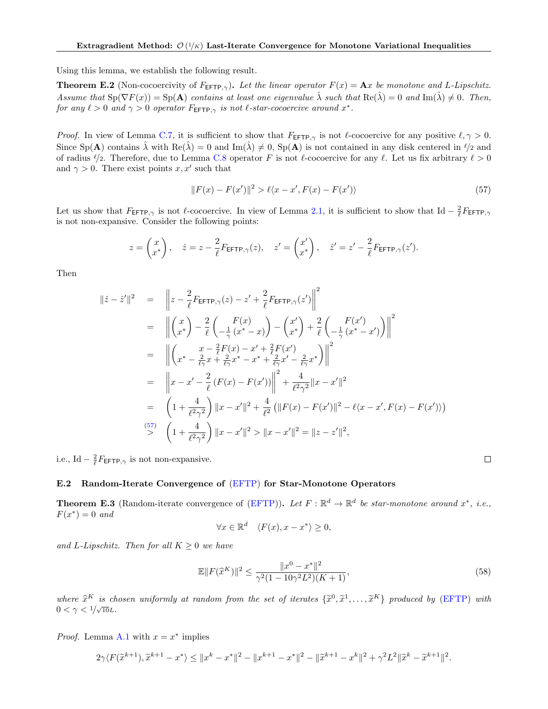Using this lemma, we establish the following result.

**Theorem E.2** (Non-cocoercivity of  $F_{\text{EFTP},\gamma}$ ). Let the linear operator  $F(x) = \mathbf{A}x$  be monotone and L-Lipschitz. Assume that  $\text{Sp}(\nabla F(x)) = \text{Sp}(\mathbf{A})$  contains at least one eigenvalue  $\lambda$  such that  $\text{Re}(\lambda) = 0$  and  $\text{Im}(\lambda) \neq 0$ . Then, for any  $\ell > 0$  and  $\gamma > 0$  operator  $F_{\text{EFTP}, \gamma}$  is not  $\ell$ -star-cocoercive around  $x^*$ .

*Proof.* In view of Lemma [C.7,](#page-18-2) it is sufficient to show that  $F_{\text{EFTP}, \gamma}$  is not  $\ell$ -cocoercive for any positive  $\ell, \gamma > 0$ . Since Sp(A) contains  $\hat{\lambda}$  with Re( $\hat{\lambda}$ ) = 0 and Im( $\hat{\lambda}$ )  $\neq$  0, Sp(A) is not contained in any disk centered in  $\ell/2$  and of radius  $\ell/2$ . Therefore, due to Lemma [C.8](#page-19-2) operator F is not  $\ell$ -cocoercive for any  $\ell$ . Let us fix arbitrary  $\ell > 0$ and  $\gamma > 0$ . There exist points x, x' such that

<span id="page-31-1"></span>
$$
||F(x) - F(x')||^2 > \ell \langle x - x', F(x) - F(x') \rangle
$$
\n(57)

Let us show that  $F_{\text{EFTP},\gamma}$  is not  $\ell$ -cocoercive. In view of Lemma [2.1,](#page-2-0) it is sufficient to show that Id  $-\frac{2}{\ell}F_{\text{EFTP},\gamma}$ is not non-expansive. Consider the following points:

$$
z = \begin{pmatrix} x \\ x^* \end{pmatrix}, \quad \hat{z} = z - \frac{2}{\ell} F_{\text{EFTP}, \gamma}(z), \quad z' = \begin{pmatrix} x' \\ x^* \end{pmatrix}, \quad \hat{z}' = z' - \frac{2}{\ell} F_{\text{EFTP}, \gamma}(z').
$$

Then

$$
\|\hat{z} - \hat{z}'\|^2 = \left\|z - \frac{2}{\ell} F_{\text{EFTP},\gamma}(z) - z' + \frac{2}{\ell} F_{\text{EFTP},\gamma}(z')\right\|^2
$$
  
\n
$$
= \left\|\binom{x}{x^*} - \frac{2}{\ell} \binom{F(x)}{-\frac{1}{\gamma}(x^*-x)} - \binom{x'}{x^*} + \frac{2}{\ell} \binom{F(x')}{-\frac{1}{\gamma}(x^*-x')} \right\|^2
$$
  
\n
$$
= \left\|\binom{x - \frac{2}{\ell}F(x) - x' + \frac{2}{\ell}\Gamma(x')}{\left(x^* - \frac{2}{\ell\gamma}x + \frac{2}{\ell\gamma}x^* - x^* + \frac{2}{\ell\gamma}x' - \frac{2}{\ell\gamma}x^*\right\|^2}
$$
  
\n
$$
= \left\|x - x' - \frac{2}{\ell}(F(x) - F(x'))\right\|^2 + \frac{4}{\ell^2\gamma^2} \|x - x'\|^2
$$
  
\n
$$
= \left(1 + \frac{4}{\ell^2\gamma^2}\right) \|x - x'\|^2 + \frac{4}{\ell^2} (\|F(x) - F(x')\|^2 - \ell\langle x - x', F(x) - F(x')\rangle)
$$
  
\n
$$
\stackrel{(57)}{>} \left(1 + \frac{4}{\ell^2\gamma^2}\right) \|x - x'\|^2 > \|x - x'\|^2 = \|z - z'\|^2,
$$

i.e., Id –  $\frac{2}{\ell} F_{\text{EFTP}, \gamma}$  is not non-expansive.

#### <span id="page-31-0"></span>E.2 Random-Iterate Convergence of [\(EFTP\)](#page-8-3) for Star-Monotone Operators

**Theorem E.3** (Random-iterate convergence of [\(EFTP\)](#page-8-3)). Let  $F : \mathbb{R}^d \to \mathbb{R}^d$  be star-monotone around  $x^*$ , i.e.,  $F(x^*)=0$  and

$$
\forall x \in \mathbb{R}^d \quad \langle F(x), x - x^* \rangle \ge 0,
$$

and L-Lipschitz. Then for all  $K \geq 0$  we have

$$
\mathbb{E}||F(\hat{x}^{K})||^{2} \le \frac{||x^{0} - x^{*}||^{2}}{\gamma^{2}(1 - 10\gamma^{2}L^{2})(K + 1)},
$$
\n(58)

 $\Box$ 

where  $\hat{x}^K$  is chosen uniformly at random from the set of iterates  $\{\tilde{x}^0, \tilde{x}^1, \ldots, \tilde{x}^K\}$  produced by [\(EFTP\)](#page-8-3) with  $0 < \gamma < 1/\sqrt{10}L$ .

*Proof.* Lemma [A.1](#page-13-2) with  $x = x^*$  implies

$$
2\gamma \langle F(\widetilde{x}^{k+1}), \widetilde{x}^{k+1} - x^* \rangle \le ||x^k - x^*||^2 - ||x^{k+1} - x^*||^2 - ||\widetilde{x}^{k+1} - x^k||^2 + \gamma^2 L^2 ||\widetilde{x}^k - \widetilde{x}^{k+1}||^2.
$$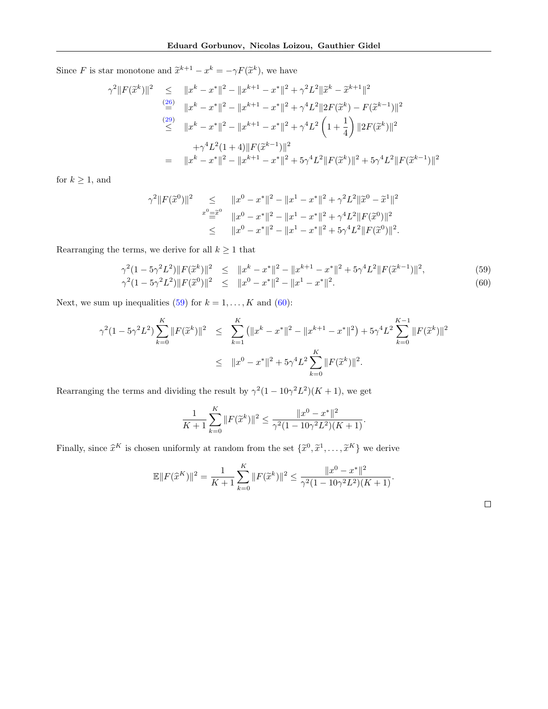Since F is star monotone and  $\tilde{x}^{k+1} - x^k = -\gamma F(\tilde{x}^k)$ , we have

$$
\gamma^{2} ||F(\tilde{x}^{k})||^{2} \leq ||x^{k} - x^{*}||^{2} - ||x^{k+1} - x^{*}||^{2} + \gamma^{2}L^{2} ||\tilde{x}^{k} - \tilde{x}^{k+1}||^{2}
$$
  
\n
$$
\stackrel{(26)}{=} ||x^{k} - x^{*}||^{2} - ||x^{k+1} - x^{*}||^{2} + \gamma^{4}L^{2}||2F(\tilde{x}^{k}) - F(\tilde{x}^{k-1})||^{2}
$$
  
\n
$$
\leq ||x^{k} - x^{*}||^{2} - ||x^{k+1} - x^{*}||^{2} + \gamma^{4}L^{2} \left(1 + \frac{1}{4}\right) ||2F(\tilde{x}^{k})||^{2}
$$
  
\n
$$
+ \gamma^{4}L^{2}(1+4)||F(\tilde{x}^{k-1})||^{2}
$$
  
\n
$$
= ||x^{k} - x^{*}||^{2} - ||x^{k+1} - x^{*}||^{2} + 5\gamma^{4}L^{2}||F(\tilde{x}^{k})||^{2} + 5\gamma^{4}L^{2}||F(\tilde{x}^{k-1})||^{2}
$$

for  $k \geq 1$ , and

$$
\gamma^2 \|F(\tilde{x}^0)\|^2 \leq \|x^0 - x^*\|^2 - \|x^1 - x^*\|^2 + \gamma^2 L^2 \|\tilde{x}^0 - \tilde{x}^1\|^2
$$
  

$$
\overset{x^0 = \tilde{x}^0}{=} \|x^0 - x^*\|^2 - \|x^1 - x^*\|^2 + \gamma^4 L^2 \|F(\tilde{x}^0)\|^2
$$
  

$$
\leq \|x^0 - x^*\|^2 - \|x^1 - x^*\|^2 + 5\gamma^4 L^2 \|F(\tilde{x}^0)\|^2.
$$

Rearranging the terms, we derive for all  $k\geq 1$  that

<span id="page-32-0"></span>
$$
\gamma^{2}(1 - 5\gamma^{2}L^{2})\|F(\tilde{x}^{k})\|^{2} \leq \|x^{k} - x^{*}\|^{2} - \|x^{k+1} - x^{*}\|^{2} + 5\gamma^{4}L^{2}\|F(\tilde{x}^{k-1})\|^{2},
$$
\n
$$
\gamma^{2}(1 - 5\gamma^{2}L^{2})\|F(\tilde{x}^{0})\|^{2} \leq \|x^{0} - x^{*}\|^{2} - \|x^{1} - x^{*}\|^{2}.
$$
\n(60)

Next, we sum up inequalities [\(59\)](#page-32-0) for  $k = 1, ..., K$  and [\(60\)](#page-32-0):

$$
\gamma^{2}(1 - 5\gamma^{2}L^{2}) \sum_{k=0}^{K} ||F(\tilde{x}^{k})||^{2} \leq \sum_{k=1}^{K} (||x^{k} - x^{*}||^{2} - ||x^{k+1} - x^{*}||^{2}) + 5\gamma^{4}L^{2} \sum_{k=0}^{K-1} ||F(\tilde{x}^{k})||^{2}
$$
  

$$
\leq ||x^{0} - x^{*}||^{2} + 5\gamma^{4}L^{2} \sum_{k=0}^{K} ||F(\tilde{x}^{k})||^{2}.
$$

Rearranging the terms and dividing the result by  $\gamma^2(1-10\gamma^2L^2)(K+1)$ , we get

$$
\frac{1}{K+1} \sum_{k=0}^{K} ||F(\tilde{x}^k)||^2 \le \frac{||x^0 - x^*||^2}{\gamma^2 (1 - 10\gamma^2 L^2)(K+1)}.
$$

Finally, since  $\hat{x}^K$  is chosen uniformly at random from the set  $\{\tilde{x}^0, \tilde{x}^1, \dots, \tilde{x}^K\}$  we derive

$$
\mathbb{E}||F(\hat{x}^{K})||^{2} = \frac{1}{K+1} \sum_{k=0}^{K} ||F(\tilde{x}^{k})||^{2} \le \frac{||x^{0} - x^{*}||^{2}}{\gamma^{2}(1 - 10\gamma^{2}L^{2})(K+1)}.
$$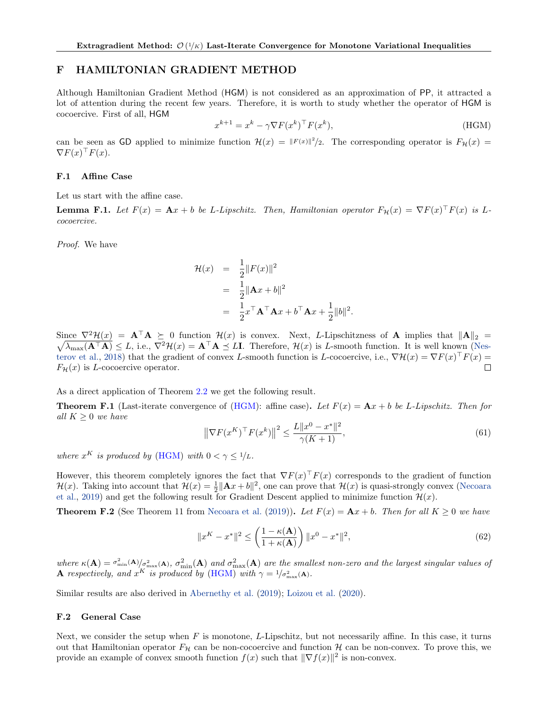# <span id="page-33-0"></span>F HAMILTONIAN GRADIENT METHOD

Although Hamiltonian Gradient Method (HGM) is not considered as an approximation of PP, it attracted a lot of attention during the recent few years. Therefore, it is worth to study whether the operator of HGM is cocoercive. First of all, HGM

<span id="page-33-3"></span>
$$
x^{k+1} = x^k - \gamma \nabla F(x^k)^\top F(x^k),\tag{HGM}
$$

can be seen as GD applied to minimize function  $\mathcal{H}(x) = ||F(x)||^2/2$ . The corresponding operator is  $F_{\mathcal{H}}(x) =$  $\nabla F(x)^\top F(x)$ .

#### <span id="page-33-1"></span>F.1 Affine Case

Let us start with the affine case.

**Lemma F.1.** Let  $F(x) = Ax + b$  be L-Lipschitz. Then, Hamiltonian operator  $F_{\mathcal{H}}(x) = \nabla F(x)^\top F(x)$  is Lcocoercive.

Proof. We have

$$
\mathcal{H}(x) = \frac{1}{2} ||F(x)||^2
$$
  
= 
$$
\frac{1}{2} ||\mathbf{A}x + b||^2
$$
  
= 
$$
\frac{1}{2} x^\top \mathbf{A}^\top \mathbf{A} x + b^\top \mathbf{A} x + \frac{1}{2} ||b||^2.
$$

Since  $\nabla^2 \mathcal{H}(x) = \mathbf{A}^\top \mathbf{A} \succeq 0$  function  $\mathcal{H}(x)$  is convex. Next, L-Lipschitzness of **A** implies that  $\|\mathbf{A}\|_2 =$  $\sqrt{}$  $\overline{\lambda_{\max}(A^{\top}A)} \leq L$ , i.e.,  $\nabla^2 \mathcal{H}(x) = A^{\top}A \preceq L\mathbf{I}$ . Therefore,  $\mathcal{H}(x)$  is L-smooth function. It is well known [\(Nes](#page-11-15)[terov et al.,](#page-11-15) [2018\)](#page-11-15) that the gradient of convex L-smooth function is L-cocoercive, i.e.,  $\nabla \mathcal{H}(x) = \nabla F(x)^\top F(x) =$  $F_{\mathcal{H}}(x)$  is *L*-cocoercive operator.  $\Box$ 

As a direct application of Theorem [2.2](#page-3-0) we get the following result.

**Theorem F.1** (Last-iterate convergence of [\(HGM\)](#page-33-3): affine case). Let  $F(x) = \mathbf{A}x + b$  be L-Lipschitz. Then for all  $K \geq 0$  we have

$$
\left\|\nabla F(x^K)^{\top} F(x^k)\right\|^2 \le \frac{L\|x^0 - x^*\|^2}{\gamma(K+1)},\tag{61}
$$

where  $x^K$  is produced by [\(HGM\)](#page-33-3) with  $0 < \gamma \leq 1/L$ .

However, this theorem completely ignores the fact that  $\nabla F(x)^\top F(x)$  corresponds to the gradient of function  $\mathcal{H}(x)$ . Taking into account that  $\mathcal{H}(x) = \frac{1}{2} ||\mathbf{A}x + b||^2$ , one can prove that  $\mathcal{H}(x)$  is quasi-strongly convex [\(Necoara](#page-11-16) [et al.,](#page-11-16) [2019\)](#page-11-16) and get the following result for Gradient Descent applied to minimize function  $\mathcal{H}(x)$ .

**Theorem F.2** (See Theorem 11 from [Necoara et al.](#page-11-16) [\(2019\)](#page-11-16)). Let  $F(x) = Ax + b$ . Then for all  $K \ge 0$  we have

$$
||x^K - x^*||^2 \le \left(\frac{1 - \kappa(\mathbf{A})}{1 + \kappa(\mathbf{A})}\right) ||x^0 - x^*||^2,
$$
\n(62)

where  $\kappa(A) = \frac{\sigma_{\min}^2(A)}{\sigma_{\max}^2(A)}$ ,  $\sigma_{\min}^2(A)$  and  $\sigma_{\max}^2(A)$  are the smallest non-zero and the largest singular values of **A** respectively, and  $x^K$  is produced by [\(HGM\)](#page-33-3) with  $\gamma = 1/\sigma_{\max}^2(A)$ .

Similar results are also derived in [Abernethy et al.](#page-9-19) [\(2019\)](#page-9-19); [Loizou et al.](#page-10-23) [\(2020\)](#page-10-23).

#### <span id="page-33-2"></span>F.2 General Case

Next, we consider the setup when  $F$  is monotone, L-Lipschitz, but not necessarily affine. In this case, it turns out that Hamiltonian operator  $F_{\mathcal{H}}$  can be non-cocoercive and function  $\mathcal{H}$  can be non-convex. To prove this, we provide an example of convex smooth function  $f(x)$  such that  $\|\nabla f(x)\|^2$  is non-convex.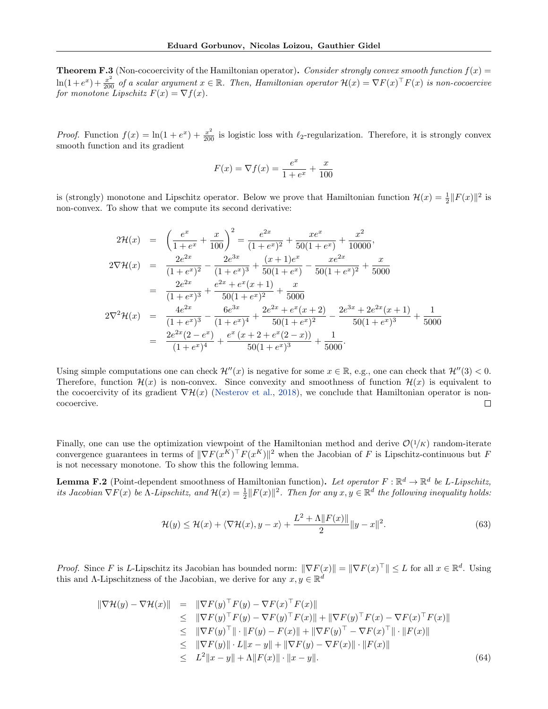<span id="page-34-0"></span>**Theorem F.3** (Non-cocoercivity of the Hamiltonian operator). Consider strongly convex smooth function  $f(x) =$  $\ln(1+e^x)+\frac{x^2}{200}$  of a scalar argument  $x \in \mathbb{R}$ . Then, Hamiltonian operator  $\mathcal{H}(x) = \nabla F(x)^\top F(x)$  is non-cocoercive for monotone Lipschitz  $F(x) = \nabla f(x)$ .

*Proof.* Function  $f(x) = \ln(1 + e^x) + \frac{x^2}{200}$  is logistic loss with  $\ell_2$ -regularization. Therefore, it is strongly convex smooth function and its gradient

$$
F(x) = \nabla f(x) = \frac{e^x}{1 + e^x} + \frac{x}{100}
$$

is (strongly) monotone and Lipschitz operator. Below we prove that Hamiltonian function  $\mathcal{H}(x) = \frac{1}{2} ||F(x)||^2$  is non-convex. To show that we compute its second derivative:

$$
2\mathcal{H}(x) = \left(\frac{e^x}{1+e^x} + \frac{x}{100}\right)^2 = \frac{e^{2x}}{(1+e^x)^2} + \frac{x e^x}{50(1+e^x)} + \frac{x^2}{10000},
$$
  
\n
$$
2\nabla \mathcal{H}(x) = \frac{2e^{2x}}{(1+e^x)^2} - \frac{2e^{3x}}{(1+e^x)^3} + \frac{(x+1)e^x}{50(1+e^x)} - \frac{x e^{2x}}{50(1+e^x)^2} + \frac{x}{5000}
$$
  
\n
$$
= \frac{2e^{2x}}{(1+e^x)^3} + \frac{e^{2x} + e^x(x+1)}{50(1+e^x)^2} + \frac{x}{5000}
$$
  
\n
$$
2\nabla^2 \mathcal{H}(x) = \frac{4e^{2x}}{(1+e^x)^3} - \frac{6e^{3x}}{(1+e^x)^4} + \frac{2e^{2x} + e^x(x+2)}{50(1+e^x)^2} - \frac{2e^{3x} + 2e^{2x}(x+1)}{50(1+e^x)^3} + \frac{1}{5000}
$$
  
\n
$$
= \frac{2e^{2x}(2-e^x)}{(1+e^x)^4} + \frac{e^x(x+2+e^x(2-x))}{50(1+e^x)^3} + \frac{1}{5000}.
$$

Using simple computations one can check  $\mathcal{H}''(x)$  is negative for some  $x \in \mathbb{R}$ , e.g., one can check that  $\mathcal{H}''(3) < 0$ . Therefore, function  $\mathcal{H}(x)$  is non-convex. Since convexity and smoothness of function  $\mathcal{H}(x)$  is equivalent to the cocoercivity of its gradient  $\nabla \mathcal{H}(x)$  [\(Nesterov et al.,](#page-11-15) [2018\)](#page-11-15), we conclude that Hamiltonian operator is noncocoercive.  $\Box$ 

Finally, one can use the optimization viewpoint of the Hamiltonian method and derive  $\mathcal{O}(1/K)$  random-iterate convergence guarantees in terms of  $\|\nabla F(x^K)^{\top} F(x^K)\|^2$  when the Jacobian of F is Lipschitz-continuous but F is not necessary monotone. To show this the following lemma.

<span id="page-34-2"></span>**Lemma F.2** (Point-dependent smoothness of Hamiltonian function). Let operator  $F : \mathbb{R}^d \to \mathbb{R}^d$  be L-Lipschitz, its Jacobian  $\nabla F(x)$  be  $\Lambda$ -Lipschitz, and  $\mathcal{H}(x) = \frac{1}{2} ||F(x)||^2$ . Then for any  $x, y \in \mathbb{R}^d$  the following inequality holds:

<span id="page-34-3"></span>
$$
\mathcal{H}(y) \le \mathcal{H}(x) + \langle \nabla \mathcal{H}(x), y - x \rangle + \frac{L^2 + \Lambda \| F(x) \|}{2} \| y - x \|^2. \tag{63}
$$

*Proof.* Since F is L-Lipschitz its Jacobian has bounded norm:  $\|\nabla F(x)\| = \|\nabla F(x)^{\top}\| \leq L$  for all  $x \in \mathbb{R}^d$ . Using this and  $\Lambda$ -Lipschitzness of the Jacobian, we derive for any  $x, y \in \mathbb{R}^d$ 

<span id="page-34-1"></span>
$$
\|\nabla \mathcal{H}(y) - \nabla \mathcal{H}(x)\| = \|\nabla F(y)^{\top} F(y) - \nabla F(x)^{\top} F(x)\| \n\leq \|\nabla F(y)^{\top} F(y) - \nabla F(y)^{\top} F(x)\| + \|\nabla F(y)^{\top} F(x) - \nabla F(x)^{\top} F(x)\| \n\leq \|\nabla F(y)^{\top}\| \cdot \|F(y) - F(x)\| + \|\nabla F(y)^{\top} - \nabla F(x)^{\top}\| \cdot \|F(x)\| \n\leq \|\nabla F(y)\| \cdot L\|x - y\| + \|\nabla F(y) - \nabla F(x)\| \cdot \|F(x)\| \n\leq L^2 \|x - y\| + \Lambda \|F(x)\| \cdot \|x - y\|.
$$
\n(64)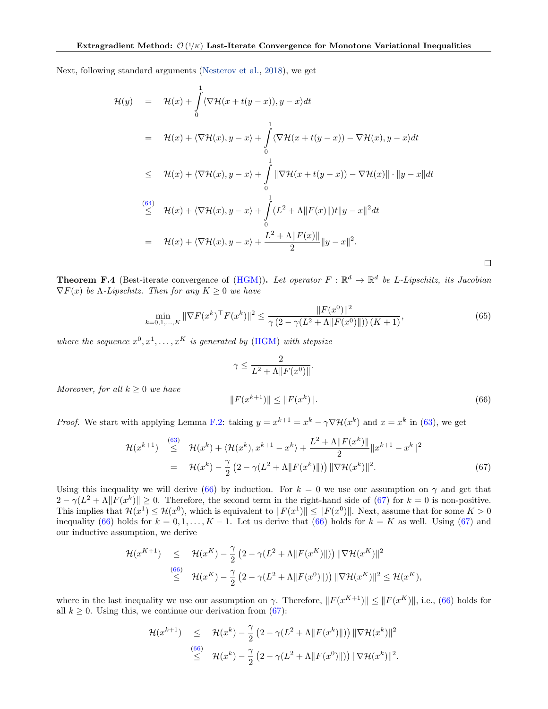Next, following standard arguments [\(Nesterov et al.,](#page-11-15) [2018\)](#page-11-15), we get

$$
\mathcal{H}(y) = \mathcal{H}(x) + \int_{0}^{1} \langle \nabla \mathcal{H}(x+t(y-x)), y-x \rangle dt
$$
  
\n
$$
= \mathcal{H}(x) + \langle \nabla \mathcal{H}(x), y-x \rangle + \int_{0}^{1} \langle \nabla \mathcal{H}(x+t(y-x)) - \nabla \mathcal{H}(x), y-x \rangle dt
$$
  
\n
$$
\leq \mathcal{H}(x) + \langle \nabla \mathcal{H}(x), y-x \rangle + \int_{0}^{1} \|\nabla \mathcal{H}(x+t(y-x)) - \nabla \mathcal{H}(x)\| \cdot \|y-x\| dt
$$
  
\n
$$
\stackrel{(64)}{\leq} \mathcal{H}(x) + \langle \nabla \mathcal{H}(x), y-x \rangle + \int_{0}^{1} (L^2 + \Lambda \|F(x)\|)t \|y-x\|^2 dt
$$
  
\n
$$
= \mathcal{H}(x) + \langle \nabla \mathcal{H}(x), y-x \rangle + \frac{L^2 + \Lambda \|F(x)\|}{2} \|y-x\|^2.
$$

<span id="page-35-0"></span>**Theorem F.4** (Best-iterate convergence of [\(HGM\)](#page-33-3)). Let operator  $F : \mathbb{R}^d \to \mathbb{R}^d$  be L-Lipschitz, its Jacobian  $\nabla F(x)$  be *Λ*-*Lipschitz*. Then for any  $K \geq 0$  we have

<span id="page-35-3"></span>
$$
\min_{k=0,1,\ldots,K} \|\nabla F(x^k)^\top F(x^k)\|^2 \le \frac{\|F(x^0)\|^2}{\gamma \left(2 - \gamma (L^2 + \Lambda \|F(x^0)\|)\right) (K+1)},\tag{65}
$$

where the sequence  $x^0, x^1, \ldots, x^K$  is generated by [\(HGM\)](#page-33-3) with stepsize

$$
\gamma \leq \frac{2}{L^2 + \Lambda \|F(x^0)\|}.
$$

Moreover, for all  $k \geq 0$  we have

<span id="page-35-1"></span>
$$
||F(x^{k+1})|| \le ||F(x^k)||. \tag{66}
$$

*Proof.* We start with applying Lemma [F.2:](#page-34-2) taking  $y = x^{k+1} = x^k - \gamma \nabla \mathcal{H}(x^k)$  and  $x = x^k$  in [\(63\)](#page-34-3), we get

<span id="page-35-2"></span>
$$
\mathcal{H}(x^{k+1}) \stackrel{(63)}{\leq} \mathcal{H}(x^k) + \langle \mathcal{H}(x^k), x^{k+1} - x^k \rangle + \frac{L^2 + \Lambda \| F(x^k) \|}{2} \| x^{k+1} - x^k \|^2
$$
  
=  $\mathcal{H}(x^k) - \frac{\gamma}{2} (2 - \gamma (L^2 + \Lambda \| F(x^k) \|)) \| \nabla \mathcal{H}(x^k) \|^2.$  (67)

Using this inequality we will derive [\(66\)](#page-35-1) by induction. For  $k = 0$  we use our assumption on  $\gamma$  and get that  $2 - \gamma (L^2 + \Lambda \| F(x^k) \| \ge 0$ . Therefore, the second term in the right-hand side of [\(67\)](#page-35-2) for  $k = 0$  is non-positive. This implies that  $\mathcal{H}(x^1) \leq \mathcal{H}(x^0)$ , which is equivalent to  $||F(x^1)|| \leq ||F(x^0)||$ . Next, assume that for some  $K > 0$ inequality [\(66\)](#page-35-1) holds for  $k = 0, 1, ..., K - 1$ . Let us derive that (66) holds for  $k = K$  as well. Using [\(67\)](#page-35-2) and our inductive assumption, we derive

$$
\mathcal{H}(x^{K+1}) \leq \mathcal{H}(x^{K}) - \frac{\gamma}{2} \left(2 - \gamma(L^{2} + \Lambda ||F(x^{K})||)\right) ||\nabla \mathcal{H}(x^{K})||^{2}
$$
  
\n
$$
\leq \mathcal{H}(x^{K}) - \frac{\gamma}{2} \left(2 - \gamma(L^{2} + \Lambda ||F(x^{0})||)\right) ||\nabla \mathcal{H}(x^{K})||^{2} \leq \mathcal{H}(x^{K}),
$$

where in the last inequality we use our assumption on  $\gamma$ . Therefore,  $||F(x^{K+1})|| \leq ||F(x^K)||$ , i.e., [\(66\)](#page-35-1) holds for all  $k \geq 0$ . Using this, we continue our derivation from [\(67\)](#page-35-2):

$$
\mathcal{H}(x^{k+1}) \leq \mathcal{H}(x^k) - \frac{\gamma}{2} \left(2 - \gamma(L^2 + \Lambda \|F(x^k)\|)\right) \|\nabla \mathcal{H}(x^k)\|^2
$$
  
\n
$$
\leq \mathcal{H}(x^k) - \frac{\gamma}{2} \left(2 - \gamma(L^2 + \Lambda \|F(x^0)\|)\right) \|\nabla \mathcal{H}(x^k)\|^2.
$$